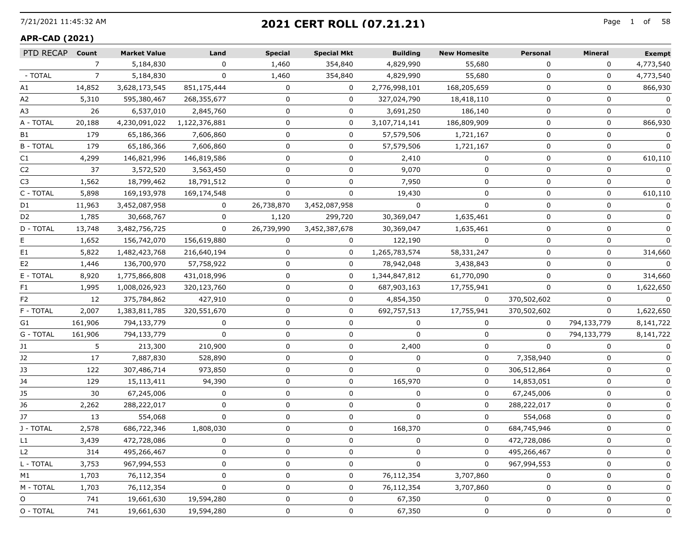## 7/21/2021 11:45:32 AM Page 1 of **2021 CERT ROLL (07.21.21)**

#### **APR-CAD (2021)**

| PTD RECAP      | Count          | <b>Market Value</b> | Land          | <b>Special</b> | <b>Special Mkt</b> | <b>Building</b> | <b>New Homesite</b> | <b>Personal</b> | <b>Mineral</b> | <b>Exempt</b> |
|----------------|----------------|---------------------|---------------|----------------|--------------------|-----------------|---------------------|-----------------|----------------|---------------|
|                | $\overline{7}$ | 5,184,830           |               | 1,460          | 354,840            | 4,829,990       | 55,680              | 0               | 0              | 4,773,540     |
| - TOTAL        | 7              | 5,184,830           | 0             | 1,460          | 354,840            | 4,829,990       | 55,680              | 0               | 0              | 4,773,540     |
| А1             | 14,852         | 3,628,173,545       | 851,175,444   | 0              | 0                  | 2,776,998,101   | 168,205,659         | 0               | 0              | 866,930       |
| A2             | 5,310          | 595,380,467         | 268,355,677   | 0              | 0                  | 327,024,790     | 18,418,110          | 0               | $\Omega$       | 0             |
| A3             | 26             | 6,537,010           | 2,845,760     | O              | 0                  | 3,691,250       | 186,140             | $\Omega$        | $\Omega$       |               |
| A - TOTAL      | 20,188         | 4,230,091,022       | 1,122,376,881 | 0              | 0                  | 3,107,714,141   | 186,809,909         | 0               | 0              | 866,930       |
| B1             | 179            | 65,186,366          | 7,606,860     | 0              | 0                  | 57,579,506      | 1,721,167           | 0               | $\Omega$       | 0             |
| <b>B-TOTAL</b> | 179            | 65,186,366          | 7,606,860     | 0              | 0                  | 57,579,506      | 1,721,167           | 0               | $\Omega$       | 0             |
| C1             | 4,299          | 146,821,996         | 146,819,586   | 0              | 0                  | 2,410           | $\Omega$            | 0               | $\Omega$       | 610,110       |
| C2             | 37             | 3,572,520           | 3,563,450     |                | 0                  | 9,070           | $\Omega$            | 0               | $\Omega$       | 0             |
| C3             | 1,562          | 18,799,462          | 18,791,512    |                | 0                  | 7,950           | 0                   | 0               | $\Omega$       |               |
| C - TOTAL      | 5,898          | 169,193,978         | 169,174,548   | $\Omega$       | $\Omega$           | 19,430          | $\Omega$            | 0               | $\Omega$       | 610,110       |
| D1             | 11,963         | 3,452,087,958       |               | 26,738,870     | 3,452,087,958      | 0               | $\Omega$            | 0               | $\Omega$       |               |
| D2             | 1,785          | 30,668,767          |               | 1,120          | 299,720            | 30,369,047      | 1,635,461           | 0               | n              |               |
| D - TOTAL      | 13,748         | 3,482,756,725       | 0             | 26,739,990     | 3,452,387,678      | 30,369,047      | 1,635,461           | 0               | 0              |               |
| E.             | 1,652          | 156,742,070         | 156,619,880   | 0              | $\Omega$           | 122,190         | $\Omega$            | $\Omega$        | 0              | 0             |
| E1             | 5,822          | 1,482,423,768       | 216,640,194   | U              | 0                  | 1,265,783,574   | 58,331,247          | <sup>0</sup>    | 0              | 314,660       |
| E2             | 1,446          | 136,700,970         | 57,758,922    | 0              | $\mathbf{0}$       | 78,942,048      | 3,438,843           | 0               | $\Omega$       | 0             |
| E - TOTAL      | 8,920          | 1,775,866,808       | 431,018,996   | 0              | 0                  | 1,344,847,812   | 61,770,090          | 0               | 0              | 314,660       |
| F1             | 1,995          | 1,008,026,923       | 320,123,760   | 0              | 0                  | 687,903,163     | 17,755,941          | $\Omega$        | 0              | 1,622,650     |
| F2             | 12             | 375,784,862         | 427,910       | O              | 0                  | 4,854,350       | $\Omega$            | 370,502,602     | $\Omega$       | 0             |
| F - TOTAL      | 2,007          | 1,383,811,785       | 320,551,670   | 0              | 0                  | 692,757,513     | 17,755,941          | 370,502,602     | 0              | 1,622,650     |
| G1             | 161,906        | 794,133,779         | 0             | 0              | 0                  | 0               | 0                   | 0               | 794,133,779    | 8,141,722     |
| G - TOTAL      | 161,906        | 794,133,779         | $\Omega$      | 0              | 0                  | $\Omega$        | 0                   | $\Omega$        | 794,133,779    | 8,141,722     |
| J1             | 5              | 213,300             | 210,900       | 0              | 0                  | 2,400           | 0                   | $\Omega$        | $\Omega$       |               |
| J2             | 17             | 7,887,830           | 528,890       | 0              | 0                  | 0               | 0                   | 7,358,940       | $\Omega$       |               |
| JЗ             | 122            | 307,486,714         | 973,850       | 0              | 0                  | 0               | 0                   | 306,512,864     | 0              |               |
| J4             | 129            | 15,113,411          | 94,390        | 0              | 0                  | 165,970         | 0                   | 14,853,051      | $\Omega$       | 0             |
| J5             | 30             | 67,245,006          | 0             | 0              | 0                  | 0               | 0                   | 67,245,006      | $\Omega$       |               |
| J6             | 2,262          | 288,222,017         | U             | 0              | 0                  | 0               | 0                   | 288,222,017     | 0              |               |
| J7             | 13             | 554,068             | 0             | 0              | 0                  | 0               | 0                   | 554,068         | 0              |               |
| J - TOTAL      | 2,578          | 686,722,346         | 1,808,030     | 0              | 0                  | 168,370         | 0                   | 684,745,946     | 0              |               |
| L1             | 3,439          | 472,728,086         |               |                | $\Omega$           |                 | $\Omega$            | 472,728,086     | $\Omega$       |               |
| L2             | 314            | 495,266,467         | 0             |                | 0                  | 0               | 0                   | 495,266,467     | 0              |               |
| L - TOTAL      | 3,753          | 967,994,553         | o             | O              | 0                  | 0               | 0                   | 967,994,553     | 0              | 0             |
| M1             | 1,703          | 76,112,354          | 0             | O              | 0                  | 76,112,354      | 3,707,860           | 0               | 0              | 0             |
| M - TOTAL      | 1,703          | 76,112,354          | 0             | O              | 0                  | 76,112,354      | 3,707,860           | 0               | 0              | 0             |
| 0              | 741            | 19,661,630          | 19,594,280    |                | 0                  | 67,350          | 0                   | 0               | 0              | 0             |
| O - TOTAL      | 741            | 19,661,630          | 19,594,280    | 0              | 0                  | 67,350          | 0                   | 0               | 0              | 0             |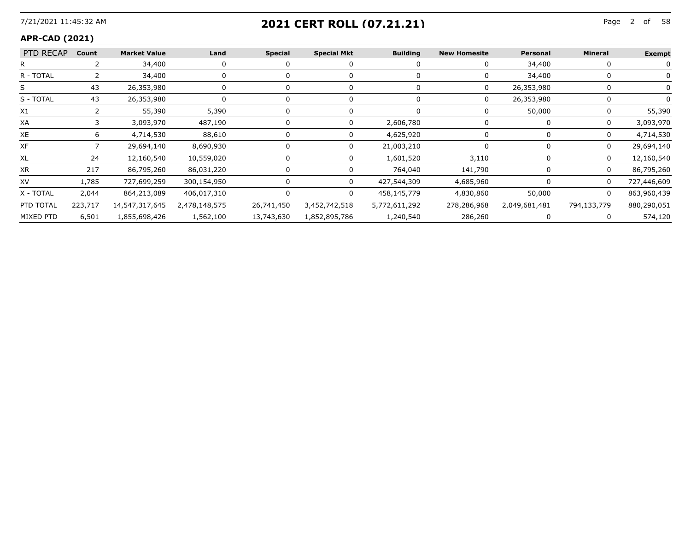## 7/21/2021 11:45:32 AM Page 2 of **2021 CERT ROLL (07.21.21)**

#### **APR-CAD (2021)**

| PTD RECAP | Count   | <b>Market Value</b> | Land          | Special    | <b>Special Mkt</b>       | <b>Building</b> | <b>New Homesite</b> | Personal      | <b>Mineral</b> | <b>Exempt</b> |
|-----------|---------|---------------------|---------------|------------|--------------------------|-----------------|---------------------|---------------|----------------|---------------|
|           |         | 34,400              |               |            |                          |                 |                     | 34,400        |                |               |
| R - TOTAL |         | 34,400              |               |            |                          |                 |                     | 34,400        |                |               |
| ⊃         | 43      | 26,353,980          |               |            |                          |                 | U                   | 26,353,980    |                |               |
| S - TOTAL | 43      | 26,353,980          |               |            |                          |                 |                     | 26,353,980    |                |               |
| X1        |         | 55,390              | 5,390         |            |                          |                 |                     | 50,000        |                | 55,390        |
| XА        |         | 3,093,970           | 487,190       |            |                          | 2,606,780       |                     |               |                | 3,093,970     |
| XE.       |         | 4,714,530           | 88,610        |            |                          | 4,625,920       |                     |               | 0              | 4,714,530     |
| ХF        |         | 29,694,140          | 8,690,930     |            |                          | 21,003,210      |                     |               |                | 29,694,140    |
| XL        | 24      | 12,160,540          | 10,559,020    |            |                          | 1,601,520       | 3,110               |               | 0              | 12,160,540    |
| XR        | 217     | 86,795,260          | 86,031,220    |            |                          | 764,040         | 141,790             |               |                | 86,795,260    |
| XV        | 1,785   | 727,699,259         | 300,154,950   |            |                          | 427,544,309     | 4,685,960           |               | 0              | 727,446,609   |
| X - TOTAL | 2,044   | 864,213,089         | 406,017,310   |            |                          | 458,145,779     | 4,830,860           | 50,000        | $\Omega$       | 863,960,439   |
| PTD TOTAL | 223,717 | 14,547,317,645      | 2,478,148,575 |            | 26,741,450 3,452,742,518 | 5,772,611,292   | 278,286,968         | 2,049,681,481 | 794,133,779    | 880,290,051   |
| MIXED PTD | 6,501   | 1,855,698,426       | 1,562,100     | 13,743,630 | 1,852,895,786            | 1,240,540       | 286,260             |               |                | 574,120       |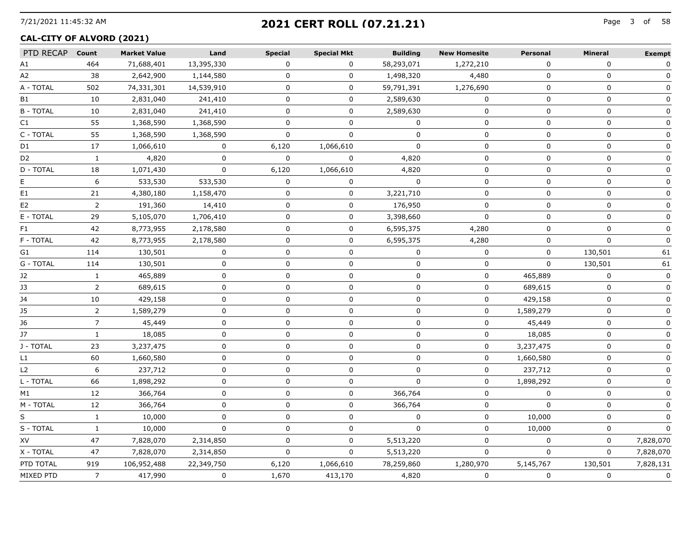# 7/21/2021 11:45:32 AM Page 3 of **2021 CERT ROLL (07.21.21)**

## **CAL-CITY OF ALVORD (2021)**

| PTD RECAP      | Count          | <b>Market Value</b> | Land        | <b>Special</b> | <b>Special Mkt</b> | <b>Building</b> | <b>New Homesite</b> | <b>Personal</b> | <b>Mineral</b> | <b>Exempt</b> |
|----------------|----------------|---------------------|-------------|----------------|--------------------|-----------------|---------------------|-----------------|----------------|---------------|
| A1             | 464            | 71,688,401          | 13,395,330  | 0              | 0                  | 58,293,071      | 1,272,210           | $\mathbf{0}$    | $\mathbf{0}$   | 0             |
| A2             | 38             | 2,642,900           | 1,144,580   | 0              | $\mathbf 0$        | 1,498,320       | 4,480               | 0               | $\mathbf 0$    | $\mathbf 0$   |
| A - TOTAL      | 502            | 74,331,301          | 14,539,910  | $\mathbf 0$    | 0                  | 59,791,391      | 1,276,690           | 0               | $\mathbf 0$    | 0             |
| <b>B1</b>      | 10             | 2,831,040           | 241,410     | $\mathbf 0$    | 0                  | 2,589,630       | $\mathbf 0$         | $\mathbf 0$     | $\mathbf 0$    | 0             |
| <b>B-TOTAL</b> | 10             | 2,831,040           | 241,410     | $\mathbf 0$    | $\overline{0}$     | 2,589,630       | $\mathbf 0$         | $\mathbf 0$     | $\mathbf 0$    | $\mathbf 0$   |
| C1             | 55             | 1,368,590           | 1,368,590   | $\Omega$       | 0                  | $\mathbf{0}$    | $\mathbf 0$         | $\Omega$        | $\mathbf{0}$   | 0             |
| C - TOTAL      | 55             | 1,368,590           | 1,368,590   | $\Omega$       | 0                  | $\Omega$        | $\mathbf 0$         | 0               | $\mathbf 0$    | $\mathbf 0$   |
| D1             | 17             | 1,066,610           | $\mathbf 0$ | 6,120          | 1,066,610          | $\Omega$        | $\mathbf{0}$        | $\Omega$        | $\mathbf{0}$   | 0             |
| D <sub>2</sub> | $\mathbf{1}$   | 4,820               | $\Omega$    | $\Omega$       | $\mathbf{0}$       | 4,820           | $\Omega$            | $\Omega$        | $\mathbf{0}$   | 0             |
| D - TOTAL      | 18             | 1,071,430           | $\Omega$    | 6,120          | 1,066,610          | 4,820           | $\Omega$            | $\Omega$        | $\mathbf{0}$   | $\mathbf 0$   |
| E              | 6              | 533,530             | 533,530     | $\Omega$       | $\mathbf 0$        | $\Omega$        | 0                   | $\Omega$        | 0              | $\Omega$      |
| E1             | 21             | 4,380,180           | 1,158,470   | 0              | 0                  | 3,221,710       | 0                   | 0               | $\mathbf 0$    | $\mathbf 0$   |
| E <sub>2</sub> | $\overline{2}$ | 191,360             | 14,410      | $\Omega$       | 0                  | 176,950         | $\mathbf 0$         | $\Omega$        | 0              | 0             |
| E - TOTAL      | 29             | 5,105,070           | 1,706,410   | $\Omega$       | 0                  | 3,398,660       | $\Omega$            | $\Omega$        | $\Omega$       | $\Omega$      |
| F1             | 42             | 8,773,955           | 2,178,580   | $\Omega$       | 0                  | 6,595,375       | 4,280               | $\mathbf 0$     | 0              | $\Omega$      |
| F - TOTAL      | 42             | 8,773,955           | 2,178,580   | $\Omega$       | 0                  | 6,595,375       | 4,280               | $\Omega$        | $\Omega$       | $\Omega$      |
| G1             | 114            | 130,501             | 0           | 0              | 0                  | $\Omega$        | 0                   | 0               | 130,501        | 61            |
| G - TOTAL      | 114            | 130,501             | $\mathbf 0$ | 0              | 0                  | $\mathbf{0}$    | 0                   | 0               | 130,501        | 61            |
| J2             | $\mathbf{1}$   | 465,889             | 0           | 0              | 0                  | 0               | 0                   | 465,889         | 0              |               |
| J3             | 2              | 689,615             | $\mathbf 0$ | 0              | 0                  | $\mathbf 0$     | 0                   | 689,615         | 0              | $\mathbf 0$   |
| J4             | 10             | 429,158             | 0           | 0              | 0                  | $\mathbf{0}$    | 0                   | 429,158         | 0              | 0             |
| <b>J5</b>      | 2              | 1,589,279           | 0           | 0              | 0                  | $\Omega$        | 0                   | 1,589,279       | 0              | 0             |
| J6             | 7              | 45,449              | 0           | 0              | 0                  | 0               | 0                   | 45,449          | 0              |               |
| J7             | $\mathbf{1}$   | 18,085              | $\Omega$    | $\Omega$       | 0                  | $\mathbf{0}$    | 0                   | 18,085          | $\Omega$       | 0             |
| J - TOTAL      | 23             | 3,237,475           | 0           | 0              | 0                  | $\mathbf{0}$    | 0                   | 3,237,475       | 0              | 0             |
| L1             | 60             | 1,660,580           | 0           | 0              | 0                  | $\mathbf{0}$    | 0                   | 1,660,580       | 0              | 0             |
| L <sub>2</sub> | 6              | 237,712             | 0           | 0              | 0                  | 0               | 0                   | 237,712         | 0              | 0             |
| L - TOTAL      | 66             | 1,898,292           | 0           | $\mathbf 0$    | 0                  | $\Omega$        | $\mathbf 0$         | 1,898,292       | $\mathbf 0$    | $\mathbf 0$   |
| M1             | 12             | 366,764             | 0           | 0              | 0                  | 366,764         | 0                   | $\Omega$        | 0              | 0             |
| M - TOTAL      | 12             | 366,764             | 0           | $\mathbf 0$    | 0                  | 366,764         | 0                   | $\mathbf 0$     | $\mathbf 0$    | 0             |
| S              | $\mathbf{1}$   | 10,000              | $\Omega$    | $\mathbf{0}$   | 0                  | $\Omega$        | 0                   | 10,000          | 0              | 0             |
| S - TOTAL      | $\mathbf{1}$   | 10,000              | $\Omega$    | $\Omega$       | $\Omega$           | $\Omega$        | $\Omega$            | 10,000          | $\mathbf{0}$   | $\Omega$      |
| XV             | 47             | 7,828,070           | 2,314,850   | $\mathbf 0$    | 0                  | 5,513,220       | 0                   | $\Omega$        | $\mathbf 0$    | 7,828,070     |
| X - TOTAL      | 47             | 7,828,070           | 2,314,850   | $\Omega$       | 0                  | 5,513,220       | $\mathbf 0$         | $\Omega$        | $\mathbf{0}$   | 7,828,070     |
| PTD TOTAL      | 919            | 106,952,488         | 22,349,750  | 6,120          | 1,066,610          | 78,259,860      | 1,280,970           | 5,145,767       | 130,501        | 7,828,131     |
| MIXED PTD      | $\overline{7}$ | 417,990             | $\mathbf 0$ | 1,670          | 413,170            | 4,820           | $\mathbf 0$         | $\mathbf 0$     | $\mathbf 0$    | $\mathbf 0$   |
|                |                |                     |             |                |                    |                 |                     |                 |                |               |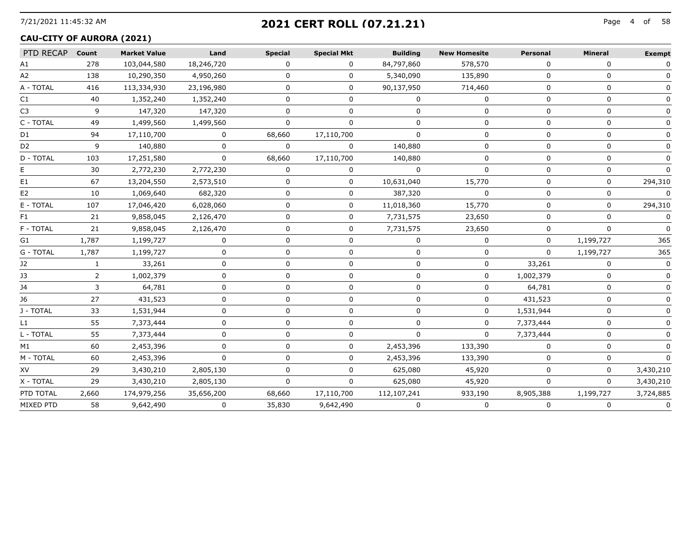## 7/21/2021 11:45:32 AM Page 4 of **2021 CERT ROLL (07.21.21)**

#### **CAU-CITY OF AURORA (2021)**

| PTD RECAP        | Count | <b>Market Value</b> | Land         | <b>Special</b> | <b>Special Mkt</b> | <b>Building</b> | <b>New Homesite</b> | Personal     | <b>Mineral</b> | <b>Exempt</b> |
|------------------|-------|---------------------|--------------|----------------|--------------------|-----------------|---------------------|--------------|----------------|---------------|
| Α1               | 278   | 103,044,580         | 18,246,720   | 0              | 0                  | 84,797,860      | 578,570             | 0            | 0              | <sup>n</sup>  |
| A <sub>2</sub>   | 138   | 10,290,350          | 4,950,260    | 0              | 0                  | 5,340,090       | 135,890             | n            | 0              |               |
| A - TOTAL        | 416   | 113,334,930         | 23,196,980   | <sup>n</sup>   | 0                  | 90,137,950      | 714,460             | $\Omega$     | $\Omega$       |               |
| C1               | 40    | 1,352,240           | 1,352,240    | n              | 0                  | $\Omega$        | 0                   | n            | U              |               |
| C <sub>3</sub>   | q     | 147,320             | 147,320      | n              | n                  |                 | U                   | n            | $\Omega$       |               |
| C - TOTAL        | 49    | 1,499,560           | 1,499,560    |                |                    |                 | $^{(1)}$            | O            | 0              |               |
| D1               | 94    | 17,110,700          | $\Omega$     | 68,660         | 17,110,700         | $\Omega$        | <sup>0</sup>        | ∩            | $\Omega$       |               |
| D2               | 9     | 140,880             | 0            |                | 0                  | 140,880         | $^{\circ}$          |              | 0              |               |
| D - TOTAL        | 103   | 17,251,580          | $\Omega$     | 68,660         | 17,110,700         | 140,880         | 0                   | $\Omega$     | 0              |               |
|                  | 30    | 2,772,230           | 2,772,230    | 0              | 0                  | $\Omega$        | 0                   |              | 0              |               |
| E1               | 67    | 13,204,550          | 2,573,510    |                | 0                  | 10,631,040      | 15,770              | n            | 0              | 294,310       |
| E2               | 10    | 1,069,640           | 682,320      |                | 0                  | 387,320         | O                   |              | 0              |               |
| E - TOTAL        | 107   | 17,046,420          | 6,028,060    |                | $\Omega$           | 11,018,360      | 15,770              | $\Omega$     | 0              | 294,310       |
| F1.              | 21    | 9,858,045           | 2,126,470    |                | 0                  | 7,731,575       | 23,650              | n            | $\Omega$       |               |
| F - TOTAL        | 21    | 9,858,045           | 2,126,470    | 0              | 0                  | 7,731,575       | 23,650              | 0            | 0              |               |
| G1               | 1,787 | 1,199,727           | $\Omega$     | 0              | 0                  | $\Omega$        | 0                   | $\Omega$     | 1,199,727      | 365           |
| G - TOTAL        | 1,787 | 1,199,727           | 0            | 0              | 0                  | 0               | 0                   | $\Omega$     | 1,199,727      | 365           |
| J2               |       | 33,261              | $\Omega$     | <sup>n</sup>   | 0                  | $\Omega$        | 0                   | 33,261       | 0              |               |
| JЗ               |       | 1,002,379           |              |                | n.                 |                 | 0                   | 1,002,379    | 0              |               |
| 14               | 3     | 64,781              | <sup>n</sup> | n              | <sup>n</sup>       | ∩               | 0                   | 64,781       | 0              |               |
| J6               | 27    | 431,523             | $\Omega$     | 0              | 0                  | 0               | 0                   | 431,523      | 0              |               |
| J - TOTAL        | 33    | 1,531,944           | <sup>n</sup> | n              | 0                  | $\Omega$        | 0                   | 1,531,944    | 0              |               |
| L1               | 55    | 7,373,444           |              |                | U                  | n               | 0                   | 7,373,444    | U              |               |
| L - TOTAL        | 55    | 7,373,444           | <sup>n</sup> | U              | 0                  | $\Omega$        | 0                   | 7,373,444    | 0              |               |
| M1               | 60    | 2,453,396           | $\Omega$     | 0              | 0                  | 2,453,396       | 133,390             | 0            | 0              |               |
| M - TOTAL        | 60    | 2,453,396           |              |                | 0                  | 2,453,396       | 133,390             |              |                |               |
| XV               | 29    | 3,430,210           | 2,805,130    |                | 0                  | 625,080         | 45,920              | n            | O              | 3,430,210     |
| X - TOTAL        | 29    | 3,430,210           | 2,805,130    | <sup>n</sup>   | 0                  | 625,080         | 45,920              | <sup>0</sup> | $\Omega$       | 3,430,210     |
| PTD TOTAL        | 2,660 | 174,979,256         | 35,656,200   | 68,660         | 17,110,700         | 112,107,241     | 933,190             | 8,905,388    | 1,199,727      | 3,724,885     |
| <b>MIXED PTD</b> | 58    | 9,642,490           | 0            | 35,830         | 9,642,490          | $\Omega$        | 0                   | 0            | 0              | 0             |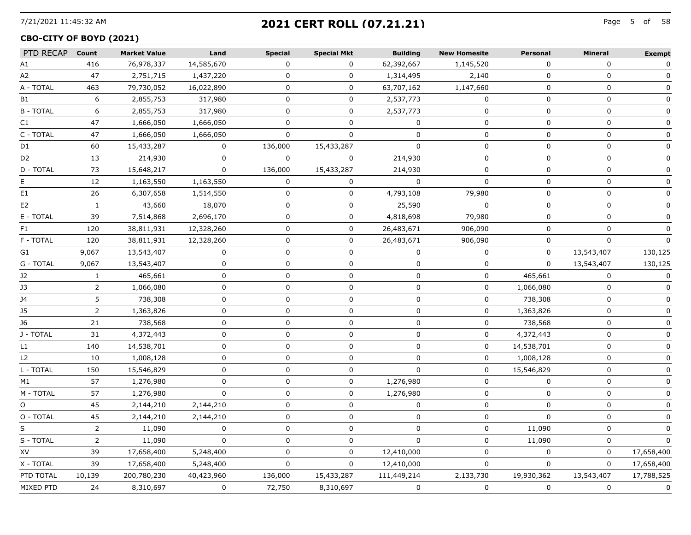# 7/21/2021 11:45:32 AM Page 5 of **2021 CERT ROLL (07.21.21)**

## **CBO-CITY OF BOYD (2021)**

| PTD RECAP Count |                | <b>Market Value</b> | Land         | <b>Special</b> | <b>Special Mkt</b> | <b>Building</b> | <b>New Homesite</b> | Personal    | <b>Mineral</b> | <b>Exempt</b> |
|-----------------|----------------|---------------------|--------------|----------------|--------------------|-----------------|---------------------|-------------|----------------|---------------|
| A1              | 416            | 76,978,337          | 14,585,670   | $\mathbf 0$    | $\mathbf 0$        | 62,392,667      | 1,145,520           | 0           | $\Omega$       | $\mathbf 0$   |
| A2              | 47             | 2,751,715           | 1,437,220    | 0              | $\mathbf 0$        | 1,314,495       | 2,140               | $\mathbf 0$ | $\mathbf 0$    | $\mathbf 0$   |
| A - TOTAL       | 463            | 79,730,052          | 16,022,890   | $\mathbf 0$    | 0                  | 63,707,162      | 1,147,660           | $\mathbf 0$ | $\mathbf 0$    | $\mathbf 0$   |
| B1              | 6              | 2,855,753           | 317,980      | 0              | 0                  | 2,537,773       | 0                   | 0           | 0              | 0             |
| <b>B-TOTAL</b>  | 6              | 2,855,753           | 317,980      | 0              | 0                  | 2,537,773       | 0                   | $\mathbf 0$ | 0              | 0             |
| C1              | 47             | 1,666,050           | 1,666,050    | 0              | 0                  | 0               | 0                   | 0           | 0              | 0             |
| C - TOTAL       | 47             | 1,666,050           | 1,666,050    | $\mathsf{O}$   | 0                  | $\mathbf 0$     | 0                   | $\mathbf 0$ | 0              | $\mathbf 0$   |
| D1              | 60             | 15,433,287          | 0            | 136,000        | 15,433,287         | 0               | 0                   | 0           | 0              | 0             |
| D <sub>2</sub>  | 13             | 214,930             | 0            | $\mathbf 0$    | 0                  | 214,930         | 0                   | 0           | 0              | 0             |
| D - TOTAL       | 73             | 15,648,217          | 0            | 136,000        | 15,433,287         | 214,930         | 0                   | 0           | 0              | 0             |
| Е               | 12             | 1,163,550           | 1,163,550    | 0              | 0                  | $\Omega$        | $\mathbf 0$         | 0           | 0              | 0             |
| E1              | 26             | 6,307,658           | 1,514,550    | 0              | 0                  | 4,793,108       | 79,980              | 0           | 0              | 0             |
| E2              | $\mathbf{1}$   | 43,660              | 18,070       | 0              | 0                  | 25,590          | 0                   | 0           | 0              | 0             |
| E - TOTAL       | 39             | 7,514,868           | 2,696,170    | $\mathbf 0$    | 0                  | 4,818,698       | 79,980              | $\mathbf 0$ | 0              | 0             |
| F1              | 120            | 38,811,931          | 12,328,260   | 0              | 0                  | 26,483,671      | 906,090             | 0           | $\mathbf 0$    | 0             |
| F - TOTAL       | 120            | 38,811,931          | 12,328,260   | $\Omega$       | 0                  | 26,483,671      | 906,090             | 0           | $\mathbf 0$    | $\mathbf{0}$  |
| G1              | 9,067          | 13,543,407          | 0            | 0              | 0                  | 0               | 0                   | 0           | 13,543,407     | 130,125       |
| G - TOTAL       | 9,067          | 13,543,407          | $\mathbf 0$  | 0              | 0                  | $\mathbf 0$     | 0                   | $\mathbf 0$ | 13,543,407     | 130,125       |
| J2              | $\mathbf{1}$   | 465,661             | $\mathbf 0$  | 0              | 0                  | 0               | $\mathbf 0$         | 465,661     | 0              | 0             |
| J3              | 2              | 1,066,080           | 0            | $\Omega$       | 0                  | 0               | 0                   | 1,066,080   | $\mathbf 0$    | $\mathbf{0}$  |
| J4              | 5              | 738,308             | 0            | 0              | 0                  | 0               | 0                   | 738,308     | 0              | $\mathbf{0}$  |
| J5              | $\overline{2}$ | 1,363,826           | 0            | 0              | 0                  | 0               | 0                   | 1,363,826   | 0              | $\mathbf{0}$  |
| J6              | 21             | 738,568             | $\mathbf 0$  | $\Omega$       | 0                  | 0               | $\mathbf 0$         | 738,568     | $\mathbf 0$    | $\mathbf{0}$  |
| J - TOTAL       | 31             | 4,372,443           | 0            | $\Omega$       | 0                  | 0               | 0                   | 4,372,443   | $\mathbf 0$    | $\mathbf{0}$  |
| L1              | 140            | 14,538,701          | $\mathbf 0$  | 0              | 0                  | 0               | $\mathbf 0$         | 14,538,701  | $\mathbf 0$    | $\mathbf 0$   |
| L <sub>2</sub>  | 10             | 1,008,128           | $\mathbf 0$  | 0              | 0                  | 0               | $\Omega$            | 1,008,128   | 0              | $\mathbf 0$   |
| L - TOTAL       | 150            | 15,546,829          | $\mathbf{0}$ | 0              | 0                  | $\mathbf{0}$    | $\mathbf 0$         | 15,546,829  | $\mathbf 0$    | $\mathbf 0$   |
| M1              | 57             | 1,276,980           | 0            | 0              | 0                  | 1,276,980       | 0                   | $\Omega$    | $\mathbf 0$    | 0             |
| M - TOTAL       | 57             | 1,276,980           | $\mathbf 0$  | 0              | 0                  | 1,276,980       | 0                   | 0           | 0              | 0             |
| $\circ$         | 45             | 2,144,210           | 2,144,210    | 0              | 0                  | $\mathbf 0$     | $\mathbf 0$         | $\mathbf 0$ | $\mathbf 0$    | 0             |
| O - TOTAL       | 45             | 2,144,210           | 2,144,210    | 0              | 0                  | $\mathbf 0$     | $\mathbf 0$         | $\Omega$    | $\mathbf 0$    | 0             |
| S               | $\overline{2}$ | 11,090              | 0            | $\Omega$       | $\Omega$           | $\Omega$        | $\pmb{0}$           | 11,090      | $\mathbf 0$    | $\mathbf{0}$  |
| S - TOTAL       | $\overline{2}$ | 11,090              | $\mathbf 0$  | 0              | 0                  | $\Omega$        | 0                   | 11,090      | 0              | $\Omega$      |
| XV              | 39             | 17,658,400          | 5,248,400    | $\Omega$       | 0                  | 12,410,000      | $\mathbf 0$         | $\Omega$    | $\mathbf 0$    | 17,658,400    |
| X - TOTAL       | 39             | 17,658,400          | 5,248,400    | $\Omega$       | $\Omega$           | 12,410,000      | $\Omega$            | $\Omega$    | 0              | 17,658,400    |
| PTD TOTAL       | 10,139         | 200,780,230         | 40,423,960   | 136,000        | 15,433,287         | 111,449,214     | 2,133,730           | 19,930,362  | 13,543,407     | 17,788,525    |
| MIXED PTD       | 24             | 8,310,697           | $\mathbf 0$  | 72,750         | 8,310,697          | $\mathbf 0$     | 0                   | $\mathbf 0$ | $\mathbf 0$    | $\pmb{0}$     |
|                 |                |                     |              |                |                    |                 |                     |             |                |               |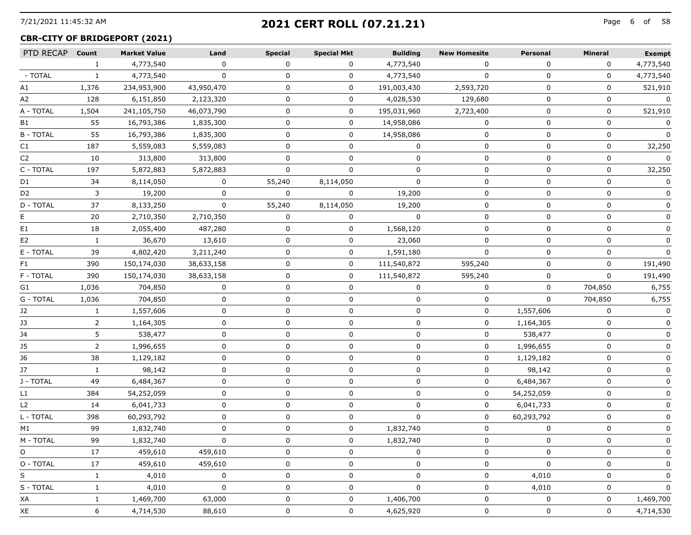# 7/21/2021 11:45:32 AM Page 6 of **2021 CERT ROLL (07.21.21)**

## **CBR-CITY OF BRIDGEPORT (2021)**

| PTD RECAP Count |                | <b>Market Value</b> | Land       | <b>Special</b> | <b>Special Mkt</b> | <b>Building</b> | <b>New Homesite</b> | Personal   | Mineral  | <b>Exempt</b> |
|-----------------|----------------|---------------------|------------|----------------|--------------------|-----------------|---------------------|------------|----------|---------------|
|                 | $\mathbf{1}$   | 4,773,540           | $\Omega$   | 0              | $\Omega$           | 4,773,540       | $\Omega$            | $\Omega$   | $\Omega$ | 4,773,540     |
| - TOTAL         |                | 4,773,540           |            |                | 0                  | 4,773,540       | $\Omega$            | $\Omega$   | 0        | 4,773,540     |
| A1              | 1,376          | 234,953,900         | 43,950,470 | 0              | 0                  | 191,003,430     | 2,593,720           | $\Omega$   | 0        | 521,910       |
| A2              | 128            | 6,151,850           | 2,123,320  | 0              | 0                  | 4,028,530       | 129,680             | $\Omega$   | 0        | $\Omega$      |
| A - TOTAL       | 1,504          | 241,105,750         | 46,073,790 | 0              | 0                  | 195,031,960     | 2,723,400           | $\Omega$   | 0        | 521,910       |
| B1              | 55             | 16,793,386          | 1,835,300  | U              | 0                  | 14,958,086      |                     | $\Omega$   | 0        |               |
| <b>B-TOTAL</b>  | 55             | 16,793,386          | 1,835,300  | 0              | 0                  | 14,958,086      | 0                   | 0          | 0        | 0             |
| C1              | 187            | 5,559,083           | 5,559,083  | 0              | 0                  | $\Omega$        | $\mathbf{0}$        | $\Omega$   | $\Omega$ | 32,250        |
| C2              | 10             | 313,800             | 313,800    | 0              | 0                  |                 | 0                   | $\Omega$   | 0        | $\Omega$      |
| C - TOTAL       | 197            | 5,872,883           | 5,872,883  | <sup>n</sup>   | $\Omega$           | $\Omega$        | O                   | $\Omega$   | 0        | 32,250        |
| D1              | 34             | 8,114,050           | 0          | 55,240         | 8,114,050          |                 | O                   | n          | O        | 0             |
| D2              | 3              | 19,200              | 0          | $\Omega$       | $\Omega$           | 19,200          | ŋ                   | $\Omega$   | 0        |               |
| D - TOTAL       | 37             | 8,133,250           | $\Omega$   | 55,240         | 8,114,050          | 19,200          | 0                   | $\Omega$   | 0        | 0             |
|                 | 20             | 2,710,350           | 2,710,350  |                | U                  |                 | O                   | ∩          | O        |               |
| E1              | 18             | 2,055,400           | 487,280    |                | 0                  | 1,568,120       | O                   | n          | O        |               |
| E2              | 1              | 36,670              | 13,610     | 0              | 0                  | 23,060          | 0                   | $\Omega$   | 0        | 0             |
| E - TOTAL       | 39             | 4,802,420           | 3,211,240  | 0              | 0                  | 1,591,180       | $\Omega$            | $\Omega$   | $\Omega$ | $\Omega$      |
| F1.             | 390            | 150,174,030         | 38,633,158 |                | 0                  | 111,540,872     | 595,240             |            | O        | 191,490       |
| F - TOTAL       | 390            | 150,174,030         | 38,633,158 | O              | 0                  | 111,540,872     | 595,240             | $\Omega$   | $\Omega$ | 191,490       |
| G1              | 1,036          | 704,850             | 0          | 0              | 0                  | 0               | 0                   | 0          | 704,850  | 6,755         |
| G - TOTAL       | 1,036          | 704,850             | 0          | 0              | 0                  | $\Omega$        | $\mathbf{0}$        | $\Omega$   | 704,850  | 6,755         |
| J2              | 1              | 1,557,606           | 0          | O              | 0                  | 0               | 0                   | 1,557,606  | 0        | $\mathbf{0}$  |
| J3              | 2              | 1,164,305           | n          | U              | 0                  |                 | 0                   | 1,164,305  | 0        | 0             |
| J4              | 5              | 538,477             | 0          | 0              | 0                  | 0               | 0                   | 538,477    | 0        | 0             |
| 35              | $\overline{2}$ | 1,996,655           | $\Omega$   | 0              | 0                  | 0               | 0                   | 1,996,655  | 0        | 0             |
| J6              | 38             | 1,129,182           | n          | U              | 0                  | O               | 0                   | 1,129,182  | 0        | 0             |
| J7              | $\mathbf{1}$   | 98,142              | 0          | 0              | 0                  | 0               | 0                   | 98,142     | 0        | 0             |
| J - TOTAL       | 49             | 6,484,367           | 0          | 0              | 0                  | 0               | 0                   | 6,484,367  | 0        | 0             |
| L1              | 384            | 54,252,059          | 0          | 0              | 0                  | 0               | 0                   | 54,252,059 | 0        | 0             |
| L <sub>2</sub>  | 14             | 6,041,733           | n          | <sup>n</sup>   | 0                  |                 | $\mathbf{0}$        | 6,041,733  | $\Omega$ | $\Omega$      |
| L - TOTAL       | 398            | 60,293,792          | n          | O              | 0                  | <sup>n</sup>    | 0                   | 60,293,792 | 0        |               |
| M1              | 99             | 1,832,740           | 0          | 0              | 0                  | 1,832,740       | 0                   | $\Omega$   | 0        |               |
| M - TOTAL       | 99             | 1,832,740           |            |                | 0                  | 1,832,740       | <sup>0</sup>        | 0          | 0        |               |
| $\circ$         | 17             | 459,610             | 459,610    |                | 0                  |                 | O                   | $\Omega$   | $\Omega$ | 0             |
| O - TOTAL       | 17             | 459,610             | 459,610    |                | 0                  |                 | 0                   | 0          | 0        | O             |
| S               |                | 4,010               | 0          |                | 0                  |                 | O                   | 4,010      | 0        | 0             |
| S - TOTAL       |                | 4,010               | 0          |                | 0                  |                 | O                   | 4,010      | 0        | 0             |
| XA              | 1              | 1,469,700           | 63,000     | O              | 0                  | 1,406,700       | 0                   | 0          | 0        | 1,469,700     |
| XE              | 6              | 4,714,530           | 88,610     | 0              | 0                  | 4,625,920       | 0                   | 0          | 0        | 4,714,530     |
|                 |                |                     |            |                |                    |                 |                     |            |          |               |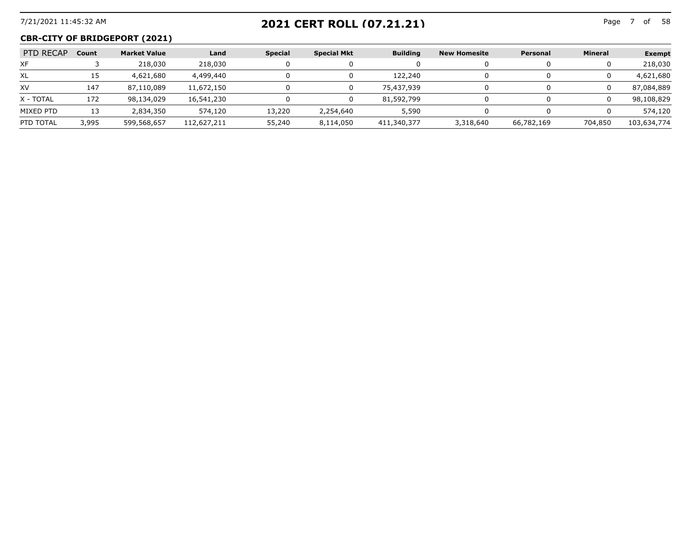## 7/21/2021 11:45:32 AM Page 7 of **2021 CERT ROLL (07.21.21)**

## **CBR-CITY OF BRIDGEPORT (2021)**

| PTD RECAP | Count | <b>Market Value</b> | Land        | <b>Special</b> | <b>Special Mkt</b> | <b>Building</b> | <b>New Homesite</b> | Personal   | <b>Mineral</b> | <b>Exempt</b> |
|-----------|-------|---------------------|-------------|----------------|--------------------|-----------------|---------------------|------------|----------------|---------------|
| XF        |       | 218,030             | 218,030     |                |                    |                 |                     |            |                | 218,030       |
| XL        | ᅭ     | 4,621,680           | 4,499,440   |                |                    | 122,240         |                     |            |                | 4,621,680     |
| XV        | 147   | 87,110,089          | 11,672,150  |                |                    | 75,437,939      |                     |            |                | 87,084,889    |
| X - TOTAL | 172   | 98,134,029          | 16,541,230  |                |                    | 81,592,799      |                     |            |                | 98,108,829    |
| MIXED PTD | 13    | 2,834,350           | 574,120     | 13,220         | 2,254,640          | 5,590           |                     |            |                | 574,120       |
| PTD TOTAL | 3,995 | 599,568,657         | 112,627,211 | 55,240         | 8,114,050          | 411,340,377     | 3,318,640           | 66,782,169 | 704,850        | 103,634,774   |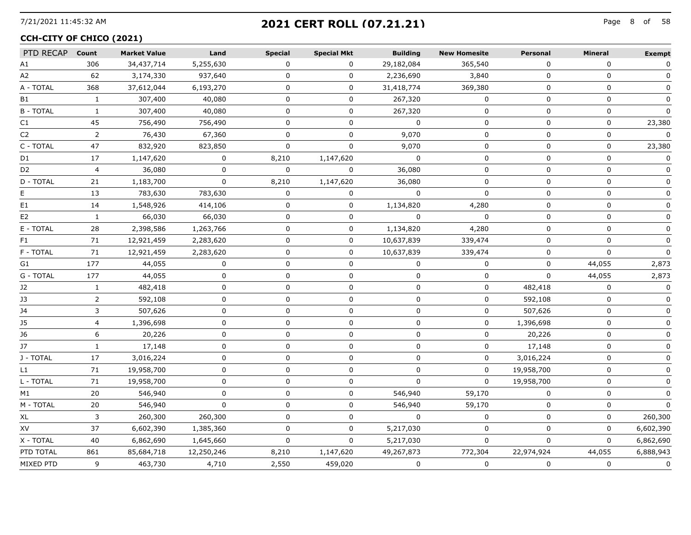# 7/21/2021 11:45:32 AM Page 8 of **2021 CERT ROLL (07.21.21)**

#### **CCH-CITY OF CHICO (2021)**

| PTD RECAP Count |                | <b>Market Value</b> | Land         | <b>Special</b> | <b>Special Mkt</b> | <b>Building</b> | <b>New Homesite</b> | Personal   | <b>Mineral</b> | <b>Exempt</b> |
|-----------------|----------------|---------------------|--------------|----------------|--------------------|-----------------|---------------------|------------|----------------|---------------|
| А1              | 306            | 34,437,714          | 5,255,630    | $\Omega$       | $\mathbf{0}$       | 29,182,084      | 365,540             | $\Omega$   | $\Omega$       | $\mathbf 0$   |
| A2              | 62             | 3,174,330           | 937,640      | $\Omega$       | 0                  | 2,236,690       | 3,840               | $\Omega$   | $\Omega$       | $\Omega$      |
| A - TOTAL       | 368            | 37,612,044          | 6,193,270    | U              | 0                  | 31,418,774      | 369,380             | $\Omega$   | $\Omega$       |               |
| B1              | 1              | 307,400             | 40,080       | 0              | 0                  | 267,320         | 0                   | $\Omega$   | $\mathbf 0$    | $\Omega$      |
| <b>B-TOTAL</b>  | 1              | 307,400             | 40,080       | 0              | 0                  | 267,320         | 0                   | $\Omega$   | $\mathbf 0$    | $\Omega$      |
| C1              | 45             | 756,490             | 756,490      | 0              | 0                  | $\Omega$        | 0                   | 0          | 0              | 23,380        |
| C2              | 2              | 76,430              | 67,360       |                |                    | 9,070           | O                   | $\Omega$   | 0              | $\Omega$      |
| C - TOTAL       | 47             | 832,920             | 823,850      | 0              | 0                  | 9,070           | 0                   | 0          | 0              | 23,380        |
| D1              | 17             | 1,147,620           | $\mathbf{0}$ | 8,210          | 1,147,620          | $\Omega$        | 0                   | $\Omega$   | 0              | $\Omega$      |
| D2              | $\overline{4}$ | 36,080              | $\Omega$     | $\Omega$       | $\Omega$           | 36,080          | 0                   | 0          | $\mathbf 0$    | $\Omega$      |
| D - TOTAL       | 21             | 1,183,700           | $\Omega$     | 8,210          | 1,147,620          | 36,080          | $\Omega$            | 0          | $\mathbf 0$    | 0             |
| E.              | 13             | 783,630             | 783,630      | $\Omega$       | 0                  | $\Omega$        | $\mathbf 0$         | 0          | $\mathbf 0$    | 0             |
| E1              | 14             | 1,548,926           | 414,106      | $\Omega$       | 0                  | 1,134,820       | 4,280               | $\Omega$   | $\Omega$       | $\Omega$      |
| E <sub>2</sub>  | 1              | 66,030              | 66,030       | 0              | 0                  | $\mathbf{0}$    | 0                   | 0          | 0              | 0             |
| E - TOTAL       | 28             | 2,398,586           | 1,263,766    | $\Omega$       | 0                  | 1,134,820       | 4,280               | $\Omega$   | $\Omega$       | $\Omega$      |
| F1              | 71             | 12,921,459          | 2,283,620    | 0              | 0                  | 10,637,839      | 339,474             | $\Omega$   | $\Omega$       |               |
| F - TOTAL       | 71             | 12,921,459          | 2,283,620    | 0              | 0                  | 10,637,839      | 339,474             | $\Omega$   | 0              |               |
| G1              | 177            | 44,055              | 0            | 0              | 0                  | 0               | 0                   | 0          | 44,055         | 2,873         |
| G - TOTAL       | 177            | 44,055              | 0            | 0              | 0                  | O               | 0                   | $\Omega$   | 44,055         | 2,873         |
| J2              | 1              | 482,418             | 0            | 0              | 0                  | 0               | 0                   | 482,418    | 0              | 0             |
| JЗ              | $\overline{2}$ | 592,108             | $\mathbf 0$  | $\mathbf 0$    | 0                  | $\mathbf 0$     | $\mathbf 0$         | 592,108    | $\mathbf 0$    | $\Omega$      |
| J4              | 3              | 507,626             | $\Omega$     | 0              | 0                  | $\Omega$        | 0                   | 507,626    | $\mathbf 0$    | 0             |
| 35              | $\overline{4}$ | 1,396,698           | $\Omega$     | $\Omega$       | 0                  | 0               | 0                   | 1,396,698  | $\Omega$       | 0             |
| J6              | 6              | 20,226              | $\mathbf{0}$ | 0              | 0                  | $\Omega$        | 0                   | 20,226     | $\Omega$       | 0             |
| J7              | $\mathbf{1}$   | 17,148              | $\Omega$     | 0              | 0                  | 0               | $\Omega$            | 17,148     | $\Omega$       | 0             |
| J - TOTAL       | 17             | 3,016,224           | $\Omega$     | 0              | 0                  | $\Omega$        | $\Omega$            | 3,016,224  | $\Omega$       |               |
| L1              | 71             | 19,958,700          | $\Omega$     | 0              | 0                  | 0               | $\Omega$            | 19,958,700 | 0              |               |
| L - TOTAL       | 71             | 19,958,700          | $\Omega$     | 0              | 0                  | $\Omega$        | $\Omega$            | 19,958,700 | $\mathbf 0$    |               |
| M1              | 20             | 546,940             | ŋ            | 0              | 0                  | 546,940         | 59,170              | 0          | 0              |               |
| M - TOTAL       | 20             | 546,940             | $\Omega$     | 0              | 0                  | 546,940         | 59,170              | $\Omega$   | $\mathbf{0}$   | <sup>0</sup>  |
| XL              | 3              | 260,300             | 260,300      | 0              | 0                  | $\Omega$        | 0                   | 0          | 0              | 260,300       |
| XV              | 37             | 6,602,390           | 1,385,360    | $\Omega$       | 0                  | 5,217,030       | 0                   | $\Omega$   | 0              | 6,602,390     |
| X - TOTAL       | 40             | 6,862,690           | 1,645,660    | $\Omega$       | 0                  | 5,217,030       | $\mathbf{0}$        | $\Omega$   | $\Omega$       | 6,862,690     |
| PTD TOTAL       | 861            | 85,684,718          | 12,250,246   | 8,210          | 1,147,620          | 49,267,873      | 772,304             | 22,974,924 | 44,055         | 6,888,943     |
| MIXED PTD       | 9              | 463,730             | 4,710        | 2,550          | 459,020            | $\mathbf{0}$    | $\mathbf 0$         | 0          | $\mathbf 0$    | $\mathbf 0$   |
|                 |                |                     |              |                |                    |                 |                     |            |                |               |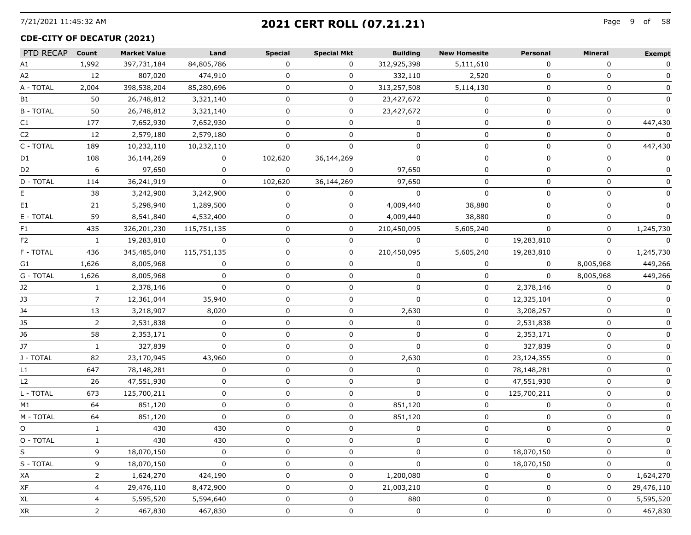# 7/21/2021 11:45:32 AM Page 9 of **2021 CERT ROLL (07.21.21)**

#### **CDE-CITY OF DECATUR (2021)**

| PTD RECAP      | Count        | <b>Market Value</b> | Land        | <b>Special</b> | <b>Special Mkt</b> | <b>Building</b> | <b>New Homesite</b> | Personal    | Mineral      | <b>Exempt</b> |
|----------------|--------------|---------------------|-------------|----------------|--------------------|-----------------|---------------------|-------------|--------------|---------------|
| A1             | 1,992        | 397,731,184         | 84,805,786  | $\Omega$       | $\Omega$           | 312,925,398     | 5,111,610           | $\Omega$    | $\Omega$     | 0             |
| A2             | 12           | 807,020             | 474,910     |                | 0                  | 332,110         | 2,520               | 0           | 0            |               |
| A - TOTAL      | 2,004        | 398,538,204         | 85,280,696  | 0              | 0                  | 313,257,508     | 5,114,130           | 0           | 0            |               |
| B1             | 50           | 26,748,812          | 3,321,140   | 0              | 0                  | 23,427,672      | 0                   | 0           | 0            | 0             |
| <b>B-TOTAL</b> | 50           | 26,748,812          | 3,321,140   | $\Omega$       | $\Omega$           | 23,427,672      | $\mathbf{0}$        | $\Omega$    | $\mathbf{0}$ | $\Omega$      |
| C1             | 177          | 7,652,930           | 7,652,930   | 0              | 0                  |                 | 0                   | $\Omega$    | 0            | 447,430       |
| C2             | 12           | 2,579,180           | 2,579,180   | $\Omega$       | 0                  | 0               | 0                   | 0           | 0            | 0             |
| C - TOTAL      | 189          | 10,232,110          | 10,232,110  | $\Omega$       | 0                  | 0               | 0                   | 0           | 0            | 447,430       |
| D1             | 108          | 36,144,269          | $\Omega$    | 102,620        | 36,144,269         | $\Omega$        | 0                   | $\Omega$    | $\Omega$     | 0             |
| D2             | 6            | 97,650              | $\Omega$    | $\Omega$       |                    | 97,650          | U                   | $\Omega$    | 0            |               |
| D - TOTAL      | 114          | 36,241,919          | 0           | 102,620        | 36,144,269         | 97,650          | 0                   | 0           | 0            |               |
| E.             | 38           | 3,242,900           | 3,242,900   | $\Omega$       | $\Omega$           | $\Omega$        | 0                   | 0           | 0            |               |
| E1             | 21           | 5,298,940           | 1,289,500   | $\Omega$       | 0                  | 4,009,440       | 38,880              | $\Omega$    | 0            | 0             |
| E - TOTAL      | 59           | 8,541,840           | 4,532,400   | 0              | 0                  | 4,009,440       | 38,880              |             | 0            |               |
| F1             | 435          | 326,201,230         | 115,751,135 | 0              | 0                  | 210,450,095     | 5,605,240           | 0           | 0            | 1,245,730     |
| F <sub>2</sub> | $\mathbf{1}$ | 19,283,810          | 0           | 0              | 0                  | $\Omega$        | $\mathbf 0$         | 19,283,810  | 0            | $\Omega$      |
| F - TOTAL      | 436          | 345,485,040         | 115,751,135 | 0              | 0                  | 210,450,095     | 5,605,240           | 19,283,810  | 0            | 1,245,730     |
| G1             | 1,626        | 8,005,968           | $\Omega$    | U              | 0                  | $\Omega$        | 0                   | $\Omega$    | 8,005,968    | 449,266       |
| G - TOTAL      | 1,626        | 8,005,968           | 0           | 0              | 0                  | 0               | 0                   | $\Omega$    | 8,005,968    | 449,266       |
| J2             | 1            | 2,378,146           | $\Omega$    | 0              | 0                  | $\Omega$        | 0                   | 2,378,146   | 0            | 0             |
| J3             | 7            | 12,361,044          | 35,940      | 0              | 0                  | $\Omega$        | 0                   | 12,325,104  | 0            | 0             |
| J4             | 13           | 3,218,907           | 8,020       | 0              | 0                  | 2,630           | 0                   | 3,208,257   | 0            |               |
| J5             | 2            | 2,531,838           | 0           | 0              | 0                  | 0               | 0                   | 2,531,838   | 0            |               |
| J6             | 58           | 2,353,171           | 0           | 0              | 0                  | $\Omega$        | 0                   | 2,353,171   | 0            |               |
| J7             | $\mathbf{1}$ | 327,839             | $\Omega$    | 0              | 0                  | $\mathbf{0}$    | 0                   | 327,839     | 0            | ŋ             |
| J - TOTAL      | 82           | 23,170,945          | 43,960      | $\Omega$       | 0                  | 2,630           | 0                   | 23,124,355  | 0            |               |
| L1             | 647          | 78,148,281          | 0           | 0              | 0                  | 0               | 0                   | 78,148,281  | 0            |               |
| L <sub>2</sub> | 26           | 47,551,930          | 0           | 0              | 0                  | $\Omega$        | 0                   | 47,551,930  | 0            |               |
| L - TOTAL      | 673          | 125,700,211         | 0           | 0              | 0                  | $\Omega$        | 0                   | 125,700,211 | 0            |               |
| M1             | 64           | 851,120             | $\Omega$    | $\Omega$       | 0                  | 851,120         | 0                   | ∩           | 0            |               |
| M - TOTAL      | 64           | 851,120             | 0           | 0              | 0                  | 851,120         | 0                   | 0           | 0            |               |
| O              | $\mathbf{1}$ | 430                 | 430         | 0              | 0                  | 0               | 0                   | 0           | 0            |               |
| O - TOTAL      |              | 430                 | 430         | <sup>n</sup>   | U                  |                 | U                   | 0           | 0            |               |
| S              | 9            | 18,070,150          | $\Omega$    | 0              | U                  |                 | 0                   | 18,070,150  | 0            |               |
| S - TOTAL      | 9            | 18,070,150          | 0           | O              | 0                  |                 | 0                   | 18,070,150  | 0            | 0             |
| ХA             | 2            | 1,624,270           | 424,190     | O              | 0                  | 1,200,080       | 0                   | 0           | 0            | 1,624,270     |
| XF             | 4            | 29,476,110          | 8,472,900   | U              | 0                  | 21,003,210      | 0                   | 0           | 0            | 29,476,110    |
| XL             | 4            | 5,595,520           | 5,594,640   | 0              | 0                  | 880             | 0                   | 0           | 0            | 5,595,520     |
| XR             | 2            | 467,830             | 467,830     | 0              | -------<br>0       | 0               | 0                   | 0           | 0            | 467,830       |
|                |              |                     |             |                |                    |                 |                     |             |              |               |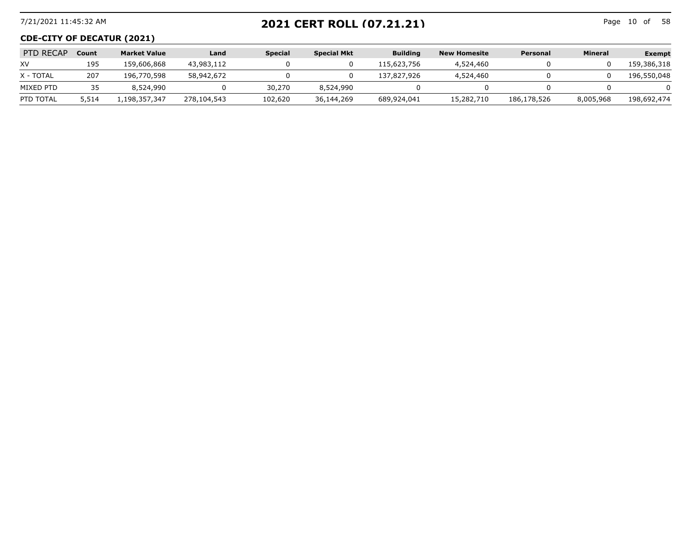## 7/21/2021 11:45:32 AM Page 10 of **2021 CERT ROLL (07.21.21)**

Page 10 of 58

#### **CDE-CITY OF DECATUR (2021)**

| PTD RECAP | Count | <b>Market Value</b> | Land        | <b>Special</b> | <b>Special Mkt</b> | <b>Building</b> | <b>New Homesite</b> | Personal    | <b>Mineral</b> | <b>Exempt</b> |
|-----------|-------|---------------------|-------------|----------------|--------------------|-----------------|---------------------|-------------|----------------|---------------|
| XV        | 195   | 159,606,868         | 43,983,112  |                |                    | 115,623,756     | 4,524,460           |             |                | 159,386,318   |
| X - TOTAL | 207   | 196,770,598         | 58,942,672  |                |                    | 137,827,926     | 4,524,460           |             |                | 196,550,048   |
| MIXED PTD | 35    | 8,524,990           |             | 30,270         | 8,524,990          |                 |                     |             |                |               |
| PTD TOTAL | 5,514 | l,198,357,347       | 278,104,543 | 102,620        | 36,144,269         | 689,924,041     | 15,282,710          | 186,178,526 | 8,005,968      | 198,692,474   |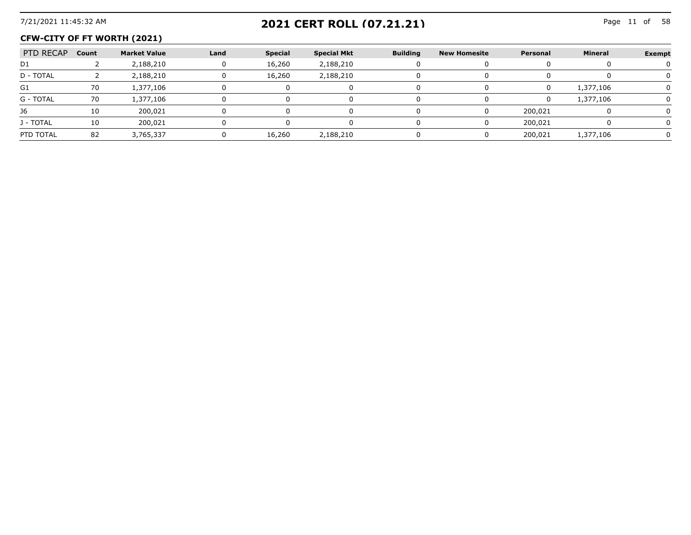# 7/21/2021 11:45:32 AM Page 11 of **2021 CERT ROLL (07.21.21)**

#### **CFW-CITY OF FT WORTH (2021)**

| PTD RECAP | Count | <b>Market Value</b> | Land | <b>Special</b> | <b>Special Mkt</b> | <b>Building</b> | New Homesite | Personal | <b>Mineral</b> | <b>Exempt</b> |
|-----------|-------|---------------------|------|----------------|--------------------|-----------------|--------------|----------|----------------|---------------|
| D1        |       | 2,188,210           |      | 16,260         | 2,188,210          |                 |              |          |                |               |
| D - TOTAL |       | 2,188,210           |      | 16,260         | 2,188,210          |                 |              |          |                |               |
| G1        | 70    | 1,377,106           |      |                |                    |                 |              |          | 1,377,106      |               |
| G - TOTAL | 70    | 1,377,106           |      |                |                    |                 |              |          | 1,377,106      |               |
| J6        |       | 200.021             |      |                |                    |                 |              | 200,021  |                |               |
| J - TOTAL |       | 200.021             |      |                |                    |                 |              | 200,021  |                |               |
| PTD TOTAL | 82    | 3.765.337           |      | 16.260         | 2,188,210          |                 |              | 200.021  | 1.377.106      |               |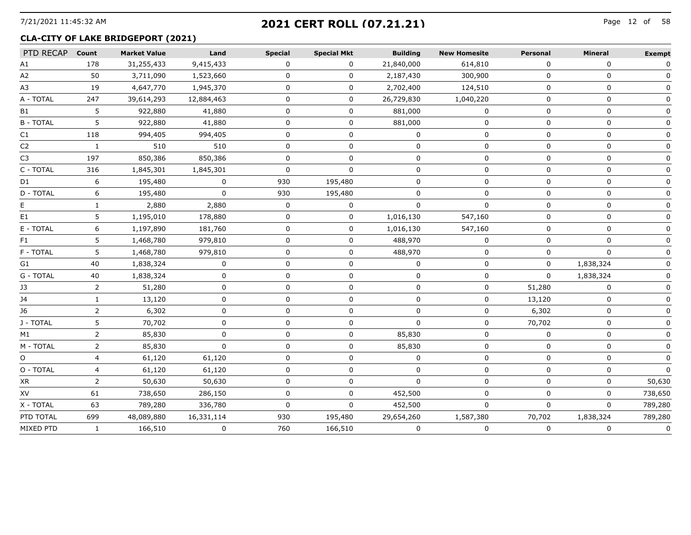# 7/21/2021 11:45:32 AM Page 12 of **2021 CERT ROLL (07.21.21)**

#### **CLA-CITY OF LAKE BRIDGEPORT (2021)**

| PTD RECAP Count |              | <b>Market Value</b> | Land       | <b>Special</b> | <b>Special Mkt</b> | <b>Building</b> | <b>New Homesite</b> | Personal     | <b>Mineral</b> | <b>Exempt</b> |
|-----------------|--------------|---------------------|------------|----------------|--------------------|-----------------|---------------------|--------------|----------------|---------------|
| A1              | 178          | 31,255,433          | 9,415,433  | 0              | 0                  | 21,840,000      | 614,810             | 0            | 0              | $\mathbf{0}$  |
| A2              | 50           | 3,711,090           | 1,523,660  | 0              | 0                  | 2,187,430       | 300,900             | $\Omega$     | $\mathbf 0$    |               |
| A3              | 19           | 4,647,770           | 1,945,370  | $\Omega$       | 0                  | 2,702,400       | 124,510             | $\Omega$     | $\Omega$       |               |
| A - TOTAL       | 247          | 39,614,293          | 12,884,463 | 0              | 0                  | 26,729,830      | 1,040,220           | 0            | 0              |               |
| B1              | 5            | 922,880             | 41,880     | 0              | 0                  | 881,000         | 0                   | $\Omega$     | 0              |               |
| <b>B-TOTAL</b>  | 5            | 922,880             | 41,880     | 0              | 0                  | 881,000         | $\Omega$            | $\Omega$     | $\Omega$       |               |
| C1              | 118          | 994,405             | 994,405    | n              | 0                  |                 | 0                   | n            | 0              |               |
| C <sub>2</sub>  | $\mathbf{1}$ | 510                 | 510        | 0              | 0                  | O               | 0                   | 0            | 0              |               |
| C3              | 197          | 850,386             | 850,386    | 0              | 0                  | n               | 0                   | 0            | 0              |               |
| C - TOTAL       | 316          | 1,845,301           | 1,845,301  | 0              | <sup>0</sup>       | $\Omega$        | $\Omega$            | $\Omega$     | $\Omega$       |               |
| D1              | 6            | 195,480             |            | 930            | 195,480            |                 |                     |              | U              |               |
| D - TOTAL       | 6            | 195,480             | 0          | 930            | 195,480            |                 |                     |              | ŋ              |               |
|                 |              | 2,880               | 2,880      | 0              | 0                  | O               | $\Omega$            | 0            | 0              |               |
| E1              | 5            | 1,195,010           | 178,880    | $\Omega$       | 0                  | 1,016,130       | 547,160             | $\Omega$     | $\Omega$       |               |
| E - TOTAL       | 6.           | 1,197,890           | 181,760    | U              | 0                  | 1,016,130       | 547,160             | 0            | 0              |               |
| F1              | 5.           | 1,468,780           | 979,810    | 0              | 0                  | 488,970         | 0                   | $\Omega$     | 0              |               |
| F - TOTAL       | 5.           | 1,468,780           | 979,810    | 0              | 0                  | 488,970         | 0                   | 0            | 0              |               |
| G1              | 40           | 1,838,324           | $\Omega$   | <sup>0</sup>   | 0                  |                 | $\Omega$            | $\Omega$     | 1,838,324      |               |
| G - TOTAL       | 40           | 1,838,324           | U          | 0              | 0                  | ŋ               | 0                   | 0            | 1,838,324      |               |
| J3              | 2            | 51,280              | 0          | 0              | 0                  | n               | 0                   | 51,280       | $\Omega$       |               |
| J4              | $\mathbf{1}$ | 13,120              | U          | 0              | 0                  | 0               | 0                   | 13,120       | 0              |               |
| J6              | 2            | 6,302               | 0          | 0              | 0                  | O               | 0                   | 6,302        | 0              |               |
| J - TOTAL       | 5.           | 70,702              | ŋ          | U              | U                  | n               | U                   | 70,702       | 0              |               |
| M1              | 2            | 85,830              | n          | 0              | U                  | 85,830          | 0                   | $\Omega$     | 0              |               |
| M - TOTAL       | 2            | 85,830              | $\Omega$   | 0              | 0                  | 85,830          | 0                   | <sup>0</sup> | $\Omega$       |               |
| O               |              | 61,120              | 61,120     |                | O                  |                 | ŋ                   |              | U              |               |
| O - TOTAL       | 4            | 61,120              | 61,120     | 0              | 0                  | O               | 0                   | 0            | 0              |               |
| XR              | 2            | 50,630              | 50,630     | $\Omega$       | 0                  | $\Omega$        | $\Omega$            | $\Omega$     | $\Omega$       | 50,630        |
| XV              | 61           | 738,650             | 286,150    | $\Omega$       | 0                  | 452,500         | 0                   | $\Omega$     | $\Omega$       | 738,650       |
| X - TOTAL       | 63           | 789,280             | 336,780    | <sup>n</sup>   | 0                  | 452,500         | $\Omega$            | $\Omega$     | $\Omega$       | 789,280       |
| PTD TOTAL       | 699          | 48,089,880          | 16,331,114 | 930            | 195,480            | 29,654,260      | 1,587,380           | 70,702       | 1,838,324      | 789,280       |
| MIXED PTD       | $\mathbf{1}$ | 166,510             | 0          | 760            | 166,510            | $\mathbf 0$     | 0                   | 0            | 0              | $\mathbf 0$   |
|                 |              |                     |            |                |                    |                 |                     |              |                |               |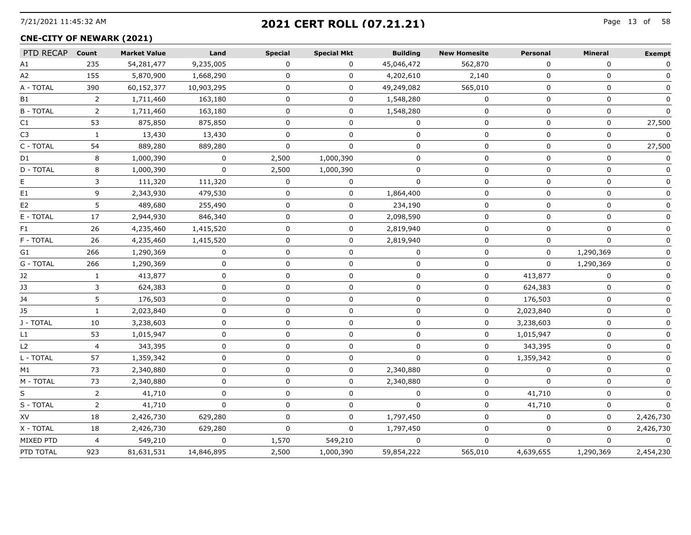# 7/21/2021 11:45:32 AM Page 13 of **2021 CERT ROLL (07.21.21)**

#### **CNE-CITY OF NEWARK (2021)**

| PTD RECAP        | Count          | <b>Market Value</b> | Land         | <b>Special</b> | <b>Special Mkt</b> | <b>Building</b> | <b>New Homesite</b> | Personal    | Mineral     | <b>Exempt</b> |
|------------------|----------------|---------------------|--------------|----------------|--------------------|-----------------|---------------------|-------------|-------------|---------------|
| А1               | 235            | 54,281,477          | 9,235,005    | $\Omega$       | 0                  | 45,046,472      | 562,870             | 0           | 0           | 0             |
| A2               | 155            | 5,870,900           | 1,668,290    | 0              | 0                  | 4,202,610       | 2,140               | $\Omega$    | $\Omega$    |               |
| A - TOTAL        | 390            | 60,152,377          | 10,903,295   | 0              | 0                  | 49,249,082      | 565,010             | 0           | 0           | 0             |
| B1               | 2              | 1,711,460           | 163,180      | 0              | 0                  | 1,548,280       | 0                   | 0           | 0           | 0             |
| <b>B - TOTAL</b> | $\overline{2}$ | 1,711,460           | 163,180      | $\mathbf 0$    | $\mathbf 0$        | 1,548,280       | $\mathbf 0$         | $\mathbf 0$ | 0           | $\Omega$      |
| C1               | 53             | 875,850             | 875,850      | 0              | 0                  | $\mathbf{0}$    | 0                   | 0           | 0           | 27,500        |
| C <sub>3</sub>   | $\mathbf{1}$   | 13,430              | 13,430       | $\Omega$       | $\Omega$           | $\Omega$        | $\Omega$            | $\Omega$    | $\Omega$    | $\Omega$      |
| C - TOTAL        | 54             | 889,280             | 889,280      | <sup>n</sup>   |                    | n               | n                   |             | 0           | 27,500        |
| D1               | 8              | 1,000,390           | 0            | 2,500          | 1,000,390          | $\Omega$        | 0                   | 0           | 0           |               |
| D - TOTAL        | 8              | 1,000,390           | 0            | 2,500          | 1,000,390          | 0               | 0                   | 0           | 0           |               |
| E.               | 3              | 111,320             | 111,320      | 0              | 0                  | 0               | 0                   | 0           | 0           | 0             |
| E1               | 9              | 2,343,930           | 479,530      | 0              | 0                  | 1,864,400       | 0                   | 0           | 0           | 0             |
| E <sub>2</sub>   | 5              | 489,680             | 255,490      | 0              | $\mathbf 0$        | 234,190         | 0                   | $\Omega$    | 0           | $\Omega$      |
| E - TOTAL        | 17             | 2,944,930           | 846,340      | 0              | 0                  | 2,098,590       | 0                   | 0           | $\mathbf 0$ | O             |
| F1               | 26             | 4,235,460           | 1,415,520    | 0              | 0                  | 2,819,940       | $\Omega$            | $\Omega$    | $\Omega$    |               |
| F - TOTAL        | 26             | 4,235,460           | 1,415,520    | 0              | 0                  | 2,819,940       | 0                   | 0           | $\mathbf 0$ |               |
| G1               | 266            | 1,290,369           | 0            | $\Omega$       | $\Omega$           | $\mathbf{0}$    | $\Omega$            | $\Omega$    | 1,290,369   |               |
| G - TOTAL        | 266            | 1,290,369           | 0            | 0              | 0                  | 0               | 0                   | 0           | 1,290,369   |               |
| J2               | 1              | 413,877             | $\mathbf 0$  | 0              | 0                  | $\mathbf 0$     | 0                   | 413,877     | $\Omega$    | O             |
| J3               | 3              | 624,383             | 0            | $\Omega$       | 0                  | $\Omega$        | 0                   | 624,383     | $\mathbf 0$ | 0             |
| J4               | 5              | 176,503             | 0            | 0              | 0                  | 0               | 0                   | 176,503     | 0           | 0             |
| J5               | 1              | 2,023,840           | $\Omega$     | $\Omega$       | 0                  | $\mathbf 0$     | 0                   | 2,023,840   | $\mathbf 0$ |               |
| J - TOTAL        | 10             | 3,238,603           | 0            | 0              | 0                  | 0               | 0                   | 3,238,603   | 0           |               |
| L1               | 53             | 1,015,947           | 0            | 0              | 0                  | $\Omega$        | 0                   | 1,015,947   | 0           |               |
| L2               | 4              | 343,395             | 0            | 0              | 0                  | $\Omega$        | 0                   | 343,395     | 0           | O             |
| L - TOTAL        | 57             | 1,359,342           | $\mathbf 0$  | 0              | 0                  | $\mathbf{0}$    | 0                   | 1,359,342   | 0           | 0             |
| M1               | 73             | 2,340,880           | $\Omega$     | $\Omega$       | 0                  | 2,340,880       | 0                   | $\Omega$    | 0           | $\mathbf{0}$  |
| M - TOTAL        | 73             | 2,340,880           | $\Omega$     | 0              | 0                  | 2,340,880       | 0                   | $\Omega$    | $\mathbf 0$ | $\mathbf{0}$  |
| S                | 2              | 41,710              | $\Omega$     | U              | 0                  | $\Omega$        | 0                   | 41,710      | 0           |               |
| S - TOTAL        | 2              | 41,710              | $\Omega$     | 0              | 0                  | $\Omega$        | 0                   | 41,710      | 0           | $\Omega$      |
| XV               | 18             | 2,426,730           | 629,280      | 0              | 0                  | 1,797,450       | 0                   | 0           | 0           | 2,426,730     |
| X - TOTAL        | 18             | 2,426,730           | 629,280      | $\Omega$       | $\mathbf 0$        | 1,797,450       | $\Omega$            | $\mathbf 0$ | $\mathbf 0$ | 2,426,730     |
| MIXED PTD        | $\overline{4}$ | 549,210             | $\mathbf{0}$ | 1,570          | 549,210            | $\Omega$        | $\Omega$            | $\Omega$    | 0           | $\Omega$      |
| PTD TOTAL        | 923            | 81,631,531          | 14,846,895   | 2,500          | 1,000,390          | 59,854,222      | 565,010             | 4,639,655   | 1,290,369   | 2,454,230     |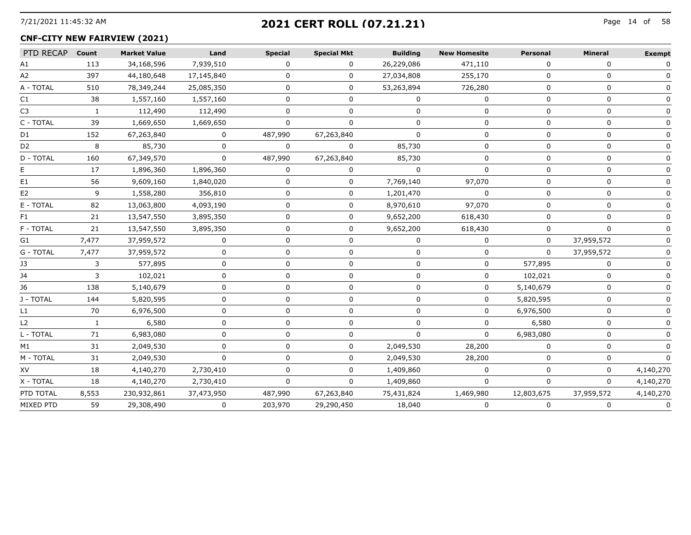## 7/21/2021 11:45:32 AM Page 14 of **2021 CERT ROLL (07.21.21)**

## **CNF-CITY NEW FAIRVIEW (2021)**

| PTD RECAP        | Count        | <b>Market Value</b> | Land         | <b>Special</b> | <b>Special Mkt</b> | <b>Building</b> | <b>New Homesite</b> | <b>Personal</b> | <b>Mineral</b> | <b>Exempt</b> |
|------------------|--------------|---------------------|--------------|----------------|--------------------|-----------------|---------------------|-----------------|----------------|---------------|
| A1               | 113          | 34,168,596          | 7,939,510    | 0              | 0                  | 26,229,086      | 471,110             | 0               | 0              | 0             |
| A2               | 397          | 44,180,648          | 17,145,840   | n              | 0                  | 27,034,808      | 255,170             | ∩               | $\Omega$       |               |
| A - TOTAL        | 510          | 78,349,244          | 25,085,350   | O.             | 0                  | 53,263,894      | 726,280             | 0               | 0              |               |
| C1               | 38           | 1,557,160           | 1,557,160    | <sup>n</sup>   | 0                  | $\Omega$        | 0                   | $\Omega$        | $\Omega$       |               |
| C3               | $\mathbf{1}$ | 112,490             | 112,490      | $\Omega$       | 0                  | $\Omega$        | 0                   | $\Omega$        | $\Omega$       |               |
| C - TOTAL        | 39           | 1,669,650           | 1,669,650    |                |                    | n               | o                   | n               | O              |               |
| D <sub>1</sub>   | 152          | 67,263,840          | $\Omega$     | 487,990        | 67,263,840         | $\Omega$        | <sup>0</sup>        | $\Omega$        | $\Omega$       |               |
| D2               | 8            | 85,730              | $\Omega$     | <sup>0</sup>   | 0                  | 85,730          | 0                   | n               | 0              |               |
| D - TOTAL        | 160          | 67,349,570          | $\Omega$     | 487,990        | 67,263,840         | 85,730          | <sup>0</sup>        | <sup>n</sup>    | $\Omega$       |               |
|                  | 17           | 1,896,360           | 1,896,360    | 0              | 0                  |                 |                     |                 | 0              |               |
| E1               | 56           | 9,609,160           | 1,840,020    | $\Omega$       | $\Omega$           | 7,769,140       | 97,070              | $\Omega$        | $\Omega$       |               |
| E2               | 9            | 1,558,280           | 356,810      | O              | 0                  | 1,201,470       | 0                   | n               | U              |               |
| E - TOTAL        | 82           | 13,063,800          | 4,093,190    |                | 0                  | 8,970,610       | 97,070              | ∩               | U              |               |
| F1.              | 21           | 13,547,550          | 3,895,350    |                | 0                  | 9,652,200       | 618,430             |                 | 0              |               |
| F - TOTAL        | 21           | 13,547,550          | 3,895,350    | 0              | 0                  | 9,652,200       | 618,430             | 0               | 0              |               |
| G1               | 7,477        | 37,959,572          | 0            | 0              | 0                  | $\Omega$        | 0                   | 0               | 37,959,572     |               |
| G - TOTAL        | 7,477        | 37,959,572          | 0            | <sup>0</sup>   | 0                  | 0               | 0                   | 0               | 37,959,572     |               |
| J3               | 3            | 577,895             | $\Omega$     | 0              | 0                  | $\Omega$        | 0                   | 577,895         | 0              |               |
| J4               | 3            | 102,021             | $\Omega$     |                | n                  | n               | $\Omega$            | 102,021         | 0              |               |
| J6               | 138          | 5,140,679           |              |                |                    |                 | 0                   | 5,140,679       | 0              |               |
| J - TOTAL        | 144          | 5,820,595           |              |                |                    |                 | 0                   | 5,820,595       | U              |               |
| L1               | 70           | 6,976,500           |              |                | 0                  | n               | 0                   | 6,976,500       | 0              |               |
| L2               | 1            | 6,580               |              |                | 0                  | n               | 0                   | 6,580           | U              |               |
| L - TOTAL        | 71           | 6,983,080           | <sup>n</sup> | n              | 0                  | $\Omega$        | 0                   | 6,983,080       | 0              |               |
| M1               | 31           | 2,049,530           | 0            | 0              | 0                  | 2,049,530       | 28,200              | 0               | 0              |               |
| M - TOTAL        | 31           | 2,049,530           | $\Omega$     |                | U                  | 2,049,530       | 28,200              |                 |                |               |
| XV               | 18           | 4,140,270           | 2,730,410    |                | 0                  | 1,409,860       | $\Omega$            | ∩               | 0              | 4,140,270     |
| X - TOTAL        | 18           | 4,140,270           | 2,730,410    | $\Omega$       | <sup>0</sup>       | 1,409,860       | $\Omega$            | $\Omega$        | 0              | 4,140,270     |
| PTD TOTAL        | 8,553        | 230,932,861         | 37,473,950   | 487,990        | 67,263,840         | 75,431,824      | 1,469,980           | 12,803,675      | 37,959,572     | 4,140,270     |
| <b>MIXED PTD</b> | 59           | 29,308,490          | 0            | 203,970        | 29,290,450         | 18,040          | 0                   | 0               | 0              | $\Omega$      |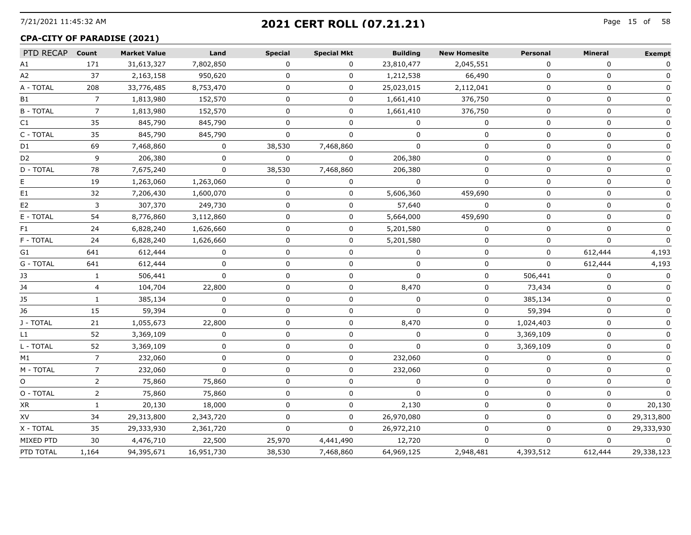# 7/21/2021 11:45:32 AM Page 15 of **2021 CERT ROLL (07.21.21)**

#### **CPA-CITY OF PARADISE (2021)**

| PTD RECAP Count |                | <b>Market Value</b> | Land         | <b>Special</b> | <b>Special Mkt</b> | <b>Building</b> | <b>New Homesite</b> | Personal    | <b>Mineral</b> | <b>Exempt</b> |
|-----------------|----------------|---------------------|--------------|----------------|--------------------|-----------------|---------------------|-------------|----------------|---------------|
| Α1              | 171            | 31,613,327          | 7,802,850    | $\Omega$       | 0                  | 23,810,477      | 2,045,551           | $\Omega$    | $\Omega$       | $\mathbf{0}$  |
| А2              | 37             | 2,163,158           | 950,620      | 0              | 0                  | 1,212,538       | 66,490              | 0           | 0              | 0             |
| A - TOTAL       | 208            | 33,776,485          | 8,753,470    | 0              | 0                  | 25,023,015      | 2,112,041           | 0           | 0              | 0             |
| B1              | $\overline{7}$ | 1,813,980           | 152,570      | 0              | 0                  | 1,661,410       | 376,750             | 0           | 0              | 0             |
| <b>B-TOTAL</b>  | $\overline{7}$ | 1,813,980           | 152,570      | 0              | 0                  | 1,661,410       | 376,750             | 0           | 0              | 0             |
| C1              | 35             | 845,790             | 845,790      | $\Omega$       | $\Omega$           | $\Omega$        | $\mathbf{0}$        | 0           | 0              | 0             |
| C - TOTAL       | 35             | 845,790             | 845,790      | $\Omega$       | 0                  | n               | 0                   | $\Omega$    | 0              | 0             |
| D1              | 69             | 7,468,860           | 0            | 38,530         | 7,468,860          | 0               | 0                   | 0           | 0              |               |
| D2              | 9              | 206,380             | $\Omega$     | $\Omega$       | 0                  | 206,380         | 0                   | 0           | 0              | $\Omega$      |
| D - TOTAL       | 78             | 7,675,240           | 0            | 38,530         | 7,468,860          | 206,380         | 0                   | 0           | 0              | 0             |
| E.              | 19             | 1,263,060           | 1,263,060    | 0              | 0                  | $\Omega$        | $\Omega$            | 0           | $\Omega$       | O             |
| E1              | 32             | 7,206,430           | 1,600,070    | 0              | 0                  | 5,606,360       | 459,690             | $\Omega$    | 0              | 0             |
| E2              | 3              | 307,370             | 249,730      | 0              | 0                  | 57,640          | $\mathbf{0}$        | 0           | 0              | 0             |
| E - TOTAL       | 54             | 8,776,860           | 3,112,860    | 0              | 0                  | 5,664,000       | 459,690             | $\Omega$    | 0              | $\mathbf 0$   |
| F1              | 24             | 6,828,240           | 1,626,660    | 0              | 0                  | 5,201,580       | 0                   | 0           | 0              | 0             |
| F - TOTAL       | 24             | 6,828,240           | 1,626,660    | 0              | 0                  | 5,201,580       | 0                   | 0           | 0              | 0             |
| G1              | 641            | 612,444             | 0            | 0              | 0                  | 0               | 0                   | 0           | 612,444        | 4,193         |
| G - TOTAL       | 641            | 612,444             | $\Omega$     | 0              | 0                  | $\Omega$        | 0                   | $\Omega$    | 612,444        | 4,193         |
| J3              | $\mathbf{1}$   | 506,441             | $\mathbf 0$  | $\mathbf 0$    | 0                  | $\mathbf 0$     | 0                   | 506,441     | 0              | $\Omega$      |
| J4              | 4              | 104,704             | 22,800       | $\Omega$       | 0                  | 8,470           | $\mathbf{0}$        | 73,434      | $\Omega$       | $\Omega$      |
| <b>J5</b>       | $\mathbf{1}$   | 385,134             | 0            | $\Omega$       | 0                  | $\Omega$        | 0                   | 385,134     | 0              | 0             |
| J6              | 15             | 59,394              | 0            | $\Omega$       | 0                  | 0               | 0                   | 59,394      | 0              | 0             |
| J - TOTAL       | 21             | 1,055,673           | 22,800       | 0              | 0                  | 8,470           | 0                   | 1,024,403   | 0              |               |
| L1              | 52             | 3,369,109           | 0            | 0              | 0                  | 0               | 0                   | 3,369,109   | 0              | 0             |
| L - TOTAL       | 52             | 3,369,109           | 0            | 0              | 0                  | $\Omega$        | 0                   | 3,369,109   | 0              | 0             |
| M1              | $\overline{7}$ | 232,060             | $\mathbf{0}$ | $\mathbf 0$    | 0                  | 232,060         | $\mathbf 0$         | $\Omega$    | 0              | $\mathbf 0$   |
| M - TOTAL       | $\overline{7}$ | 232,060             | $\Omega$     | $\Omega$       | 0                  | 232,060         | 0                   | $\Omega$    | 0              | $\mathbf{0}$  |
| O               | $\overline{2}$ | 75,860              | 75,860       | $\Omega$       | 0                  | $\Omega$        | $\Omega$            | $\mathbf 0$ | $\Omega$       | $\Omega$      |
| O - TOTAL       | 2              | 75,860              | 75,860       | 0              | 0                  | $\Omega$        | 0                   | 0           | 0              | <sup>0</sup>  |
| XR              | 1              | 20,130              | 18,000       | 0              | 0                  | 2,130           | 0                   | 0           | 0              | 20,130        |
| XV              | 34             | 29,313,800          | 2,343,720    | 0              | $\Omega$           | 26,970,080      | 0                   | 0           | 0              | 29,313,800    |
| X - TOTAL       | 35             | 29,333,930          | 2,361,720    | $\mathbf 0$    | 0                  | 26,972,210      | 0                   | 0           | 0              | 29,333,930    |
| MIXED PTD       | 30             | 4,476,710           | 22,500       | 25,970         | 4,441,490          | 12,720          | $\Omega$            | $\Omega$    | $\Omega$       | $\Omega$      |
| PTD TOTAL       | 1,164          | 94,395,671          | 16,951,730   | 38,530         | 7,468,860          | 64,969,125      | 2,948,481           | 4,393,512   | 612,444        | 29,338,123    |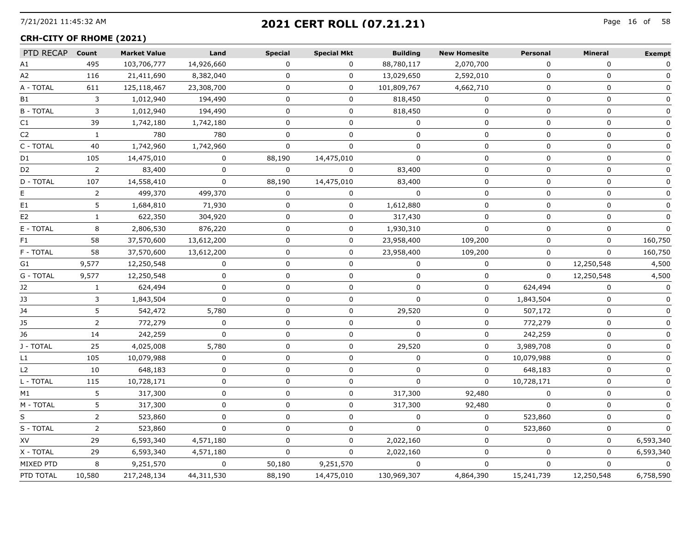# 7/21/2021 11:45:32 AM Page 16 of **2021 CERT ROLL (07.21.21)**

#### **CRH-CITY OF RHOME (2021)**

| PTD RECAP      | Count          | <b>Market Value</b> | Land        | <b>Special</b> | <b>Special Mkt</b> | <b>Building</b> | <b>New Homesite</b> | <b>Personal</b> | <b>Mineral</b> | <b>Exempt</b> |
|----------------|----------------|---------------------|-------------|----------------|--------------------|-----------------|---------------------|-----------------|----------------|---------------|
| A1             | 495            | 103,706,777         | 14,926,660  | $\Omega$       | $\Omega$           | 88,780,117      | 2,070,700           | $\Omega$        | $\mathbf{0}$   | $\mathbf 0$   |
| A2             | 116            | 21,411,690          | 8,382,040   | $\mathbf 0$    | $\mathbf 0$        | 13,029,650      | 2,592,010           | $\mathbf 0$     | $\mathbf 0$    | $\mathbf 0$   |
| A - TOTAL      | 611            | 125,118,467         | 23,308,700  | $\mathbf 0$    | $\mathbf 0$        | 101,809,767     | 4,662,710           | $\mathbf 0$     | $\mathbf 0$    | $\mathbf 0$   |
| <b>B1</b>      | 3              | 1,012,940           | 194,490     | 0              | 0                  | 818,450         | $\mathbf 0$         | 0               | $\mathbf 0$    | $\mathbf 0$   |
| <b>B-TOTAL</b> | 3              | 1,012,940           | 194,490     | $\Omega$       | 0                  | 818,450         | $\Omega$            | $\Omega$        | $\Omega$       | $\mathbf 0$   |
| C1             | 39             | 1,742,180           | 1,742,180   | $\Omega$       | 0                  | $\Omega$        | $\Omega$            | $\Omega$        | $\Omega$       | 0             |
| C <sub>2</sub> | $\mathbf{1}$   | 780                 | 780         | $\Omega$       | 0                  | $\mathbf 0$     | 0                   | $\Omega$        | $\mathbf 0$    | $\mathbf 0$   |
| C - TOTAL      | 40             | 1,742,960           | 1,742,960   | $\Omega$       | $\Omega$           | $\Omega$        | $\Omega$            | 0               | $\Omega$       | $\Omega$      |
| D1             | 105            | 14,475,010          | $\Omega$    | 88,190         | 14,475,010         | $\Omega$        | 0                   | $\Omega$        | $\Omega$       | 0             |
| D <sub>2</sub> | $\overline{2}$ | 83,400              | $\mathbf 0$ | $\Omega$       | 0                  | 83,400          | $\mathbf 0$         | $\mathbf 0$     | $\mathbf 0$    | $\mathbf 0$   |
| D - TOTAL      | 107            | 14,558,410          | $\mathbf 0$ | 88,190         | 14,475,010         | 83,400          | 0                   | $\Omega$        | $\mathbf 0$    | 0             |
| E              | 2              | 499,370             | 499,370     | $\Omega$       | $\Omega$           | $\Omega$        | $\Omega$            | $\Omega$        | $\Omega$       | $\Omega$      |
| E1             | 5              | 1,684,810           | 71,930      | 0              | 0                  | 1,612,880       | $\mathbf 0$         | 0               | $\mathbf 0$    | $\Omega$      |
| E2             | 1              | 622,350             | 304,920     | 0              | 0                  | 317,430         | $\Omega$            | $\Omega$        | $\mathbf 0$    |               |
| E - TOTAL      | 8              | 2,806,530           | 876,220     | 0              | 0                  | 1,930,310       | $\mathbf 0$         | 0               | $\mathbf 0$    | $\Omega$      |
| F1             | 58             | 37,570,600          | 13,612,200  | 0              | 0                  | 23,958,400      | 109,200             | 0               | $\mathbf 0$    | 160,750       |
| F - TOTAL      | 58             | 37,570,600          | 13,612,200  | 0              | 0                  | 23,958,400      | 109,200             | 0               | $\Omega$       | 160,750       |
| G1             | 9,577          | 12,250,548          | 0           | 0              | 0                  | 0               | 0                   | 0               | 12,250,548     | 4,500         |
| G - TOTAL      | 9,577          | 12,250,548          | 0           | 0              | 0                  | 0               | 0                   | 0               | 12,250,548     | 4,500         |
| J2             | 1              | 624,494             | $\Omega$    | 0              | 0                  | 0               | 0                   | 624,494         | 0              | 0             |
| J3             | 3              | 1,843,504           | 0           | 0              | 0                  | $\mathbf{0}$    | 0                   | 1,843,504       | 0              |               |
| J4             | 5              | 542,472             | 5,780       | 0              | 0                  | 29,520          | 0                   | 507,172         | 0              | 0             |
| J5             | $\overline{2}$ | 772,279             | $\Omega$    | $\Omega$       | 0                  | $\Omega$        | 0                   | 772,279         | 0              | 0             |
| J6             | 14             | 242,259             | 0           | 0              | 0                  | 0               | 0                   | 242,259         | 0              | 0             |
| J - TOTAL      | 25             | 4,025,008           | 5,780       | 0              | 0                  | 29,520          | 0                   | 3,989,708       | 0              | 0             |
| L1             | 105            | 10,079,988          | 0           | 0              | 0                  | $\mathbf 0$     | 0                   | 10,079,988      | 0              | 0             |
| L <sub>2</sub> | 10             | 648,183             | $\mathbf 0$ | $\mathbf 0$    | 0                  | $\Omega$        | $\mathbf 0$         | 648,183         | 0              | 0             |
| L - TOTAL      | 115            | 10,728,171          | 0           | $\mathbf 0$    | 0                  | $\Omega$        | $\Omega$            | 10,728,171      | 0              | 0             |
| M1             | 5              | 317,300             | $\mathbf 0$ | $\mathbf 0$    | 0                  | 317,300         | 92,480              | $\Omega$        | $\mathbf 0$    | 0             |
| M - TOTAL      | 5              | 317,300             | $\mathbf 0$ | 0              | 0                  | 317,300         | 92,480              | $\Omega$        | $\mathbf 0$    | 0             |
| S.             | $\overline{2}$ | 523,860             | $\Omega$    | $\Omega$       | 0                  | $\Omega$        | $\mathbf{0}$        | 523,860         | $\Omega$       | $\mathbf{0}$  |
| S - TOTAL      | $\overline{2}$ | 523,860             | $\mathbf 0$ | 0              | 0                  | $\Omega$        | $\mathbf 0$         | 523,860         | 0              | $\Omega$      |
| XV             | 29             | 6,593,340           | 4,571,180   | $\Omega$       | 0                  | 2,022,160       | $\mathbf 0$         | $\Omega$        | $\Omega$       | 6,593,340     |
| X - TOTAL      | 29             | 6,593,340           | 4,571,180   | $\Omega$       | $\Omega$           | 2,022,160       | $\Omega$            | $\Omega$        | $\Omega$       | 6,593,340     |
| MIXED PTD      | 8              | 9,251,570           | $\mathbf 0$ | 50,180         | 9,251,570          | $\Omega$        | $\mathbf{0}$        | $\Omega$        | $\mathbf 0$    | $\Omega$      |
| PTD TOTAL      | 10,580         | 217,248,134         | 44,311,530  | 88,190         | 14,475,010         | 130,969,307     | 4,864,390           | 15,241,739      | 12,250,548     | 6,758,590     |
|                |                |                     |             |                |                    |                 |                     |                 |                |               |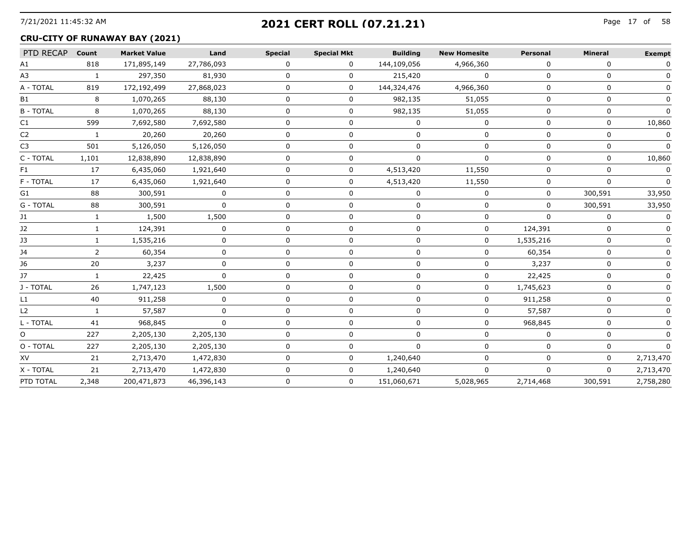# 7/21/2021 11:45:32 AM Page 17 of **2021 CERT ROLL (07.21.21)**

## **CRU-CITY OF RUNAWAY BAY (2021)**

| PTD RECAP      | Count | <b>Market Value</b> | Land       | <b>Special</b> | <b>Special Mkt</b> | <b>Building</b> | <b>New Homesite</b> | Personal  | <b>Mineral</b> | <b>Exempt</b> |
|----------------|-------|---------------------|------------|----------------|--------------------|-----------------|---------------------|-----------|----------------|---------------|
| A1             | 818   | 171,895,149         | 27,786,093 | <sup>n</sup>   | 0                  | 144,109,056     | 4,966,360           | ∩         | $\Omega$       |               |
| A3             |       | 297,350             | 81,930     |                | 0                  | 215,420         | 0                   |           | n              |               |
| A - TOTAL      | 819   | 172,192,499         | 27,868,023 |                | 0                  | 144,324,476     | 4,966,360           |           |                |               |
| <b>B1</b>      | 8     | 1,070,265           | 88,130     |                | 0                  | 982,135         | 51,055              |           |                |               |
| <b>B-TOTAL</b> |       | 1,070,265           | 88,130     |                |                    | 982,135         | 51,055              |           |                |               |
| C1             | 599   | 7,692,580           | 7,692,580  |                |                    |                 |                     |           |                | 10,860        |
| C2             |       | 20,260              | 20,260     |                |                    |                 |                     |           | n              |               |
| C3             | 501   | 5,126,050           | 5,126,050  |                |                    |                 |                     |           |                |               |
| C - TOTAL      | 1,101 | 12,838,890          | 12,838,890 |                | n                  |                 | $\Omega$            |           | n              | 10,860        |
| HI.            | 17    | 6,435,060           | 1,921,640  |                |                    | 4,513,420       | 11,550              |           |                |               |
| F - TOTAL      | 17    | 6,435,060           | 1,921,640  |                |                    | 4,513,420       | 11,550              |           |                |               |
| G1             | 88    | 300,591             | O          |                |                    |                 | 0                   |           | 300,591        | 33,950        |
| G - TOTAL      | 88    | 300,591             | n          |                |                    |                 |                     |           | 300,591        | 33,950        |
| 11             |       | 1,500               | 1,500      |                |                    |                 | n                   | ∩         | <sup>n</sup>   |               |
| J2             |       | 124,391             |            |                |                    |                 | 0                   | 124,391   |                |               |
|                |       | 1,535,216           |            |                |                    |                 |                     | 1,535,216 |                |               |
|                |       | 60,354              |            |                |                    |                 |                     | 60,354    |                |               |
| 16             | 20    | 3,237               | n          |                |                    |                 | 0                   | 3,237     | U              |               |
| 17             |       | 22,425              |            |                |                    |                 |                     | 22,425    |                |               |
| J - TOTAL      | 26    | 1,747,123           | 1,500      |                |                    |                 |                     | 1,745,623 |                |               |
| l 1            | 40    | 911,258             |            |                |                    |                 |                     | 911,258   |                |               |
| L2             |       | 57,587              | $\Omega$   |                | 0                  | n               | 0                   | 57,587    | 0              |               |
| L - TOTAL      | 41    | 968,845             | n          |                |                    |                 |                     | 968,845   |                |               |
| O              | 227   | 2,205,130           | 2,205,130  |                |                    |                 |                     |           |                |               |
| O - TOTAL      | 227   | 2,205,130           | 2,205,130  |                |                    |                 |                     |           |                |               |
| XV             | 21    | 2,713,470           | 1,472,830  |                | o                  | 1,240,640       |                     |           | ŋ              | 2,713,470     |
| X - TOTAL      | 21    | 2,713,470           | 1,472,830  |                | 0                  | 1,240,640       | 0                   | 0         | $\mathbf 0$    | 2,713,470     |
| PTD TOTAL      | 2,348 | 200,471,873         | 46,396,143 |                | 0                  | 151,060,671     | 5,028,965           | 2,714,468 | 300,591        | 2,758,280     |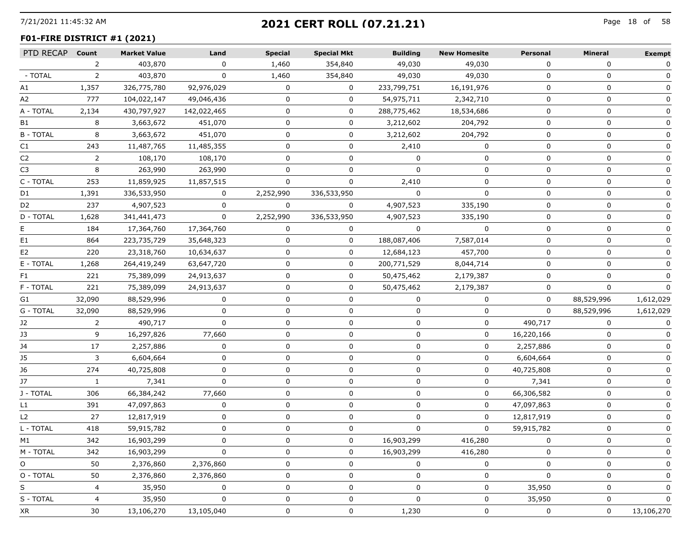## 7/21/2021 11:45:32 AM Page 18 of **2021 CERT ROLL (07.21.21)**

## **F01-FIRE DISTRICT #1 (2021)**

|                |             |             | <b>Special</b> | <b>Special Mkt</b> | <b>Building</b> | <b>New Homesite</b> | Personal     | Mineral    | <b>Exempt</b> |
|----------------|-------------|-------------|----------------|--------------------|-----------------|---------------------|--------------|------------|---------------|
| $\mathcal{L}$  | 403,870     | $\Omega$    | 1,460          | 354,840            | 49,030          | 49,030              | $\Omega$     | 0          | 0             |
| $\mathbf{2}$   | 403,870     | 0           | 1,460          | 354,840            | 49,030          | 49,030              | 0            | 0          |               |
| 1,357          | 326,775,780 | 92,976,029  | 0              | 0                  | 233,799,751     | 16,191,976          | 0            | 0          |               |
| 777            | 104,022,147 | 49,046,436  | 0              | 0                  | 54,975,711      | 2,342,710           | 0            | 0          | 0             |
| 2,134          | 430,797,927 | 142,022,465 | 0              | 0                  | 288,775,462     | 18,534,686          | 0            | 0          | $\mathbf{0}$  |
| 8              | 3,663,672   | 451,070     | $\Omega$       | 0                  | 3,212,602       | 204,792             | $\Omega$     | 0          |               |
| 8              | 3,663,672   | 451,070     | 0              | 0                  | 3,212,602       | 204,792             | 0            | 0          |               |
| 243            | 11,487,765  | 11,485,355  | 0              | 0                  | 2,410           | 0                   | 0            | 0          |               |
| $\overline{2}$ | 108,170     | 108,170     | $\Omega$       | 0                  | $\Omega$        | 0                   | 0            | 0          | O             |
| 8              | 263,990     | 263,990     | $\Omega$       | 0                  | $\Omega$        | 0                   | $\Omega$     | 0          |               |
| 253            | 11,859,925  | 11,857,515  | 0              | 0                  | 2,410           | 0                   | 0            | 0          |               |
| 1,391          | 336,533,950 | 0           | 2,252,990      | 336,533,950        | $\Omega$        | 0                   | 0            | 0          |               |
| 237            | 4,907,523   | 0           | $\Omega$       | $\mathbf{0}$       | 4,907,523       | 335,190             | 0            | 0          | 0             |
| 1,628          | 341,441,473 | 0           | 2,252,990      | 336,533,950        | 4,907,523       | 335,190             | $\Omega$     | 0          |               |
| 184            | 17,364,760  | 17,364,760  | 0              | 0                  | 0               | 0                   | 0            | 0          |               |
| 864            | 223,735,729 | 35,648,323  | 0              | $\mathbf 0$        | 188,087,406     | 7,587,014           | 0            | 0          |               |
| 220            | 23,318,760  | 10,634,637  | 0              | 0                  | 12,684,123      | 457,700             | 0            | 0          |               |
| 1,268          | 264,419,249 | 63,647,720  | 0              | 0                  | 200,771,529     | 8,044,714           | <sup>0</sup> | 0          |               |
| 221            | 75,389,099  | 24,913,637  | $\Omega$       | 0                  | 50,475,462      | 2,179,387           | 0            | 0          |               |
| 221            | 75,389,099  | 24,913,637  | 0              | 0                  | 50,475,462      | 2,179,387           | 0            | 0          |               |
| 32,090         | 88,529,996  | 0           | 0              | $\Omega$           | $\Omega$        | $\mathbf{0}$        | 0            | 88,529,996 | 1,612,029     |
| 32,090         | 88,529,996  | 0           | 0              | 0                  | 0               | 0                   | 0            | 88,529,996 | 1,612,029     |
| 2              | 490,717     | 0           | 0              | 0                  | 0               | 0                   | 490,717      | 0          |               |
| 9              | 16,297,826  | 77,660      | 0              | 0                  | 0               | 0                   | 16,220,166   | 0          |               |
| 17             | 2,257,886   | 0           | $\mathbf 0$    | 0                  | 0               | 0                   | 2,257,886    | 0          | $\mathbf{0}$  |
| 3              | 6,604,664   | 0           | $\Omega$       | 0                  | 0               | 0                   | 6,604,664    | 0          |               |
| 274            | 40,725,808  | 0           | 0              | 0                  | 0               | 0                   | 40,725,808   | 0          |               |
| -1             | 7,341       | 0           | 0              | 0                  | $\Omega$        | 0                   | 7,341        | 0          |               |
| 306            | 66,384,242  | 77,660      | 0              | 0                  | 0               | 0                   | 66,306,582   | 0          | O             |
| 391            | 47,097,863  | $\Omega$    | $\Omega$       | 0                  | $\Omega$        | 0                   | 47,097,863   | 0          |               |
| 27             | 12,817,919  | 0           | 0              | 0                  | 0               | 0                   | 12,817,919   | 0          |               |
| 418            | 59,915,782  | 0           | 0              | 0                  | 0               | 0                   | 59,915,782   | 0          |               |
| 342            | 16,903,299  | 0           | 0              | 0                  | 16,903,299      | 416,280             | 0            | 0          |               |
| 342            | 16,903,299  | 0           | $\Omega$       | 0                  | 16,903,299      | 416,280             | 0            | 0          | $\Omega$      |
| 50             | 2,376,860   | 2,376,860   | 0              | 0                  | 0               | 0                   | 0            | 0          |               |
| 50             | 2,376,860   | 2,376,860   | 0              | 0                  | 0               | 0                   | 0            | 0          | 0             |
| 4              | 35,950      | 0           | 0              | 0                  | 0               | 0                   | 35,950       | 0          | 0             |
| 4              | 35,950      | $\mathbf 0$ | 0              | 0                  | $\mathbf 0$     | 0                   | 35,950       | 0          | 0             |
| 30             | 13,106,270  | 13,105,040  | 0              | 0                  | 1,230           | 0                   | 0            | 0          | 13,106,270    |
|                |             |             |                |                    |                 |                     |              |            |               |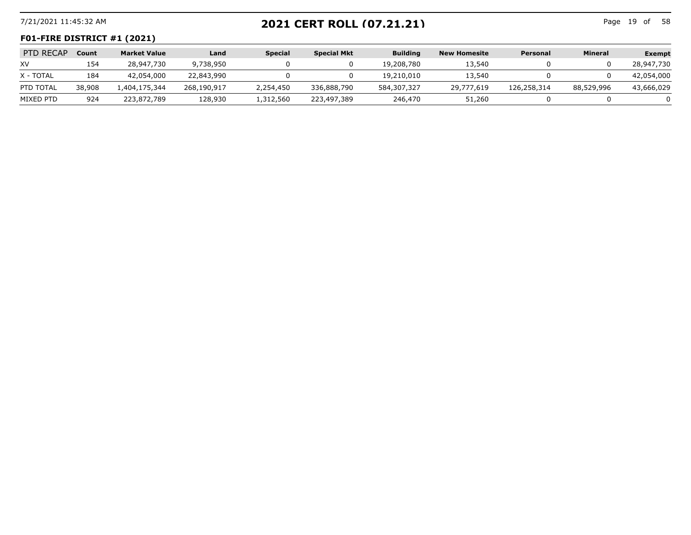# 7/21/2021 11:45:32 AM Page 19 of **2021 CERT ROLL (07.21.21)**

Page 19 of 58

#### **F01-FIRE DISTRICT #1 (2021)**

| PTD RECAP | Count  | <b>Market Value</b> | Land        | <b>Special</b> | <b>Special Mkt</b> | <b>Building</b> | <b>New Homesite</b> | Personal    | <b>Mineral</b> | <b>Exempt</b> |
|-----------|--------|---------------------|-------------|----------------|--------------------|-----------------|---------------------|-------------|----------------|---------------|
| XV.       | 154    | 28,947,730          | 9,738,950   |                |                    | 19,208,780      | 13,540              |             |                | 28,947,730    |
| X - TOTAL | 184    | 42,054,000          | 22,843,990  |                |                    | 19,210,010      | 13,540              |             |                | 42,054,000    |
| PTD TOTAL | 38,908 | 1,404,175,344       | 268,190,917 | 2,254,450      | 336,888,790        | 584,307,327     | 29,777,619          | 126,258,314 | 88,529,996     | 43,666,029    |
| MIXED PTD | 924    | 223,872,789         | 128,930     | 1,312,560      | 223,497,389        | 246,470         | 51,260              |             |                |               |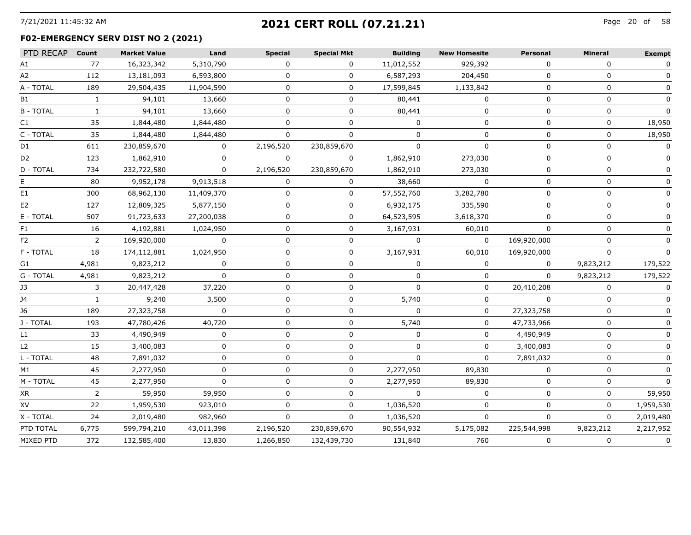# 7/21/2021 11:45:32 AM Page 20 of **2021 CERT ROLL (07.21.21)**

#### **F02-EMERGENCY SERV DIST NO 2 (2021)**

| PTD RECAP Count |              | <b>Market Value</b> | Land        | <b>Special</b> | <b>Special Mkt</b> | <b>Building</b> | <b>New Homesite</b> | Personal    | Mineral     | <b>Exempt</b> |
|-----------------|--------------|---------------------|-------------|----------------|--------------------|-----------------|---------------------|-------------|-------------|---------------|
| A1              | 77           | 16,323,342          | 5,310,790   | 0              | $\Omega$           | 11,012,552      | 929,392             | $\Omega$    | $\Omega$    | 0             |
| A2              | 112          | 13,181,093          | 6,593,800   | O              | 0                  | 6,587,293       | 204,450             | 0           | O           |               |
| A - TOTAL       | 189          | 29,504,435          | 11,904,590  | $\Omega$       | 0                  | 17,599,845      | 1,133,842           | $\Omega$    | $\Omega$    |               |
| B1              | 1            | 94,101              | 13,660      | 0              | 0                  | 80,441          | $\Omega$            | $\Omega$    | 0           | 0             |
| <b>B-TOTAL</b>  | 1            | 94,101              | 13,660      | U              | 0                  | 80,441          | $\Omega$            | $\Omega$    | $\Omega$    | $\Omega$      |
| C1              | 35           | 1,844,480           | 1,844,480   |                | U                  |                 | O                   | $\Omega$    | $\mathbf 0$ | 18,950        |
| C - TOTAL       | 35           | 1,844,480           | 1,844,480   | 0              | 0                  | <sup>n</sup>    | O                   | $\Omega$    | 0           | 18,950        |
| D1              | 611          | 230,859,670         | $\mathbf 0$ | 2,196,520      | 230,859,670        | $\Omega$        | $\Omega$            | $\Omega$    | 0           | $\Omega$      |
| D <sub>2</sub>  | 123          | 1,862,910           | $\Omega$    | $\Omega$       | $\Omega$           | 1,862,910       | 273,030             | $\Omega$    | 0           | 0             |
| D - TOTAL       | 734          | 232,722,580         | $\Omega$    | 2,196,520      | 230,859,670        | 1,862,910       | 273,030             | ∩           | $\Omega$    | $\Omega$      |
| E.              | 80           | 9,952,178           | 9,913,518   | 0              | 0                  | 38,660          | 0                   | O           | O           |               |
| E1              | 300          | 68,962,130          | 11,409,370  | 0              | 0                  | 57,552,760      | 3,282,780           | $\Omega$    | $\Omega$    | $\Omega$      |
| E <sub>2</sub>  | 127          | 12,809,325          | 5,877,150   | 0              | 0                  | 6,932,175       | 335,590             | $\Omega$    | 0           | 0             |
| E - TOTAL       | 507          | 91,723,633          | 27,200,038  | 0              | 0                  | 64,523,595      | 3,618,370           | $\Omega$    | 0           | $\mathbf{0}$  |
| F1              | 16           | 4,192,881           | 1,024,950   |                | 0                  | 3,167,931       | 60,010              |             | $\Omega$    |               |
| F2              | 2            | 169,920,000         | $\Omega$    | 0              | 0                  | $\Omega$        | 0                   | 169,920,000 | 0           |               |
| F - TOTAL       | 18           | 174,112,881         | 1,024,950   | 0              | 0                  | 3,167,931       | 60,010              | 169,920,000 | $\Omega$    |               |
| G1              | 4,981        | 9,823,212           | $\Omega$    | 0              | 0                  | $\Omega$        | $\Omega$            | $\Omega$    | 9,823,212   | 179,522       |
| G - TOTAL       | 4,981        | 9,823,212           | $\Omega$    | 0              | 0                  | $\Omega$        | $\mathbf{0}$        | $\Omega$    | 9,823,212   | 179,522       |
| JЗ              | 3            | 20,447,428          | 37,220      |                | U                  |                 | 0                   | 20,410,208  | O           |               |
| J4              | $\mathbf{1}$ | 9,240               | 3,500       | 0              | 0                  | 5,740           | $\Omega$            | $\Omega$    | $\Omega$    |               |
| J6              | 189          | 27,323,758          | $\Omega$    | 0              | 0                  | $\Omega$        | ŋ                   | 27,323,758  | $\Omega$    |               |
| J - TOTAL       | 193          | 47,780,426          | 40,720      | 0              | U                  | 5,740           | 0                   | 47,733,966  | $\Omega$    | 0             |
| L1              | 33           | 4,490,949           | 0           | 0              | 0                  | $\Omega$        | $\Omega$            | 4,490,949   | $\Omega$    | $\mathbf{0}$  |
| L <sub>2</sub>  | 15           | 3,400,083           | U           | 0              | 0                  | $\Omega$        | $\Omega$            | 3,400,083   | 0           | 0             |
| L - TOTAL       | 48           | 7,891,032           | 0           | 0              | 0                  | $\Omega$        | $\mathbf{0}$        | 7,891,032   | 0           | 0             |
| M1              | 45           | 2,277,950           | $\Omega$    | 0              | $\Omega$           | 2,277,950       | 89,830              | $\Omega$    | 0           | $\Omega$      |
| M - TOTAL       | 45           | 2,277,950           | $\Omega$    | $\Omega$       | $\Omega$           | 2,277,950       | 89,830              | $\Omega$    | $\Omega$    | $\Omega$      |
| XR              | 2            | 59,950              | 59,950      |                | 0                  |                 |                     |             |             | 59,950        |
| XV              | 22           | 1,959,530           | 923,010     | 0              | 0                  | 1,036,520       | O                   | $\Omega$    | O           | 1,959,530     |
| X - TOTAL       | 24           | 2,019,480           | 982,960     | 0              | 0                  | 1,036,520       | 0                   | $\Omega$    | $\Omega$    | 2,019,480     |
| PTD TOTAL       | 6,775        | 599,794,210         | 43,011,398  | 2,196,520      | 230,859,670        | 90,554,932      | 5,175,082           | 225,544,998 | 9,823,212   | 2,217,952     |
| MIXED PTD       | 372          | 132,585,400         | 13,830      | 1,266,850      | 132,439,730        | 131,840         | 760                 | $\Omega$    | 0           | 0             |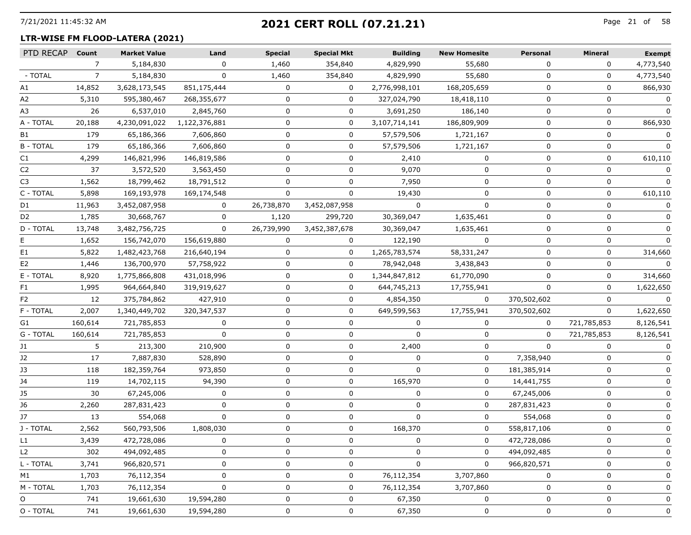## 7/21/2021 11:45:32 AM Page 21 of **2021 CERT ROLL (07.21.21)**

#### **LTR-WISE FM FLOOD-LATERA (2021)**

| PTD RECAP      | Count   | <b>Market Value</b> | Land          | <b>Special</b> | <b>Special Mkt</b> | <b>Building</b> | <b>New Homesite</b> | Personal    | <b>Mineral</b> | <b>Exempt</b> |
|----------------|---------|---------------------|---------------|----------------|--------------------|-----------------|---------------------|-------------|----------------|---------------|
|                | 7       | 5,184,830           | 0             | 1,460          | 354,840            | 4,829,990       | 55,680              | 0           | 0              | 4,773,540     |
| - TOTAL        | 7       | 5,184,830           | 0             | 1,460          | 354,840            | 4,829,990       | 55,680              | 0           | 0              | 4,773,540     |
| Α1             | 14,852  | 3,628,173,545       | 851,175,444   | 0              | 0                  | 2,776,998,101   | 168,205,659         | 0           | 0              | 866,930       |
| A <sub>2</sub> | 5,310   | 595,380,467         | 268,355,677   | $\Omega$       | 0                  | 327,024,790     | 18,418,110          | $\Omega$    | $\Omega$       | $\Omega$      |
| A3             | 26      | 6,537,010           | 2,845,760     | 0              | 0                  | 3,691,250       | 186,140             | 0           | $\mathbf 0$    |               |
| A - TOTAL      | 20,188  | 4,230,091,022       | 1,122,376,881 | 0              | 0                  | 3,107,714,141   | 186,809,909         | 0           | 0              | 866,930       |
| B1             | 179     | 65,186,366          | 7,606,860     | 0              | 0                  | 57,579,506      | 1,721,167           | 0           | 0              | 0             |
| <b>B-TOTAL</b> | 179     | 65,186,366          | 7,606,860     | 0              | 0                  | 57,579,506      | 1,721,167           | 0           | 0              | 0             |
| C1             | 4,299   | 146,821,996         | 146,819,586   | O              | 0                  | 2,410           | 0                   | $\Omega$    | 0              | 610,110       |
| C2             | 37      | 3,572,520           | 3,563,450     | 0              | 0                  | 9,070           | 0                   | O           | 0              |               |
| C3             | 1,562   | 18,799,462          | 18,791,512    | $\Omega$       | 0                  | 7,950           | 0                   | 0           | 0              |               |
| C - TOTAL      | 5,898   | 169,193,978         | 169,174,548   | 0              | $\Omega$           | 19,430          | 0                   | 0           | 0              | 610,110       |
| D1             | 11,963  | 3,452,087,958       | 0             | 26,738,870     | 3,452,087,958      |                 | $\Omega$            | $\Omega$    | 0              |               |
| D2             | 1,785   | 30,668,767          | 0             | 1,120          | 299,720            | 30,369,047      | 1,635,461           | 0           | 0              |               |
| D - TOTAL      | 13,748  | 3,482,756,725       | $\Omega$      | 26,739,990     | 3,452,387,678      | 30,369,047      | 1,635,461           | 0           | 0              |               |
|                | 1,652   | 156,742,070         | 156,619,880   | 0              | 0                  | 122,190         | $\Omega$            | 0           | 0              | O             |
| E1             | 5,822   | 1,482,423,768       | 216,640,194   | 0              | 0                  | 1,265,783,574   | 58,331,247          | $\Omega$    | 0              | 314,660       |
| E2             | 1,446   | 136,700,970         | 57,758,922    | 0              | 0                  | 78,942,048      | 3,438,843           | O           | 0              |               |
| E - TOTAL      | 8,920   | 1,775,866,808       | 431,018,996   | 0              | 0                  | 1,344,847,812   | 61,770,090          | 0           | 0              | 314,660       |
| F1             | 1,995   | 964,664,840         | 319,919,627   | 0              | 0                  | 644,745,213     | 17,755,941          | 0           | 0              | 1,622,650     |
| F2             | 12      | 375,784,862         | 427,910       | 0              | 0                  | 4,854,350       | 0                   | 370,502,602 | 0              |               |
| F - TOTAL      | 2,007   | 1,340,449,702       | 320,347,537   | 0              | 0                  | 649,599,563     | 17,755,941          | 370,502,602 | 0              | 1,622,650     |
| G1             | 160,614 | 721,785,853         | 0             | 0              | 0                  | $\Omega$        | 0                   | 0           | 721,785,853    | 8,126,541     |
| G - TOTAL      | 160,614 | 721,785,853         | $\Omega$      | 0              | 0                  | $\mathbf{0}$    | 0                   | 0           | 721,785,853    | 8,126,541     |
| J1             | 5       | 213,300             | 210,900       | 0              | 0                  | 2,400           | 0                   | 0           | 0              |               |
| J2             | 17      | 7,887,830           | 528,890       | 0              | 0                  | $\mathbf{0}$    | 0                   | 7,358,940   | 0              |               |
| JЗ             | 118     | 182,359,764         | 973,850       | 0              | 0                  | 0               | 0                   | 181,385,914 | 0              |               |
| J4             | 119     | 14,702,115          | 94,390        | 0              | 0                  | 165,970         | 0                   | 14,441,755  | 0              | O             |
| J5             | 30      | 67,245,006          | 0             | 0              | 0                  | 0               | 0                   | 67,245,006  | 0              |               |
| J6             | 2,260   | 287,831,423         | 0             | 0              | 0                  | $\mathbf{0}$    | 0                   | 287,831,423 | 0              |               |
| J7             | 13      | 554,068             | $\Omega$      | 0              | 0                  | $\Omega$        | 0                   | 554,068     | 0              |               |
| J - TOTAL      | 2,562   | 560,793,506         | 1,808,030     | 0              | 0                  | 168,370         | 0                   | 558,817,106 | 0              |               |
| L1             | 3,439   | 472,728,086         |               |                | $\Omega$           |                 | <sup>n</sup>        | 472,728,086 | $\Omega$       |               |
| L <sub>2</sub> | 302     | 494,092,485         | 0             |                | 0                  | O               | 0                   | 494,092,485 | 0              |               |
| L - TOTAL      | 3,741   | 966,820,571         | 0             | 0              | 0                  | 0               | 0                   | 966,820,571 | 0              | 0             |
| M1             | 1,703   | 76,112,354          | 0             | 0              | 0                  | 76,112,354      | 3,707,860           | O           | 0              | 0             |
| M - TOTAL      | 1,703   | 76,112,354          | 0             | 0              | 0                  | 76,112,354      | 3,707,860           | $\Omega$    | 0              | 0             |
| O              | 741     | 19,661,630          | 19,594,280    |                | 0                  | 67,350          | 0                   | 0           | 0              | 0             |
| O - TOTAL      | 741     | 19,661,630          | 19,594,280    | 0              | 0                  | 67,350          | 0                   | 0           | 0              | 0             |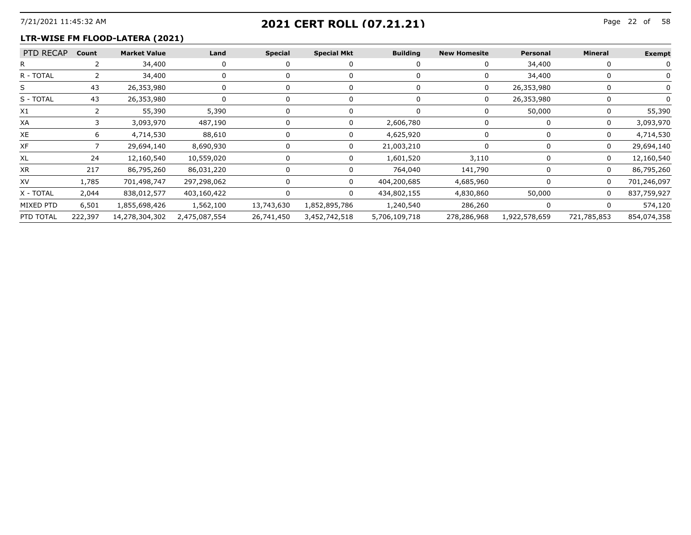## 7/21/2021 11:45:32 AM Page 22 of **2021 CERT ROLL (07.21.21)**

#### **LTR-WISE FM FLOOD-LATERA (2021)**

| PTD RECAP | Count   | <b>Market Value</b> | Land          | <b>Special</b> | <b>Special Mkt</b> | <b>Building</b> | <b>New Homesite</b> | Personal      | <b>Mineral</b> | <b>Exempt</b> |
|-----------|---------|---------------------|---------------|----------------|--------------------|-----------------|---------------------|---------------|----------------|---------------|
|           |         | 34,400              |               |                |                    |                 |                     | 34,400        |                |               |
| R - TOTAL |         | 34,400              |               |                |                    |                 |                     | 34,400        |                |               |
|           |         | 26,353,980          |               |                |                    |                 |                     | 26,353,980    |                |               |
| S - TOTAL | -43     | 26,353,980          |               |                |                    |                 |                     | 26,353,980    |                |               |
| X1        |         | 55,390              | 5,390         |                |                    |                 |                     | 50,000        |                | 55,390        |
| XA        |         | 3,093,970           | 487,190       |                |                    | 2,606,780       |                     |               | $\Omega$       | 3,093,970     |
| XE        |         | 4,714,530           | 88,610        |                |                    | 4,625,920       |                     |               |                | 4,714,530     |
| XF        |         | 29,694,140          | 8,690,930     |                |                    | 21,003,210      |                     |               | 0              | 29,694,140    |
| XL        |         | 12,160,540          | 10,559,020    |                |                    | 1,601,520       | 3,110               |               |                | 12,160,540    |
| XR        | 217     | 86,795,260          | 86,031,220    |                |                    | 764,040         | 141,790             |               | 0              | 86,795,260    |
| XV        | 1,785   | 701,498,747         | 297,298,062   |                |                    | 404,200,685     | 4,685,960           |               |                | 701,246,097   |
| X - TOTAL | 2,044   | 838,012,577         | 403,160,422   |                |                    | 434,802,155     | 4,830,860           | 50,000        | $\Omega$       | 837,759,927   |
| MIXED PTD | 6,501   | 1,855,698,426       | 1,562,100     | 13,743,630     | 1,852,895,786      | 1,240,540       | 286,260             |               |                | 574,120       |
| PTD TOTAL | 222,397 | 14,278,304,302      | 2,475,087,554 | 26,741,450     | 3,452,742,518      | 5,706,109,718   | 278,286,968         | 1,922,578,659 | 721,785,853    | 854,074,358   |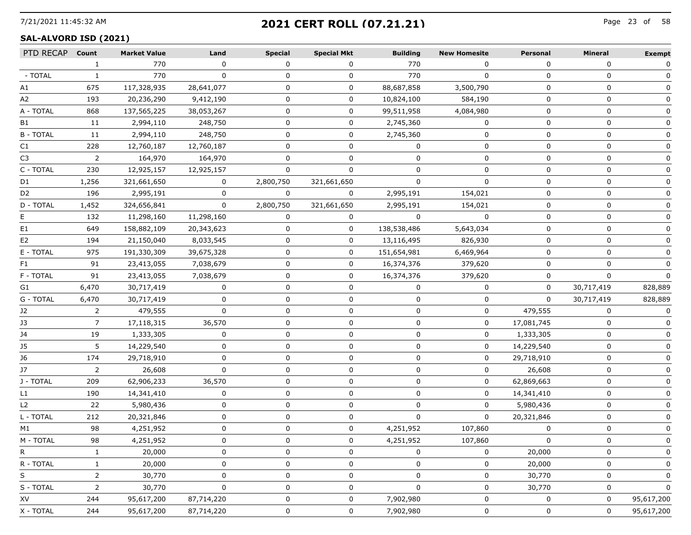## 7/21/2021 11:45:32 AM Page 23 of **2021 CERT ROLL (07.21.21)**

## **SAL-ALVORD ISD (2021)**

| PTD RECAP Count |                | <b>Market Value</b> | Land       | <b>Special</b> | <b>Special Mkt</b> | <b>Building</b> | <b>New Homesite</b> | Personal     | Mineral    | <b>Exempt</b> |
|-----------------|----------------|---------------------|------------|----------------|--------------------|-----------------|---------------------|--------------|------------|---------------|
|                 | $\mathbf{1}$   | 770                 | $\Omega$   | $\Omega$       | $\Omega$           | 770             | $\Omega$            | $\Omega$     | $\Omega$   | 0             |
| - TOTAL         | $\mathbf{1}$   | 770                 | $\Omega$   | 0              | 0                  | 770             | $\Omega$            | $\Omega$     |            |               |
| A1              | 675            | 117,328,935         | 28,641,077 | 0              | 0                  | 88,687,858      | 3,500,790           | 0            | 0          | 0             |
| A2              | 193            | 20,236,290          | 9,412,190  | 0              | 0                  | 10,824,100      | 584,190             | 0            | 0          | $\mathbf{0}$  |
| A - TOTAL       | 868            | 137,565,225         | 38,053,267 | 0              | 0                  | 99,511,958      | 4,084,980           | $\Omega$     | 0          | 0             |
| B1              | 11             | 2,994,110           | 248,750    | 0              | 0                  | 2,745,360       |                     | $\Omega$     | $\Omega$   | $\Omega$      |
| <b>B-TOTAL</b>  | 11             | 2,994,110           | 248,750    | 0              | 0                  | 2,745,360       | 0                   | 0            | 0          |               |
| C1              | 228            | 12,760,187          | 12,760,187 | 0              | 0                  | 0               | $\mathbf{0}$        | 0            | 0          |               |
| C3              | $\overline{2}$ | 164,970             | 164,970    | $\Omega$       | $\Omega$           | $\Omega$        | $\Omega$            | 0            | 0          |               |
| C - TOTAL       | 230            | 12,925,157          | 12,925,157 |                |                    |                 |                     |              |            |               |
| D1              | 1,256          | 321,661,650         | 0          | 2,800,750      | 321,661,650        | $\Omega$        | $\Omega$            | n            | O          |               |
| D2              | 196            | 2,995,191           | 0          | $\Omega$       | $\Omega$           | 2,995,191       | 154,021             | 0            | O          |               |
| D - TOTAL       | 1,452          | 324,656,841         | $\Omega$   | 2,800,750      | 321,661,650        | 2,995,191       | 154,021             | $\Omega$     | $\Omega$   |               |
|                 | 132            | 11,298,160          | 11,298,160 | 0              | 0                  |                 |                     | n            | O          |               |
| E1              | 649            | 158,882,109         | 20,343,623 |                | 0                  | 138,538,486     | 5,643,034           |              | n          |               |
| E2              | 194            | 21,150,040          | 8,033,545  | <sup>0</sup>   | 0                  | 13,116,495      | 826,930             | $\Omega$     | O          |               |
| E - TOTAL       | 975            | 191,330,309         | 39,675,328 | 0              | 0                  | 151,654,981     | 6,469,964           | 0            | 0          | 0             |
| F1              | 91             | 23,413,055          | 7,038,679  |                | 0                  | 16,374,376      | 379,620             | ∩            | O          |               |
| F - TOTAL       | 91             | 23,413,055          | 7,038,679  |                | 0                  | 16,374,376      | 379,620             | 0            |            |               |
| G1              | 6,470          | 30,717,419          | $\Omega$   | 0              | 0                  | 0               | $\mathbf{0}$        | 0            | 30,717,419 | 828,889       |
| G - TOTAL       | 6,470          | 30,717,419          | $\Omega$   | 0              | 0                  | 0               | 0                   | $\mathbf{0}$ | 30,717,419 | 828,889       |
| J2              | $\mathbf{2}$   | 479,555             | $\Omega$   | 0              | 0                  | <sup>0</sup>    | 0                   | 479,555      |            | 0             |
| J3              | 7              | 17,118,315          | 36,570     | 0              | 0                  | O               | 0                   | 17,081,745   | 0          | $\Omega$      |
| J4              | 19             | 1,333,305           | 0          | 0              | 0                  | 0               | 0                   | 1,333,305    | 0          | 0             |
| J5              | 5              | 14,229,540          | $\Omega$   | 0              | 0                  | $\Omega$        | $\Omega$            | 14,229,540   | $\Omega$   | $\mathbf{0}$  |
| J6              | 174            | 29,718,910          | 0          | 0              | 0                  | O               | 0                   | 29,718,910   | 0          | 0             |
| J7              | $\mathbf{2}$   | 26,608              | $\Omega$   | 0              | 0                  | n               | $\mathbf{0}$        | 26,608       | 0          |               |
| J - TOTAL       | 209            | 62,906,233          | 36,570     | 0              | 0                  | 0               | 0                   | 62,869,663   | 0          |               |
| L1              | 190            | 14,341,410          | $\Omega$   | 0              | 0                  | $\Omega$        | 0                   | 14,341,410   | 0          | $\mathbf{0}$  |
| L2              | 22             | 5,980,436           | $\Omega$   | <sup>0</sup>   | U                  |                 | $\mathbf{0}$        | 5,980,436    | O          |               |
| L - TOTAL       | 212            | 20,321,846          | 0          | 0              | 0                  | <sup>0</sup>    | 0                   | 20,321,846   | 0          |               |
| M1              | 98             | 4,251,952           | 0          | 0              | 0                  | 4,251,952       | 107,860             | 0            | 0          |               |
| M - TOTAL       | 98             | 4,251,952           | n          |                | 0                  | 4,251,952       | 107.860             |              | 0          |               |
| R.              |                | 20,000              | $\Omega$   |                | U                  |                 | 0                   | 20,000       | n          | $\Omega$      |
| R - TOTAL       |                | 20,000              | 0          |                | 0                  |                 | 0                   | 20,000       | 0          |               |
| S               | 2              | 30,770              | 0          |                | 0                  |                 | 0                   | 30,770       | 0          | O             |
| S - TOTAL       | 2              | 30,770              | 0          |                | 0                  |                 | 0                   | 30,770       | O          | 0             |
| XV              | 244            | 95,617,200          | 87,714,220 |                | 0                  | 7,902,980       | 0                   |              | 0          | 95,617,200    |
| X - TOTAL       | 244            | 95,617,200          | 87,714,220 | 0              | 0                  | 7,902,980       | 0                   | 0            | 0          | 95,617,200    |
|                 |                |                     |            |                |                    |                 |                     |              |            |               |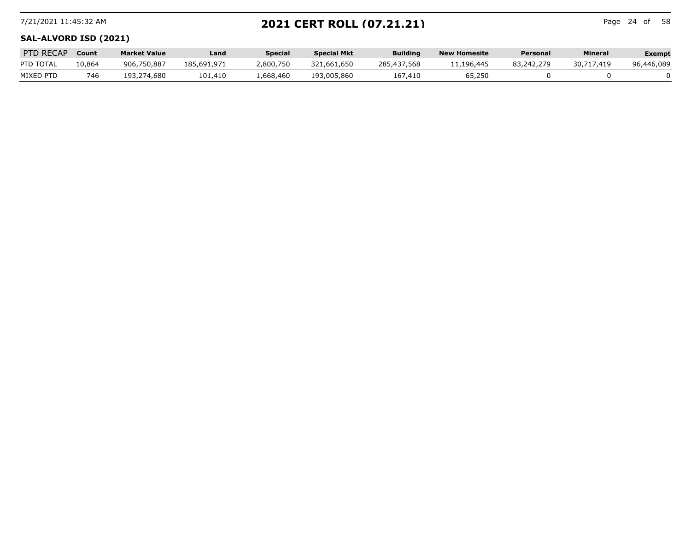## 7/21/2021 11:45:32 AM Page 24 of **2021 CERT ROLL (07.21.21)**

Page 24 of 58

## **SAL-ALVORD ISD (2021)**

| PTD RECAP | Count  | <b>Market Value</b> | Land        | <b>Special</b> | <b>Special Mkt</b> | <b>Building</b> | <b>New Homesite</b> | Personal   | Mineral    | Exempt     |
|-----------|--------|---------------------|-------------|----------------|--------------------|-----------------|---------------------|------------|------------|------------|
| PTD TOTAL | 10,864 | 906,750,887         | 185,691,971 | .800,750       | 321,661,650        | 285,437,568     | .196.445            | 83,242,279 | 30.717.419 | 96,446,089 |
| MIXED PTD | 746    | 193,274,680         | 101,410     | 1,668,460      | 193,005,860        | 167,410         | 65,250              |            |            |            |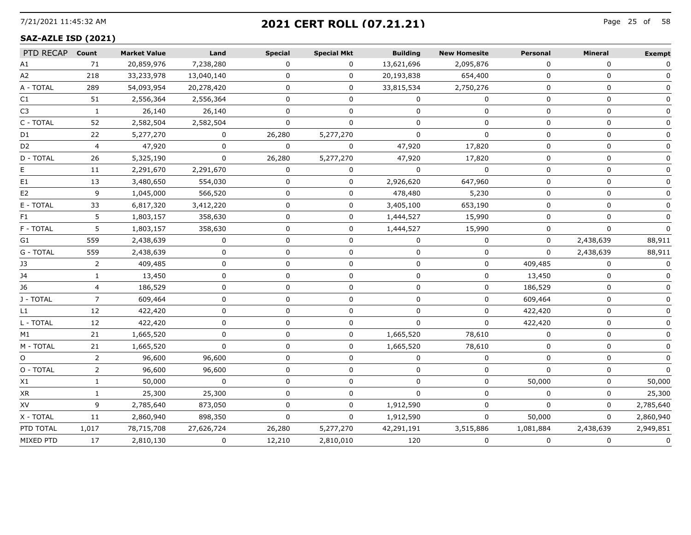## 7/21/2021 11:45:32 AM Page 25 of **2021 CERT ROLL (07.21.21)**

#### **SAZ-AZLE ISD (2021)**

| PTD RECAP Count |                | <b>Market Value</b> | Land         | <b>Special</b> | <b>Special Mkt</b> | <b>Building</b> | <b>New Homesite</b> | <b>Personal</b> | Mineral      | <b>Exempt</b> |
|-----------------|----------------|---------------------|--------------|----------------|--------------------|-----------------|---------------------|-----------------|--------------|---------------|
| A1              | 71             | 20,859,976          | 7,238,280    | $\Omega$       | $\mathbf 0$        | 13,621,696      | 2,095,876           | $\Omega$        | $\Omega$     | 0             |
| A2              | 218            | 33,233,978          | 13,040,140   | 0              | 0                  | 20,193,838      | 654,400             | $\Omega$        | 0            |               |
| A - TOTAL       | 289            | 54,093,954          | 20,278,420   | 0              | 0                  | 33,815,534      | 2,750,276           | $\Omega$        | 0            |               |
| C1              | 51             | 2,556,364           | 2,556,364    | $\Omega$       | $\mathbf 0$        | $\Omega$        | $\Omega$            | $\Omega$        | $\Omega$     | 0             |
| C <sub>3</sub>  | $\mathbf{1}$   | 26,140              | 26,140       | $\Omega$       | 0                  | 0               | $\mathbf 0$         | $\Omega$        | $\Omega$     | 0             |
| C - TOTAL       | 52             | 2,582,504           | 2,582,504    | $\Omega$       | 0                  | 0               | 0                   | $\Omega$        | $\mathbf{0}$ |               |
| D1              | 22             | 5,277,270           | 0            | 26,280         | 5,277,270          | $\mathbf{0}$    | $\mathbf 0$         | $\Omega$        | $\mathbf 0$  |               |
| D2              | $\overline{4}$ | 47,920              | $\Omega$     | $\Omega$       | $\Omega$           | 47,920          | 17,820              | $\Omega$        | $\mathbf{0}$ |               |
| D - TOTAL       | 26             | 5,325,190           | $\mathbf 0$  | 26,280         | 5,277,270          | 47,920          | 17,820              | $\Omega$        | $\Omega$     | $\Omega$      |
|                 | 11             | 2,291,670           | 2,291,670    | $\Omega$       | 0                  | $\Omega$        | $\Omega$            | 0               | $\Omega$     | 0             |
| E1              | 13             | 3,480,650           | 554,030      | 0              | 0                  | 2,926,620       | 647,960             | 0               | $\Omega$     |               |
| E2              | 9              | 1,045,000           | 566,520      | 0              | 0                  | 478,480         | 5,230               | 0               | 0            |               |
| E - TOTAL       | 33             | 6,817,320           | 3,412,220    | $\Omega$       | $\mathbf 0$        | 3,405,100       | 653,190             | 0               | 0            |               |
| F1              | 5              | 1,803,157           | 358,630      | $\Omega$       | $\mathbf 0$        | 1,444,527       | 15,990              | $\Omega$        | $\Omega$     | 0             |
| F - TOTAL       | 5              | 1,803,157           | 358,630      | U              | 0                  | 1,444,527       | 15,990              | 0               | $\Omega$     | $\Omega$      |
| G1              | 559            | 2,438,639           | O            | 0              | 0                  | $\Omega$        | 0                   | $\mathbf{0}$    | 2,438,639    | 88,911        |
| G - TOTAL       | 559            | 2,438,639           | 0            | $\Omega$       | 0                  | 0               | 0                   | $\Omega$        | 2,438,639    | 88,911        |
| J3              | $\overline{2}$ | 409,485             | $\Omega$     | $\Omega$       | 0                  | 0               | $\mathbf 0$         | 409,485         | $\Omega$     | 0             |
| 14              | $\mathbf{1}$   | 13,450              | 0            | $\Omega$       | $\Omega$           | $\Omega$        | $\mathbf{0}$        | 13,450          | $\Omega$     | 0             |
| J6              |                | 186,529             | U            | U              | 0                  | U               | 0                   | 186,529         | $\Omega$     | $\Omega$      |
| J - TOTAL       |                | 609,464             | O            | O              | 0                  | 0               | 0                   | 609,464         | 0            |               |
| L1              | 12             | 422,420             | 0            | 0              | 0                  | $\Omega$        | 0                   | 422,420         | 0            |               |
| L - TOTAL       | 12             | 422,420             | 0            | $\Omega$       | 0                  | $\Omega$        | $\mathbf 0$         | 422,420         | $\mathbf 0$  | 0             |
| M1              | 21             | 1,665,520           | 0            | $\Omega$       | 0                  | 1,665,520       | 78,610              | $\Omega$        | $\Omega$     | 0             |
| M - TOTAL       | 21             | 1,665,520           | O            | U              | 0                  | 1,665,520       | 78,610              | $\Omega$        | $\Omega$     |               |
| O               | 2              | 96,600              | 96,600       | U              | 0                  | 0               | 0                   | $\Omega$        | 0            |               |
| O - TOTAL       | $\overline{2}$ | 96,600              | 96,600       | 0              | 0                  | 0               | 0                   | $\Omega$        | 0            | $\Omega$      |
| X1              | $\mathbf{1}$   | 50,000              | $\Omega$     | $\Omega$       | 0                  | $\Omega$        | $\Omega$            | 50,000          | $\Omega$     | 50,000        |
| XR              | $\mathbf{1}$   | 25,300              | 25,300       | $\Omega$       | 0                  | $\Omega$        | 0                   | $\Omega$        | $\Omega$     | 25,300        |
| XV              | 9              | 2,785,640           | 873,050      | $\Omega$       | 0                  | 1,912,590       | 0                   | $\Omega$        | $\mathbf 0$  | 2,785,640     |
| X - TOTAL       | 11             | 2,860,940           | 898,350      | $\mathbf 0$    | $\mathbf{0}$       | 1,912,590       | 0                   | 50,000          | 0            | 2,860,940     |
| PTD TOTAL       | 1,017          | 78,715,708          | 27,626,724   | 26,280         | 5,277,270          | 42,291,191      | 3,515,886           | 1,081,884       | 2,438,639    | 2,949,851     |
| MIXED PTD       | 17             | 2,810,130           | $\mathbf{0}$ | 12,210         | 2,810,010          | 120             | 0                   | $\Omega$        | $\mathbf 0$  | $\mathbf 0$   |
|                 |                |                     |              |                |                    |                 |                     |                 |              |               |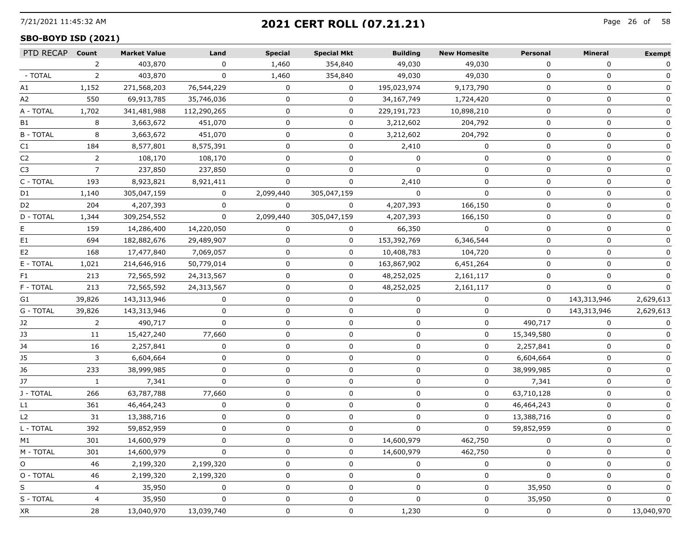## 7/21/2021 11:45:32 AM Page 26 of **2021 CERT ROLL (07.21.21)**

## **SBO-BOYD ISD (2021)**

| PTD RECAP Count |        | <b>Market Value</b> | Land        | <b>Special</b> | <b>Special Mkt</b> | <b>Building</b> | <b>New Homesite</b> | <b>Personal</b> | Mineral     | <b>Exempt</b> |
|-----------------|--------|---------------------|-------------|----------------|--------------------|-----------------|---------------------|-----------------|-------------|---------------|
|                 | 2      | 403,870             | 0           | 1,460          | 354,840            | 49,030          | 49,030              | $\Omega$        | $\Omega$    | 0             |
| - TOTAL         | 2      | 403,870             |             | 1,460          | 354,840            | 49,030          | 49,030              | $\Omega$        |             |               |
| A1              | 1,152  | 271,568,203         | 76,544,229  | 0              | $\mathbf{0}$       | 195,023,974     | 9,173,790           | $\Omega$        | 0           | 0             |
| A2              | 550    | 69,913,785          | 35,746,036  | 0              | 0                  | 34,167,749      | 1,724,420           | $\Omega$        | 0           | 0             |
| A - TOTAL       | 1,702  | 341,481,988         | 112,290,265 | 0              | 0                  | 229,191,723     | 10,898,210          | $\Omega$        | 0           | 0             |
| B1              | 8      | 3,663,672           | 451,070     | U              | 0                  | 3,212,602       | 204,792             | $\Omega$        | $\Omega$    |               |
| <b>B-TOTAL</b>  | 8      | 3,663,672           | 451,070     | 0              | 0                  | 3,212,602       | 204,792             | 0               | 0           |               |
| C1              | 184    | 8,577,801           | 8,575,391   | 0              | 0                  | 2,410           | 0                   | $\Omega$        | $\Omega$    |               |
| C <sub>2</sub>  | 2      | 108,170             | 108,170     | 0              | 0                  | $\Omega$        | ŋ                   | $\Omega$        | 0           |               |
| C3              | 7      | 237,850             | 237,850     | 0              | $\Omega$           |                 | O                   | $\Omega$        | $\Omega$    |               |
| C - TOTAL       | 193    | 8,923,821           | 8,921,411   |                |                    | 2,410           |                     | n               | O           |               |
| D1              | 1,140  | 305,047,159         | 0           | 2,099,440      | 305,047,159        | $\Omega$        | ŋ                   | $\Omega$        | n           |               |
| D <sub>2</sub>  | 204    | 4,207,393           | $\Omega$    | $\Omega$       | $\Omega$           | 4,207,393       | 166,150             | $\Omega$        | 0           |               |
| D - TOTAL       | 1,344  | 309,254,552         | $\Omega$    | 2,099,440      | 305,047,159        | 4,207,393       | 166,150             |                 | O           |               |
| ۳               | 159    | 14,286,400          | 14,220,050  | 0              | 0                  | 66,350          | 0                   |                 | O           |               |
| E1              | 694    | 182,882,676         | 29,489,907  | 0              | 0                  | 153,392,769     | 6,346,544           | 0               | 0           |               |
| E2              | 168    | 17,477,840          | 7,069,057   | 0              | 0                  | 10,408,783      | 104,720             | $\Omega$        | 0           |               |
| E - TOTAL       | 1,021  | 214,646,916         | 50,779,014  |                | 0                  | 163,867,902     | 6,451,264           |                 | n           |               |
| F1.             | 213    | 72,565,592          | 24,313,567  |                | 0                  | 48,252,025      | 2,161,117           | 0               | O           |               |
| F - TOTAL       | 213    | 72,565,592          | 24,313,567  | 0              | 0                  | 48,252,025      | 2,161,117           | 0               | O           |               |
| G1              | 39,826 | 143,313,946         | $\Omega$    | 0              | 0                  | $\Omega$        | $\Omega$            | $\Omega$        | 143,313,946 | 2,629,613     |
| G - TOTAL       | 39,826 | 143,313,946         | 0           | O              | 0                  | 0               | 0                   | $\Omega$        | 143,313,946 | 2,629,613     |
| J2              | 2      | 490,717             | $\Omega$    | U              | 0                  |                 | 0                   | 490,717         | 0           | 0             |
| JЗ              | 11     | 15,427,240          | 77,660      | 0              | 0                  | 0               | 0                   | 15,349,580      | 0           |               |
| J4              | 16     | 2,257,841           | $\Omega$    | 0              | 0                  | 0               | $\Omega$            | 2,257,841       | 0           | 0             |
| J5              | 3      | 6,604,664           | 0           | O              | 0                  | O               | 0                   | 6,604,664       | 0           | 0             |
| J6              | 233    | 38,999,985          | 0           | 0              | 0                  | 0               | 0                   | 38,999,985      | 0           | 0             |
| J7              | -1     | 7,341               | 0           | 0              | 0                  | 0               | 0                   | 7,341           | 0           | $\Omega$      |
| J - TOTAL       | 266    | 63,787,788          | 77,660      | 0              | 0                  | 0               | 0                   | 63,710,128      | 0           | 0             |
| L1              | 361    | 46,464,243          | 0           | 0              | 0                  | n               | 0                   | 46,464,243      | O           | $\Omega$      |
| L <sub>2</sub>  | 31     | 13,388,716          | 0           | O              | 0                  | O               | 0                   | 13,388,716      | 0           |               |
| L - TOTAL       | 392    | 59,852,959          | 0           | 0              | 0                  | 0               | 0                   | 59,852,959      | 0           |               |
| M1              | 301    | 14,600,979          |             |                | 0                  | 14,600,979      | 462,750             |                 | 0           |               |
| M - TOTAL       | 301    | 14,600,979          | 0           |                | 0                  | 14,600,979      | 462,750             |                 | $\Omega$    | $\mathbf{0}$  |
| O               | 46     | 2,199,320           | 2,199,320   |                | 0                  |                 | 0                   |                 | 0           |               |
| O - TOTAL       | 46     | 2,199,320           | 2,199,320   |                | 0                  | $\mathbf{I}$    | 0                   | 0               | 0           | 0             |
| S               | 4      | 35,950              | 0           |                | 0                  | O               | 0                   | 35,950          | 0           | 0             |
| S - TOTAL       | 4      | 35,950              | $\mathbf 0$ | 0              | 0                  | 0               | 0                   | 35,950          | 0           | 0             |
| XR              | 28     | 13,040,970          | 13,039,740  | 0              | 0                  | 1,230           | 0                   | 0               | 0           | 13,040,970    |
|                 |        |                     |             |                |                    |                 |                     |                 |             |               |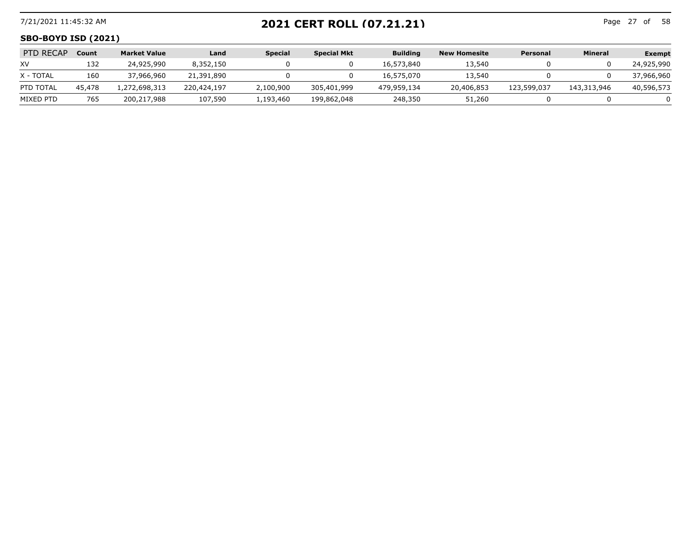## 7/21/2021 11:45:32 AM Page 27 of **2021 CERT ROLL (07.21.21)**

Page 27 of 58

#### **SBO-BOYD ISD (2021)**

| <b>PTD RECAP</b> | <b>Count</b> | <b>Market Value</b> | Land        | <b>Special</b> | <b>Special Mkt</b> | <b>Building</b> | New Homesite | Personal    | Mineral     | Exempt     |
|------------------|--------------|---------------------|-------------|----------------|--------------------|-----------------|--------------|-------------|-------------|------------|
| XV               | 132          | 24,925,990          | 8,352,150   |                |                    | 16,573,840      | 13,540       |             |             | 24,925,990 |
| X - TOTAL        | 160          | 37,966,960          | 21,391,890  |                |                    | 16,575,070      | 13,540       |             |             | 37,966,960 |
| PTD TOTAL        | 45,478       | .,272,698,313       | 220,424,197 | 2,100,900      | 305,401,999        | 479,959,134     | 20,406,853   | 123,599,037 | 143,313,946 | 40,596,573 |
| MIXED PTD        | 765          | 200,217,988         | 107,590     | l.193.460      | 199,862,048        | 248,350         | 51,260       |             |             |            |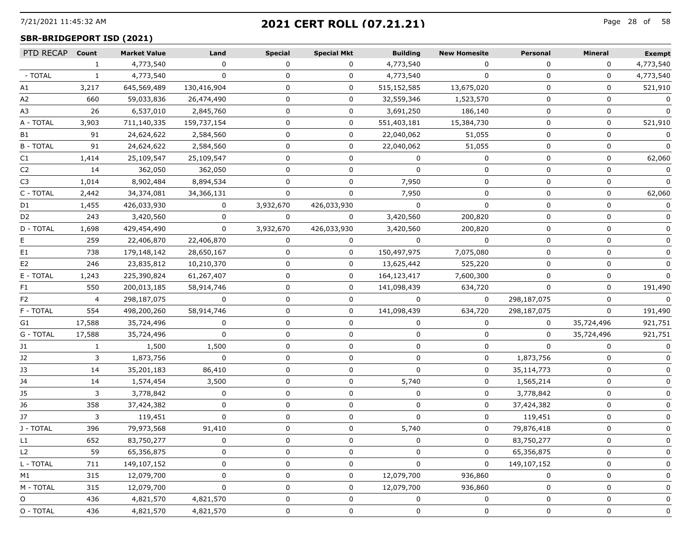# 7/21/2021 11:45:32 AM Page 28 of **2021 CERT ROLL (07.21.21)**

## **SBR-BRIDGEPORT ISD (2021)**

| PTD RECAP Count |                | <b>Market Value</b> | Land         | <b>Special</b> | <b>Special Mkt</b> | <b>Building</b> | <b>New Homesite</b> | Personal     | <b>Mineral</b> | <b>Exempt</b> |
|-----------------|----------------|---------------------|--------------|----------------|--------------------|-----------------|---------------------|--------------|----------------|---------------|
|                 | $\mathbf{1}$   | 4,773,540           | $\Omega$     | $\Omega$       | $\Omega$           | 4,773,540       | $\Omega$            | $\Omega$     | $\Omega$       | 4,773,540     |
| - TOTAL         |                | 4,773,540           | $\mathbf{0}$ | 0              | 0                  | 4,773,540       | $\Omega$            | $\Omega$     | 0              | 4,773,540     |
| A1              | 3,217          | 645,569,489         | 130,416,904  | 0              | 0                  | 515,152,585     | 13,675,020          | 0            | 0              | 521,910       |
| A2              | 660            | 59,033,836          | 26,474,490   | $\mathbf 0$    | $\mathbf 0$        | 32,559,346      | 1,523,570           | 0            | 0              | 0             |
| A3              | 26             | 6,537,010           | 2,845,760    | 0              | 0                  | 3,691,250       | 186,140             | 0            | $\Omega$       | 0             |
| A - TOTAL       | 3,903          | 711,140,335         | 159,737,154  | $\Omega$       | 0                  | 551,403,181     | 15,384,730          | 0            | $\mathbf 0$    | 521,910       |
| B1              | 91             | 24,624,622          | 2,584,560    | 0              | 0                  | 22,040,062      | 51,055              | 0            | 0              | 0             |
| <b>B-TOTAL</b>  | 91             | 24,624,622          | 2,584,560    | 0              | $\mathbf{0}$       | 22,040,062      | 51,055              | 0            | 0              | $\Omega$      |
| C1              | 1,414          | 25,109,547          | 25,109,547   | $\Omega$       | $\mathbf 0$        | $\Omega$        | $\mathbf{0}$        | $\Omega$     | $\mathbf{0}$   | 62,060        |
| C2              | 14             | 362,050             | 362,050      | 0              | 0                  | U               | 0                   |              | $\Omega$       | 0             |
| C3              | 1,014          | 8,902,484           | 8,894,534    | 0              | 0                  | 7,950           | 0                   | 0            | $\Omega$       | 0             |
| C - TOTAL       | 2,442          | 34,374,081          | 34,366,131   | 0              | 0                  | 7,950           | 0                   | 0            | 0              | 62,060        |
| D1              | 1,455          | 426,033,930         | $\mathbf{0}$ | 3,932,670      | 426,033,930        | $\Omega$        | $\Omega$            | $\Omega$     | $\Omega$       | $\Omega$      |
| D2              | 243            | 3,420,560           | 0            | 0              | 0                  | 3,420,560       | 200,820             | O            | $\Omega$       |               |
| D - TOTAL       | 1,698          | 429,454,490         | $\mathbf{0}$ | 3,932,670      | 426,033,930        | 3,420,560       | 200,820             |              | $\Omega$       |               |
|                 | 259            | 22,406,870          | 22,406,870   | 0              | 0                  | $\mathbf 0$     | $\Omega$            | $\Omega$     | $\Omega$       |               |
| E1              | 738            | 179,148,142         | 28,650,167   | 0              | 0                  | 150,497,975     | 7,075,080           | $\Omega$     | 0              |               |
| E <sub>2</sub>  | 246            | 23,835,812          | 10,210,370   | $\Omega$       | 0                  | 13,625,442      | 525,220             | <sup>0</sup> | $\Omega$       |               |
| E - TOTAL       | 1,243          | 225,390,824         | 61,267,407   | 0              | 0                  | 164,123,417     | 7,600,300           | 0            | 0              |               |
| F1              | 550            | 200,013,185         | 58,914,746   | 0              | 0                  | 141,098,439     | 634,720             | 0            | 0              | 191,490       |
| F2              | $\overline{4}$ | 298,187,075         | $\Omega$     | 0              | 0                  | $\Omega$        | $\Omega$            | 298,187,075  | $\Omega$       | $\mathbf 0$   |
| F - TOTAL       | 554            | 498,200,260         | 58,914,746   | $\Omega$       | 0                  | 141,098,439     | 634,720             | 298,187,075  | 0              | 191,490       |
| G1              | 17,588         | 35,724,496          | 0            | 0              | 0                  | 0               | 0                   | 0            | 35,724,496     | 921,751       |
| G - TOTAL       | 17,588         | 35,724,496          | 0            | 0              | 0                  | 0               | 0                   | 0            | 35,724,496     | 921,751       |
| J1              | $\mathbf{1}$   | 1,500               | 1,500        | $\mathbf 0$    | $\mathbf 0$        | $\mathbf 0$     | 0                   | $\Omega$     | $\mathbf{0}$   | 0             |
| J2              | 3              | 1,873,756           | 0            | 0              | 0                  | 0               | 0                   | 1,873,756    | $\Omega$       | 0             |
| J3              | 14             | 35,201,183          | 86,410       | 0              | 0                  | $\Omega$        | 0                   | 35,114,773   | $\Omega$       |               |
| J4              | 14             | 1,574,454           | 3,500        | 0              | 0                  | 5,740           | 0                   | 1,565,214    | 0              |               |
| J5              | 3              | 3,778,842           | $\mathbf 0$  | 0              | 0                  | 0               | 0                   | 3,778,842    | 0              | 0             |
| J6              | 358            | 37,424,382          | $\Omega$     | $\Omega$       | 0                  | $\Omega$        | 0                   | 37,424,382   | $\Omega$       |               |
| J7              | 3              | 119,451             | 0            | 0              | 0                  | 0               | 0                   | 119,451      | 0              |               |
| J - TOTAL       | 396            | 79,973,568          | 91,410       | 0              | 0                  | 5,740           | 0                   | 79,876,418   | 0              |               |
| L1 -            | 652            | 83,750,277          | 0            | 0              | 0                  | 0               | 0                   | 83,750,277   | 0              |               |
| L2              | 59             | 65,356,875          | 0            | 0              | 0                  | O               | 0                   | 65,356,875   | n              | 0             |
| L - TOTAL       | 711            | 149,107,152         | 0            | 0              | 0                  | 0               | 0                   | 149,107,152  | 0              |               |
| M1              | 315            | 12,079,700          | 0            | 0              | 0                  | 12,079,700      | 936,860             | 0            | 0              | 0             |
| M - TOTAL       | 315            | 12,079,700          | 0            | 0              | 0                  | 12,079,700      | 936,860             | 0            | 0              | O             |
| O               | 436            | 4,821,570           | 4,821,570    | 0              | 0                  | 0               | $\Omega$            | O            | 0              | 0             |
| O - TOTAL       | 436            | 4,821,570           | 4,821,570    | 0              | 0                  | 0               | 0                   | 0            | 0              | 0             |
|                 |                |                     |              |                |                    |                 |                     |              |                |               |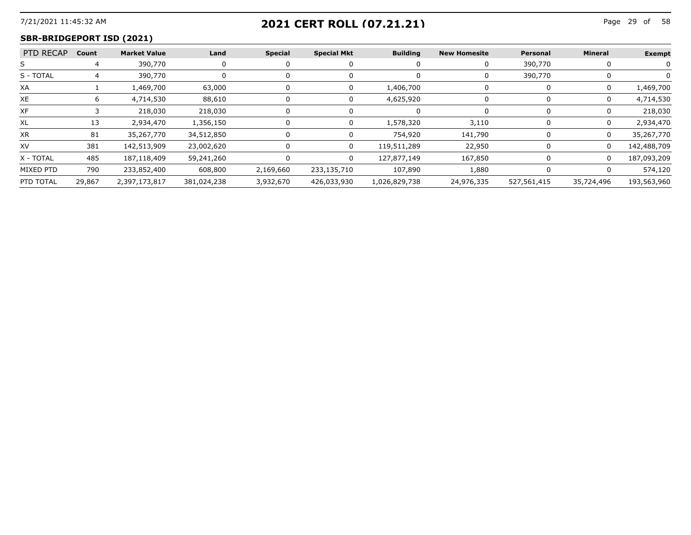# 7/21/2021 11:45:32 AM Page 29 of **2021 CERT ROLL (07.21.21)**

--------------------------

## **SBR-BRIDGEPORT ISD (2021)**

| PTD RECAP Count |        | Market Value  | Land        | Special   | <b>Special Mkt</b> | <b>Building</b> | <b>New Homesite</b> | Personal    | Mineral    | Exempt      |
|-----------------|--------|---------------|-------------|-----------|--------------------|-----------------|---------------------|-------------|------------|-------------|
|                 |        | 390,770       |             |           |                    |                 |                     | 390,770     |            |             |
| S - TOTAL       |        | 390,770       |             |           |                    |                 |                     | 390,770     |            |             |
| XA              |        | 1,469,700     | 63,000      |           |                    | 1,406,700       |                     |             |            | .469.700    |
| XE.             |        | 4,714,530     | 88,610      |           |                    | 4.625.920       |                     |             |            | 4,714,530   |
| XF              |        | 218.030       | 218,030     |           |                    |                 |                     |             |            | 218.030     |
|                 |        | 2.934.470     | 1,356,150   |           |                    | 578 320         | 3.110               |             |            | 2.934.470   |
| ХR              |        | 35,267,770    | 34,512,850  |           |                    | 754.920         | 141.790             |             |            | 35,267,770  |
| XV              | 381    | 142,513,909   | 23,002,620  |           |                    | 119,511,289     | 22.950              |             |            | 142,488,709 |
| X - TOTAL       | 485    | 187,118,409   | 59,241,260  |           | $\mathsf{n}$       | 127,877,149     | 167.850             |             | $\Omega$   | 187,093,209 |
| MIXED PTD       | 790    | 233,852,400   | 608,800     | 2,169,660 | 233,135,710        | 107,890         | 1,880               |             |            | 574,120     |
| PTD TOTAL       | 29,867 | 2,397,173,817 | 381,024,238 | 3,932,670 | 426,033,930        | 1,026,829,738   | 24,976,335          | 527,561,415 | 35,724,496 | 193,563,960 |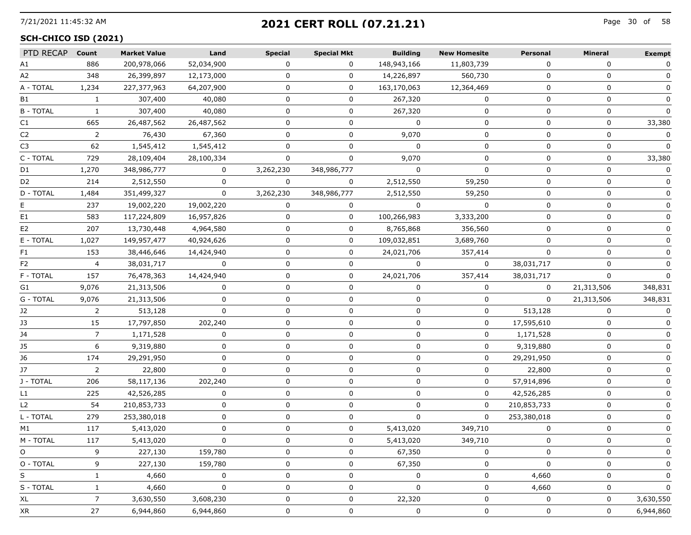# 7/21/2021 11:45:32 AM Page 30 of **2021 CERT ROLL (07.21.21)**

#### **SCH-CHICO ISD (2021)**

| PTD RECAP Count |                | <b>Market Value</b> | Land         | <b>Special</b> | <b>Special Mkt</b> | <b>Building</b> | <b>New Homesite</b> | Personal     | Mineral     | <b>Exempt</b> |
|-----------------|----------------|---------------------|--------------|----------------|--------------------|-----------------|---------------------|--------------|-------------|---------------|
| A1              | 886            | 200,978,066         | 52,034,900   | 0              | $\Omega$           | 148,943,166     | 11,803,739          | $\Omega$     | $\Omega$    | 0             |
| A2              | 348            | 26,399,897          | 12,173,000   | 0              | 0                  | 14,226,897      | 560,730             | $\Omega$     | 0           | 0             |
| A - TOTAL       | 1,234          | 227,377,963         | 64,207,900   | 0              | 0                  | 163,170,063     | 12,364,469          | 0            | 0           | 0             |
| B1              | $\mathbf{1}$   | 307,400             | 40,080       | 0              | $\mathbf{0}$       | 267,320         | 0                   | $\mathbf{0}$ | 0           | 0             |
| <b>B-TOTAL</b>  | $\mathbf{1}$   | 307,400             | 40,080       | $\Omega$       | 0                  | 267,320         | 0                   | $\Omega$     | 0           | $\mathbf 0$   |
| C1              | 665            | 26,487,562          | 26,487,562   | 0              | 0                  | $\Omega$        | 0                   | $\Omega$     | $\mathbf 0$ | 33,380        |
| C2              | $\overline{2}$ | 76,430              | 67,360       | 0              | 0                  | 9,070           | 0                   | 0            | 0           | 0             |
| C3              | 62             | 1,545,412           | 1,545,412    | $\mathbf{0}$   | 0                  | $\mathbf 0$     | 0                   | 0            | 0           | $\Omega$      |
| C - TOTAL       | 729            | 28,109,404          | 28,100,334   | 0              | $\mathbf 0$        | 9,070           | 0                   | 0            | 0           | 33,380        |
| D1              | 1,270          | 348,986,777         | 0            | 3,262,230      | 348,986,777        | $\Omega$        | $\mathbf{0}$        | 0            | 0           | $\mathbf{0}$  |
| D2              | 214            | 2,512,550           | 0            | 0              | $\mathbf{0}$       | 2,512,550       | 59,250              | 0            | 0           |               |
| D - TOTAL       | 1,484          | 351,499,327         | 0            | 3,262,230      | 348,986,777        | 2,512,550       | 59,250              | $\Omega$     | 0           |               |
| E.              | 237            | 19,002,220          | 19,002,220   | $\mathbf{0}$   | $\mathbf{0}$       | $\Omega$        | $\mathbf{0}$        | 0            | 0           | 0             |
| E1              | 583            | 117,224,809         | 16,957,826   | 0              | 0                  | 100,266,983     | 3,333,200           | $\Omega$     | $\Omega$    |               |
| E2              | 207            | 13,730,448          | 4,964,580    | 0              | 0                  | 8,765,868       | 356,560             | 0            | 0           |               |
| E - TOTAL       | 1,027          | 149,957,477         | 40,924,626   | 0              | 0                  | 109,032,851     | 3,689,760           | 0            | 0           | 0             |
| F1.             | 153            | 38,446,646          | 14,424,940   | 0              | $\mathbf 0$        | 24,021,706      | 357,414             | $\Omega$     | 0           | 0             |
| F2              | 4              | 38,031,717          | 0            | 0              | 0                  | 0               | 0                   | 38,031,717   | $\Omega$    |               |
| F - TOTAL       | 157            | 76,478,363          | 14,424,940   | 0              | 0                  | 24,021,706      | 357,414             | 38,031,717   | 0           | $\Omega$      |
| G1              | 9,076          | 21,313,506          | 0            | 0              | 0                  | 0               | 0                   | 0            | 21,313,506  | 348,831       |
| G - TOTAL       | 9,076          | 21,313,506          | $\Omega$     | 0              | $\mathbf 0$        | $\mathbf{0}$    | 0                   | $\Omega$     | 21,313,506  | 348,831       |
| J2              | 2              | 513,128             | 0            | 0              | 0                  | 0               | 0                   | 513,128      | 0           | 0             |
| J3              | 15             | 17,797,850          | 202,240      | 0              | 0                  | 0               | 0                   | 17,595,610   | 0           | 0             |
| J4              | 7              | 1,171,528           | 0            | 0              | 0                  | 0               | 0                   | 1,171,528    | 0           | 0             |
| J5              | 6              | 9,319,880           | 0            | $\mathbf 0$    | $\mathbf 0$        | 0               | $\mathbf{0}$        | 9,319,880    | 0           | 0             |
| J6              | 174            | 29,291,950          | $\mathbf{0}$ | 0              | 0                  | 0               | 0                   | 29,291,950   | 0           | 0             |
| J7              | $\overline{2}$ | 22,800              | $\mathbf 0$  | 0              | 0                  | 0               | 0                   | 22,800       | 0           | 0             |
| J - TOTAL       | 206            | 58,117,136          | 202,240      | 0              | 0                  | 0               | 0                   | 57,914,896   | 0           | 0             |
| L1              | 225            | 42,526,285          | 0            | 0              | 0                  | 0               | 0                   | 42,526,285   | 0           | 0             |
| L <sub>2</sub>  | 54             | 210,853,733         | $\mathbf{0}$ | 0              | 0                  | 0               | $\mathbf{0}$        | 210,853,733  | $\Omega$    | $\mathbf{0}$  |
| L - TOTAL       | 279            | 253,380,018         | 0            | 0              | 0                  | 0               | 0                   | 253,380,018  | 0           |               |
| M1              | 117            | 5,413,020           | 0            | 0              | 0                  | 5,413,020       | 349,710             | 0            | 0           | $\Omega$      |
| M - TOTAL       | 117            | 5,413,020           | 0            | 0              | 0                  | 5,413,020       | 349.710             | $\mathbf{0}$ | 0           |               |
| $\circ$         | 9              | 227,130             | 159,780      | 0              | 0                  | 67,350          | 0                   | $\Omega$     | 0           | 0             |
| O - TOTAL       | 9              | 227,130             | 159,780      | 0              | 0                  | 67,350          | 0                   | $\Omega$     | 0           |               |
| S               | 1              | 4,660               | 0            | 0              | 0                  | 0               | 0                   | 4,660        | 0           | 0             |
| S - TOTAL       | 1              | 4,660               | $\mathbf 0$  | 0              | 0                  | 0               | 0                   | 4,660        | 0           | $\mathbf{0}$  |
| XL              | $\overline{7}$ | 3,630,550           | 3,608,230    | 0              | 0                  | 22,320          | 0                   | $\Omega$     | 0           | 3,630,550     |
| XR              | 27             | 6,944,860           | 6,944,860    | 0              | 0                  | 0               | 0                   | 0            | 0           | 6,944,860     |
|                 |                |                     |              |                |                    |                 |                     |              |             |               |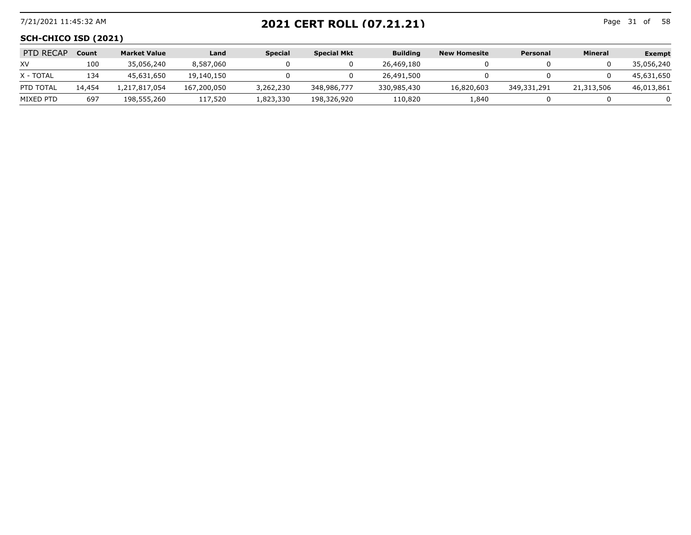## 7/21/2021 11:45:32 AM Page 31 of **2021 CERT ROLL (07.21.21)**

Page 31 of 58

#### **SCH-CHICO ISD (2021)**

| <b>PTD RECAP</b> | <b>Count</b> | <b>Market Value</b> | Land        | <b>Special</b> | <b>Special Mkt</b> | <b>Building</b> | New Homesite | Personal    | Mineral    | <b>Exempt</b> |
|------------------|--------------|---------------------|-------------|----------------|--------------------|-----------------|--------------|-------------|------------|---------------|
| XV               | 100          | 35,056,240          | 8,587,060   |                |                    | 26,469,180      |              |             |            | 35,056,240    |
| X - TOTAL        | 134          | 45,631,650          | 19,140,150  |                |                    | 26,491,500      |              |             |            | 45,631,650    |
| PTD TOTAL        | 14,454       | .217.817.054        | 167,200,050 | 3,262,230      | 348,986,777        | 330,985,430     | 16,820,603   | 349,331,291 | 21,313,506 | 46,013,861    |
| MIXED PTD        | 697          | 198,555,260         | 117,520     | 1,823,330      | 198,326,920        | 110,820         | 1,840        |             |            |               |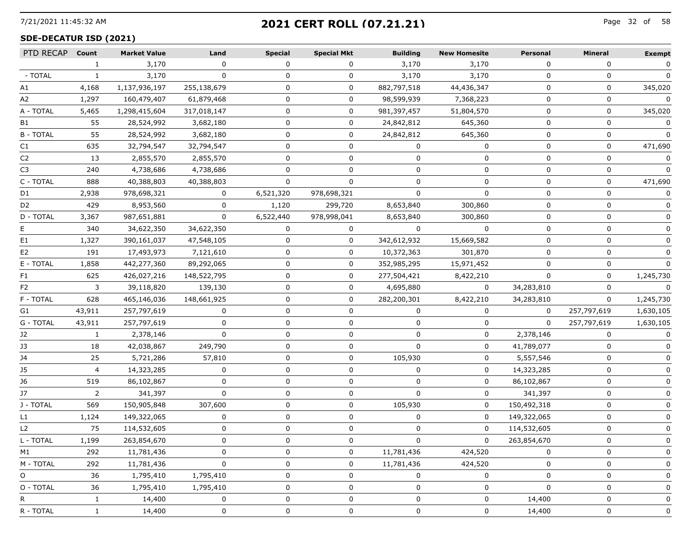## 7/21/2021 11:45:32 AM Page 32 of **2021 CERT ROLL (07.21.21)**

#### **SDE-DECATUR ISD (2021)**

| PTD RECAP      | Count        | <b>Market Value</b> | Land         | <b>Special</b> | <b>Special Mkt</b> | <b>Building</b> | <b>New Homesite</b> | <b>Personal</b> | Mineral     | <b>Exempt</b>  |
|----------------|--------------|---------------------|--------------|----------------|--------------------|-----------------|---------------------|-----------------|-------------|----------------|
|                | $\mathbf{1}$ | 3,170               | $\Omega$     | 0              | $\Omega$           | 3,170           | 3,170               | $\Omega$        | $\Omega$    | 0              |
| - TOTAL        | 1            | 3,170               | $\mathbf{0}$ | 0              | 0                  | 3,170           | 3,170               | $\Omega$        |             |                |
| А1             | 4,168        | 1,137,936,197       | 255,138,679  | 0              | 0                  | 882,797,518     | 44,436,347          | 0               | 0           | 345,020        |
| A2             | 1,297        | 160,479,407         | 61,879,468   | $\mathbf 0$    | 0                  | 98,599,939      | 7,368,223           | 0               | 0           | $\mathbf 0$    |
| A - TOTAL      | 5,465        | 1,298,415,604       | 317,018,147  | 0              | 0                  | 981,397,457     | 51,804,570          | $\Omega$        | 0           | 345,020        |
| B1             | 55           | 28,524,992          | 3,682,180    | $\Omega$       | 0                  | 24,842,812      | 645,360             | $\Omega$        | 0           |                |
| <b>B-TOTAL</b> | 55           | 28,524,992          | 3,682,180    | 0              | 0                  | 24,842,812      | 645,360             | 0               | 0           |                |
| C1             | 635          | 32,794,547          | 32,794,547   | 0              | 0                  | 0               | 0                   | $\Omega$        | 0           | 471,690        |
| C2             | 13           | 2,855,570           | 2,855,570    | $\Omega$       | $\Omega$           | $\Omega$        | 0                   | $\Omega$        | 0           | $\mathbf{0}$   |
| C <sub>3</sub> | 240          | 4,738,686           | 4,738,686    |                |                    |                 | O                   |                 |             |                |
| C - TOTAL      | 888          | 40,388,803          | 40,388,803   | 0              | 0                  | n               | 0                   | n               | 0           | 471,690        |
| D1             | 2,938        | 978,698,321         | $\mathbf 0$  | 6,521,320      | 978,698,321        |                 | 0                   | O               | 0           | 0              |
| D <sub>2</sub> | 429          | 8,953,560           | $\mathbf{0}$ | 1,120          | 299,720            | 8,653,840       | 300,860             | $\Omega$        | $\Omega$    | $\mathbf{0}$   |
| D - TOTAL      | 3,367        | 987,651,881         | 0            | 6,522,440      | 978,998,041        | 8,653,840       | 300,860             |                 | $\Omega$    |                |
| Е              | 340          | 34,622,350          | 34,622,350   | 0              | 0                  | 0               | 0                   |                 | n           |                |
| E1             | 1,327        | 390,161,037         | 47,548,105   | 0              | $\mathbf{0}$       | 342,612,932     | 15,669,582          | $\Omega$        | O           |                |
| E2             | 191          | 17,493,973          | 7,121,610    | 0              | $\mathbf{0}$       | 10,372,363      | 301,870             | 0               | 0           | $\mathbf{0}$   |
| E - TOTAL      | 1,858        | 442,277,360         | 89,292,065   | $\Omega$       | 0                  | 352,985,295     | 15,971,452          |                 | $\Omega$    |                |
| F1             | 625          | 426,027,216         | 148,522,795  | 0              | 0                  | 277,504,421     | 8,422,210           |                 | 0           | 1,245,730      |
| F2             | 3            | 39,118,820          | 139,130      | 0              | 0                  | 4,695,880       | $\mathbf 0$         | 34,283,810      | 0           | $\overline{0}$ |
| F - TOTAL      | 628          | 465,146,036         | 148,661,925  | 0              | 0                  | 282,200,301     | 8,422,210           | 34,283,810      | 0           | 1,245,730      |
| G1             | 43,911       | 257,797,619         | $\Omega$     | $\Omega$       | 0                  |                 | 0                   | $\Omega$        | 257,797,619 | 1,630,105      |
| G - TOTAL      | 43,911       | 257,797,619         | 0            | 0              | 0                  | 0               | 0                   | $^{\rm o}$      | 257,797,619 | 1,630,105      |
| J2             | 1            | 2,378,146           | 0            | 0              | 0                  | 0               | 0                   | 2,378,146       | 0           | 0              |
| J3             | 18           | 42,038,867          | 249,790      | $\Omega$       | 0                  | $\Omega$        | $\mathbf{0}$        | 41,789,077      | $\Omega$    | $\mathbf{0}$   |
| J4             | 25           | 5,721,286           | 57,810       | 0              | 0                  | 105,930         | 0                   | 5,557,546       | 0           | 0              |
| J5             | 4            | 14,323,285          | 0            | 0              | 0                  | 0               | 0                   | 14,323,285      | 0           | $\Omega$       |
| J6             | 519          | 86,102,867          | 0            | 0              | 0                  | 0               | 0                   | 86,102,867      | 0           |                |
| J7             | 2            | 341,397             | $\Omega$     | 0              | $\Omega$           | $\Omega$        | 0                   | 341,397         | 0           | 0              |
| J - TOTAL      | 569          | 150,905,848         | 307,600      | $\Omega$       | 0                  | 105,930         | 0                   | 150,492,318     | O           | $\Omega$       |
| L1             | 1,124        | 149,322,065         | 0            | 0              | 0                  | 0               | 0                   | 149,322,065     | 0           |                |
| L2             | 75           | 114,532,605         | 0            | 0              | 0                  | 0               | 0                   | 114,532,605     | 0           |                |
| L - TOTAL      | 1,199        | 263,854,670         | 0            | 0              | 0                  | n               | 0                   | 263,854,670     |             |                |
| M1             | 292          | 11,781,436          | 0            | <sup>0</sup>   | 0                  | 11,781,436      | 424,520             |                 | O           | 0              |
| M - TOTAL      | 292          | 11,781,436          | 0            | O              | 0                  | 11,781,436      | 424,520             |                 | 0           | 0              |
| O              | 36           | 1,795,410           | 1,795,410    | 0              | 0                  | 0               | 0                   | - ( )           | 0           | $\mathbf{0}$   |
| O - TOTAL      | 36           | 1,795,410           | 1,795,410    | 0              | 0                  | 0               | 0                   | $\Omega$        | 0           | $\mathbf{0}$   |
|                | 1            | 14,400              | 0            | 0              | 0                  | 0               | 0                   | 14,400          | 0           | 0              |
| R - TOTAL      | $\mathbf{1}$ | 14,400              | 0            | 0              | 0                  | 0               | 0                   | 14,400          | 0           | 0              |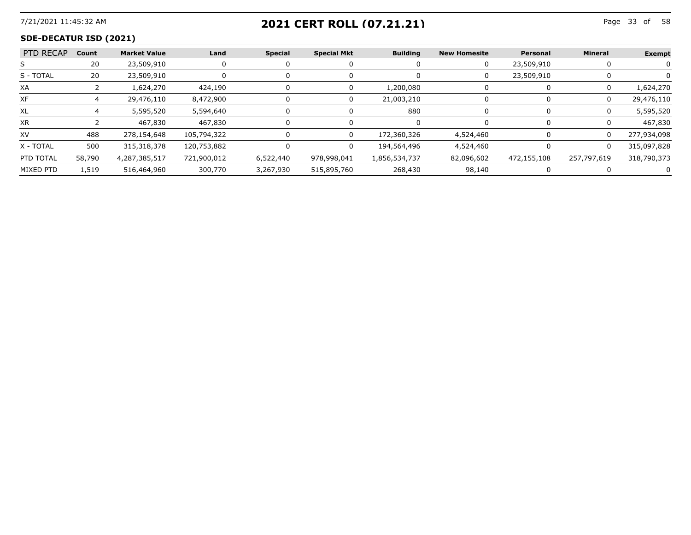## 7/21/2021 11:45:32 AM Page 33 of **2021 CERT ROLL (07.21.21)**

#### **SDE-DECATUR ISD (2021)**

| PTD RECAP Count |        | <b>Market Value</b> | Land        | Special   | <b>Special Mkt</b> | <b>Building</b> | <b>New Homesite</b> | Personal    | Mineral     | Exempt      |
|-----------------|--------|---------------------|-------------|-----------|--------------------|-----------------|---------------------|-------------|-------------|-------------|
|                 |        | 23,509,910          |             |           |                    |                 |                     | 23,509,910  |             |             |
| S - TOTAL       | 20     | 23.509.910          |             |           |                    |                 |                     | 23.509.910  |             |             |
| XA              |        | 1,624,270           | 424,190     |           |                    | 1.200.080       |                     |             |             | 1,624,270   |
| ХF              |        | 29,476,110          | 8,472,900   |           |                    | 21.003.210      |                     |             |             | 29,476,110  |
| XL              |        | 5,595,520           | 5,594,640   |           |                    | 880             |                     |             |             | 5,595,520   |
| ХR              |        | 467.830             | 467.830     |           |                    |                 |                     |             |             | 467.830     |
| XV              | 488    | 278,154,648         | 105,794,322 |           |                    | 172,360,326     | 4,524,460           |             |             | 277.934.098 |
| X - TOTAL       | 500    | 315.318.378         | 120,753,882 |           |                    | 194.564.496     | 4.524.460           |             |             | 315.097.828 |
| PTD TOTAL       | 58,790 | 4,287,385,517       | 721,900,012 | 6,522,440 | 978,998,041        | 1,856,534,737   | 82,096,602          | 472,155,108 | 257,797,619 | 318,790,373 |
| MIXED PTD       | 1,519  | 516,464,960         | 300,770     | 3,267,930 | 515,895,760        | 268,430         | 98,140              |             |             |             |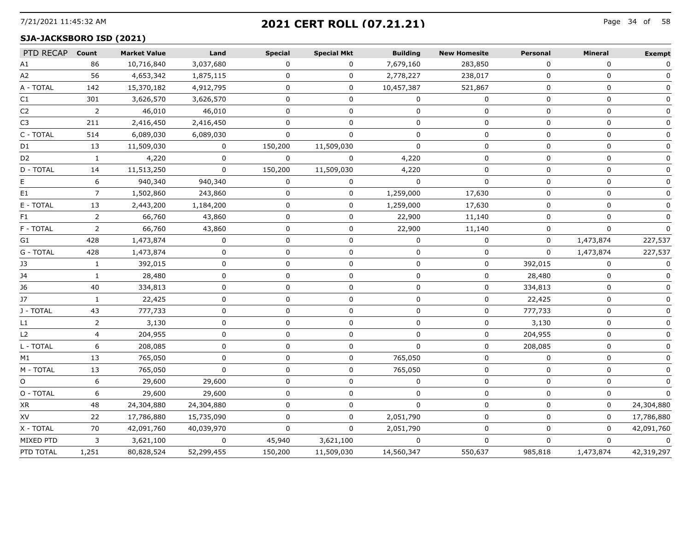# 7/21/2021 11:45:32 AM Page 34 of **2021 CERT ROLL (07.21.21)**

#### **SJA-JACKSBORO ISD (2021)**

| PTD RECAP Count |                | <b>Market Value</b> | Land         | <b>Special</b> | <b>Special Mkt</b> | <b>Building</b> | <b>New Homesite</b> | <b>Personal</b> | <b>Mineral</b> | <b>Exempt</b> |
|-----------------|----------------|---------------------|--------------|----------------|--------------------|-----------------|---------------------|-----------------|----------------|---------------|
| А1              | 86             | 10,716,840          | 3,037,680    | $\Omega$       | 0                  | 7,679,160       | 283,850             | $\Omega$        | 0              | 0             |
| A2              | 56             | 4,653,342           | 1,875,115    | 0              | 0                  | 2,778,227       | 238,017             | $\Omega$        | $\Omega$       |               |
| A - TOTAL       | 142            | 15,370,182          | 4,912,795    | 0              | 0                  | 10,457,387      | 521,867             | 0               | 0              |               |
| C1              | 301            | 3,626,570           | 3,626,570    | 0              | 0                  | 0               | 0                   | 0               | 0              | 0             |
| C <sub>2</sub>  | 2              | 46,010              | 46,010       | $\mathbf 0$    | $\mathbf 0$        | $\mathbf 0$     | $\mathbf 0$         | $\mathbf 0$     | 0              | 0             |
| C3              | 211            | 2,416,450           | 2,416,450    | $\Omega$       | 0                  | $\Omega$        | 0                   | 0               | 0              | 0             |
| C - TOTAL       | 514            | 6,089,030           | 6,089,030    | $\Omega$       | $\Omega$           | $\Omega$        | $\Omega$            | $\Omega$        | $\Omega$       | $\Omega$      |
| D1              | 13             | 11,509,030          | 0            | 150,200        | 11,509,030         | $\Omega$        | U                   | $\Omega$        | 0              |               |
| D <sub>2</sub>  | 1              | 4,220               | $\mathbf{0}$ | $\Omega$       | 0                  | 4,220           | 0                   | 0               | 0              |               |
| D - TOTAL       | 14             | 11,513,250          | $\mathbf 0$  | 150,200        | 11,509,030         | 4,220           | 0                   | 0               | 0              |               |
| E.              | 6              | 940,340             | 940,340      | 0              | 0                  | 0               | 0                   | 0               | 0              | 0             |
| E1              | $7^{\circ}$    | 1,502,860           | 243,860      | $\mathbf 0$    | $\mathbf 0$        | 1,259,000       | 17,630              | 0               | 0              | $\Omega$      |
| E - TOTAL       | 13             | 2,443,200           | 1,184,200    | $\Omega$       | $\mathbf{0}$       | 1,259,000       | 17,630              | $\Omega$        | $\Omega$       | $\mathbf{0}$  |
| F1              | 2              | 66,760              | 43,860       | 0              | 0                  | 22,900          | 11,140              | 0               | $\mathbf 0$    | 0             |
| F - TOTAL       | $\overline{2}$ | 66,760              | 43,860       | $\Omega$       | 0                  | 22,900          | 11,140              | $\Omega$        | $\Omega$       | $\Omega$      |
| G1              | 428            | 1,473,874           | 0            | 0              | 0                  | $\mathbf{0}$    | 0                   | 0               | 1,473,874      | 227,537       |
| G - TOTAL       | 428            | 1,473,874           | 0            | 0              | 0                  | 0               | 0                   | 0               | 1,473,874      | 227,537       |
| J3              | $\mathbf{1}$   | 392,015             | 0            | 0              | 0                  | 0               | 0                   | 392,015         | 0              | 0             |
| J4              | $\mathbf{1}$   | 28,480              | 0            | 0              | $\mathbf 0$        | 0               | 0                   | 28,480          | 0              | 0             |
| J6              | 40             | 334,813             | $\mathbf{0}$ | $\Omega$       | $\Omega$           | $\Omega$        | $\Omega$            | 334,813         | $\Omega$       | $\Omega$      |
| <b>J7</b>       |                | 22,425              | $\Omega$     | 0              | 0                  | n               | 0                   | 22,425          | $\Omega$       |               |
| J - TOTAL       | 43             | 777,733             | $\Omega$     | $\Omega$       | 0                  | 0               | 0                   | 777,733         | 0              |               |
| L1              | $\overline{2}$ | 3,130               | 0            | $\Omega$       | 0                  | 0               | 0                   | 3,130           | 0              |               |
| L2              | 4              | 204,955             | $\Omega$     | $\Omega$       | 0                  | 0               | 0                   | 204,955         | 0              | 0             |
| L - TOTAL       | 6              | 208,085             | $\Omega$     | 0              | $\mathbf 0$        | $\Omega$        | 0                   | 208,085         | 0              | $\Omega$      |
| M1              | 13             | 765,050             | $\Omega$     | $\Omega$       | $\Omega$           | 765,050         | 0                   | $\Omega$        | $\Omega$       | $\mathbf{0}$  |
| M - TOTAL       | 13             | 765,050             | $\mathbf{0}$ | 0              | 0                  | 765,050         | 0                   | $\Omega$        | $\mathbf 0$    | $\mathbf{0}$  |
| O               | 6              | 29,600              | 29,600       | $\Omega$       | 0                  | $\Omega$        | 0                   | $\Omega$        | $\Omega$       |               |
| O - TOTAL       | 6              | 29,600              | 29,600       | 0              | 0                  | 0               | 0                   | 0               | 0              | 0             |
| XR              | 48             | 24,304,880          | 24,304,880   | $\Omega$       | 0                  | $\Omega$        | 0                   | 0               | $\Omega$       | 24,304,880    |
| XV              | 22             | 17,786,880          | 15,735,090   | 0              | 0                  | 2,051,790       | 0                   | 0               | 0              | 17,786,880    |
| X - TOTAL       | 70             | 42,091,760          | 40,039,970   | $\Omega$       | $\Omega$           | 2,051,790       | 0                   | 0               | 0              | 42,091,760    |
| MIXED PTD       | 3              | 3,621,100           | $\mathbf 0$  | 45,940         | 3,621,100          | $\mathbf 0$     | $\mathbf 0$         | $\Omega$        | $\mathbf 0$    | $\mathbf 0$   |
| PTD TOTAL       | 1,251          | 80,828,524          | 52,299,455   | 150,200        | 11,509,030         | 14,560,347      | 550,637             | 985,818         | 1,473,874      | 42,319,297    |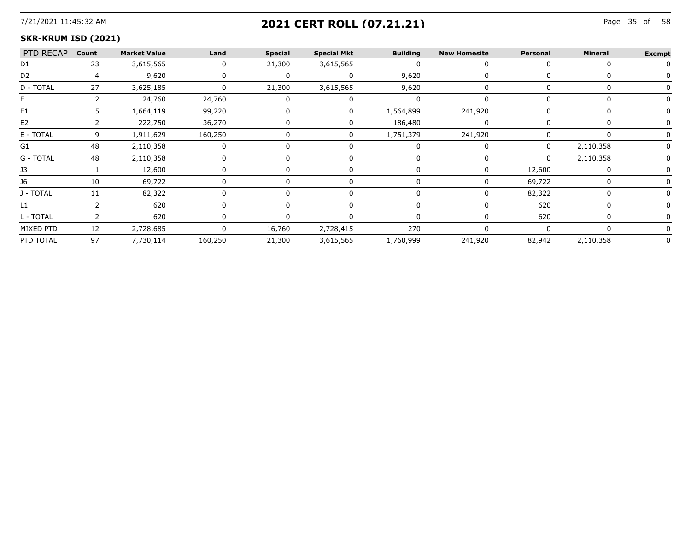## 7/21/2021 11:45:32 AM Page 35 of **2021 CERT ROLL (07.21.21)**

#### **SKR-KRUM ISD (2021)**

| PTD RECAP Count |    | <b>Market Value</b> | Land                      | <b>Special</b> | <b>Special Mkt</b> | <b>Building</b> | <b>New Homesite</b> | Personal | Mineral   | <b>Exempt</b> |
|-----------------|----|---------------------|---------------------------|----------------|--------------------|-----------------|---------------------|----------|-----------|---------------|
| D1              | 23 | 3,615,565           | $\Omega$                  | 21,300         | 3,615,565          |                 |                     |          |           |               |
| D2              |    | 9,620               |                           |                |                    | 9,620           |                     |          |           |               |
| D - TOTAL       | 27 | 3,625,185           |                           | 21,300         | 3,615,565          | 9,620           |                     |          |           |               |
|                 |    | 24,760              | 24,760                    |                |                    |                 |                     |          |           |               |
| E1              |    | 1,664,119           | 99,220                    |                |                    | 1,564,899       | 241,920             |          |           |               |
| E <sub>2</sub>  |    | 222,750             | 36,270                    |                |                    | 186,480         |                     |          |           |               |
| E - TOTAL       |    | 1,911,629           | 160,250<br>-------------- |                |                    | 1,751,379       | 241,920             |          |           |               |
| Gl              |    | 2,110,358           |                           |                |                    |                 |                     |          | 2,110,358 |               |
| G - TOTAL       | 48 | 2,110,358           |                           |                |                    |                 |                     | 0        | 2,110,358 |               |
| 13              |    | 12,600              |                           |                |                    |                 |                     | 12,600   |           |               |
|                 |    | 69,722              |                           |                |                    |                 |                     | 69,722   |           |               |
| I - TOTAI       |    | 82,322              |                           |                |                    |                 |                     | 82,322   |           |               |
|                 |    | 620                 |                           |                |                    |                 |                     | 620      |           |               |
| L - TOTAL       |    | 620                 |                           |                |                    |                 |                     | 620      |           |               |
| MIXED PTD       | 12 | 2,728,685           |                           | 16,760         | 2,728,415          | 270             |                     |          |           |               |
| PTD TOTAL       | 97 | 7,730,114           | 160,250                   | 21,300         | 3,615,565          | 1,760,999       | 241,920             | 82,942   | 2,110,358 |               |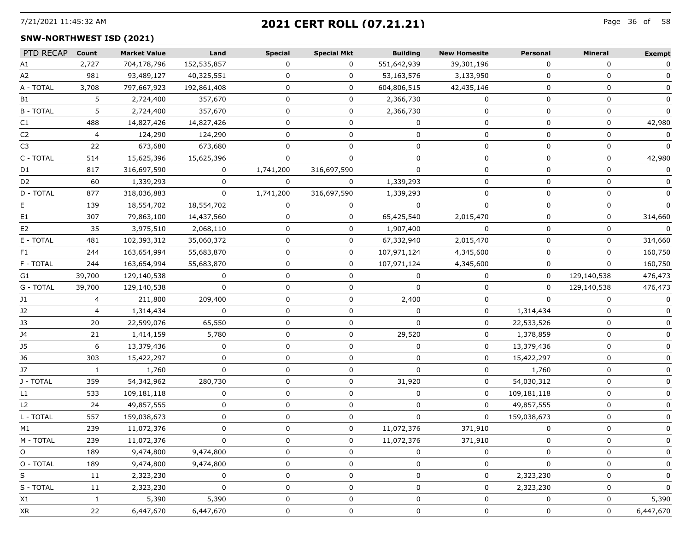# 7/21/2021 11:45:32 AM Page 36 of **2021 CERT ROLL (07.21.21)**

#### **SNW-NORTHWEST ISD (2021)**

| PTD RECAP      | Count  | <b>Market Value</b> | Land         | <b>Special</b> | <b>Special Mkt</b> | <b>Building</b> | <b>New Homesite</b> | Personal     | Mineral      | <b>Exempt</b> |
|----------------|--------|---------------------|--------------|----------------|--------------------|-----------------|---------------------|--------------|--------------|---------------|
| A1             | 2,727  | 704,178,796         | 152,535,857  | 0              | $\Omega$           | 551,642,939     | 39,301,196          | $\Omega$     | 0            | 0             |
| A2             | 981    | 93,489,127          | 40,325,551   | U              | 0                  | 53,163,576      | 3,133,950           | <sup>0</sup> | U            |               |
| A - TOTAL      | 3,708  | 797,667,923         | 192,861,408  | 0              | 0                  | 604,806,515     | 42,435,146          | 0            | 0            |               |
| B1             | 5.     | 2,724,400           | 357,670      | 0              | 0                  | 2,366,730       | 0                   | 0            | 0            | 0             |
| <b>B-TOTAL</b> | 5.     | 2,724,400           | 357,670      | U              | 0                  | 2,366,730       | 0                   | <sup>0</sup> | 0            |               |
| C1             | 488    | 14,827,426          | 14,827,426   |                | 0                  | 0               | 0                   | 0            | $\mathbf 0$  | 42,980        |
| C2             | 4      | 124,290             | 124,290      | 0              | 0                  | 0               | 0                   | 0            | 0            |               |
| C3             | 22     | 673,680             | 673,680      | 0              | 0                  | $\Omega$        | 0                   | 0            | 0            | $\Omega$      |
| C - TOTAL      | 514    | 15,625,396          | 15,625,396   | $\Omega$       | 0                  | $\Omega$        | 0                   | $\Omega$     | 0            | 42,980        |
| D1             | 817    | 316,697,590         | 0            | 1,741,200      | 316,697,590        | O               | 0                   | 0            | $\mathbf 0$  |               |
| D <sub>2</sub> | 60     | 1,339,293           | 0            | 0              | 0                  | 1,339,293       | 0                   | 0            | 0            |               |
| D - TOTAL      | 877    | 318,036,883         | $\Omega$     | 1,741,200      | 316,697,590        | 1,339,293       | 0                   | 0            | 0            | 0             |
|                | 139    | 18,554,702          | 18,554,702   | 0              | 0                  | $\Omega$        | $\Omega$            | $\Omega$     | $\mathbf{0}$ | $\Omega$      |
| E1             | 307    | 79,863,100          | 14,437,560   | 0              | 0                  | 65,425,540      | 2,015,470           | 0            | $\mathbf 0$  | 314,660       |
| E2             | 35     | 3,975,510           | 2,068,110    | 0              | 0                  | 1,907,400       | 0                   | 0            | 0            | $\Omega$      |
| E - TOTAL      | 481    | 102,393,312         | 35,060,372   | 0              | $\mathbf{0}$       | 67,332,940      | 2,015,470           | 0            | 0            | 314,660       |
| F1.            | 244    | 163,654,994         | 55,683,870   | 0              | 0                  | 107,971,124     | 4,345,600           | $\Omega$     | $\Omega$     | 160,750       |
| F - TOTAL      | 244    | 163,654,994         | 55,683,870   |                | 0                  | 107,971,124     | 4,345,600           |              | 0            | 160,750       |
| G1             | 39,700 | 129,140,538         | 0            | 0              | 0                  |                 | 0                   | $\Omega$     | 129,140,538  | 476,473       |
| G - TOTAL      | 39,700 | 129,140,538         | 0            | 0              | 0                  | 0               | 0                   | 0            | 129,140,538  | 476,473       |
| J1             |        | 211,800             | 209,400      | 0              | 0                  | 2,400           | 0                   | $\Omega$     | $\Omega$     | $\mathbf{0}$  |
| J2             |        | 1,314,434           |              |                | 0                  |                 | 0                   | 1,314,434    | 0            |               |
| 13             | 20     | 22,599,076          | 65,550       |                |                    |                 | o                   | 22,533,526   |              |               |
| 34             | 21     | 1,414,159           | 5,780        | 0              | 0                  | 29,520          | 0                   | 1,378,859    | 0            |               |
| 15             | 6      | 13,379,436          | 0            | <sup>n</sup>   | 0                  | n               | 0                   | 13,379,436   | 0            |               |
| J6             | 303    | 15,422,297          |              |                | 0                  |                 | 0                   | 15,422,297   | 0            |               |
| J7             |        | 1,760               | 0            |                |                    | n               | <sup>0</sup>        | 1,760        | U            |               |
| J - TOTAL      | 359    | 54,342,962          | 280,730      | 0              | 0                  | 31,920          | 0                   | 54,030,312   | 0            |               |
| L1             | 533    | 109,181,118         | <sup>0</sup> | <sup>n</sup>   | U                  | <sup>n</sup>    | 0                   | 109,181,118  | $\Omega$     |               |
| L <sub>2</sub> | 24     | 49,857,555          | U            | 0              | 0                  | 0               | 0                   | 49,857,555   | 0            |               |
| L - TOTAL      | 557    | 159,038,673         |              |                | 0                  | O               | 0                   | 159,038,673  | 0            |               |
| M1             | 239    | 11,072,376          | 0            | 0              | 0                  | 11,072,376      | 371,910             | 0            | 0            |               |
| M - TOTAL      | 239    | 11,072,376          | 0            | 0              | $\mathbf{0}$       | 11.072.376      | 371.910             | $\Omega$     | 0            |               |
| O              | 189    | 9,474,800           | 9,474,800    | 0              | 0                  | O               | 0                   | 0            | 0            |               |
| O - TOTAL      | 189    | 9,474,800           | 9,474,800    | U              | 0                  | 0               | 0                   | 0            | 0            | $\Omega$      |
| S              | 11     | 2,323,230           | 0            | 0              | 0                  | 0               | 0                   | 2,323,230    | 0            | $\Omega$      |
| S - TOTAL      | 11     | 2,323,230           | 0            | 0              | 0                  | 0               | 0                   | 2,323,230    | 0            | O             |
| X1             | 1      | 5,390               | 5,390        | U              | 0                  | 0               | 0                   |              | 0            | 5,390         |
| XR             | 22     | 6,447,670           | 6,447,670    | 0              | 0                  | 0               | 0                   | 0            | 0            | 6,447,670     |
|                |        |                     |              |                |                    |                 |                     |              |              |               |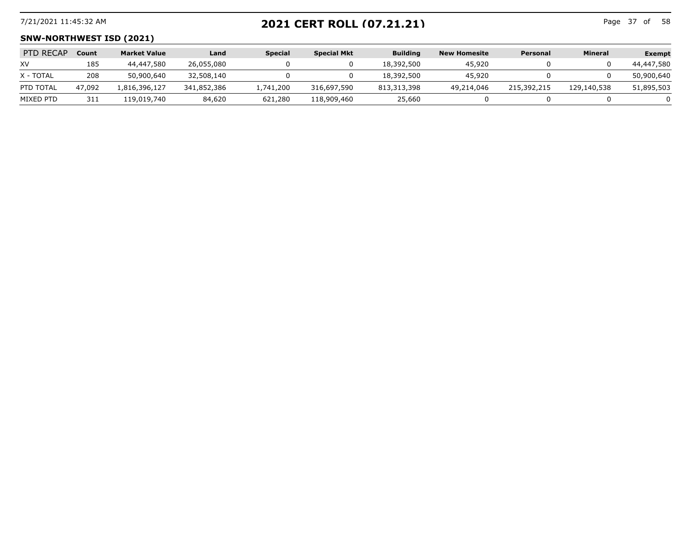## 7/21/2021 11:45:32 AM Page 37 of **2021 CERT ROLL (07.21.21)**

Page 37 of 58

#### **SNW-NORTHWEST ISD (2021)**

| <b>PTD RECAP</b> | Count  | <b>Market Value</b> | Land        | <b>Special</b> | <b>Special Mkt</b> | <b>Building</b> | <b>New Homesite</b> | Personal    | <b>Mineral</b> | <b>Exempt</b> |
|------------------|--------|---------------------|-------------|----------------|--------------------|-----------------|---------------------|-------------|----------------|---------------|
| XV               | 185    | 44,447,580          | 26,055,080  |                |                    | 18,392,500      | 45,920              |             |                | 44,447,580    |
| X - TOTAL        | 208    | 50,900,640          | 32,508,140  |                |                    | 18,392,500      | 45.920              |             |                | 50,900,640    |
| PTD TOTAL        | 47,092 | .816,396,127        | 341,852,386 | 1,741,200      | 316,697,590        | 813,313,398     | 49,214,046          | 215,392,215 | 129,140,538    | 51,895,503    |
| MIXED PTD        | 311    | 119,019,740         | 84,620      | 621,280        | 118,909,460        | 25,660          |                     |             |                |               |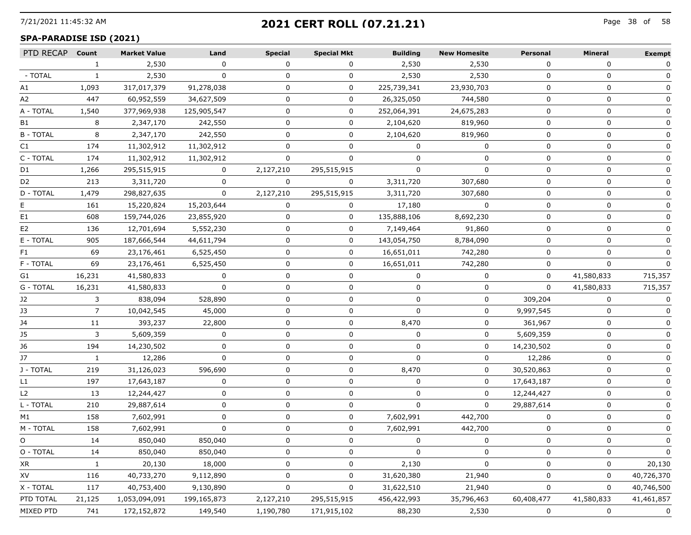## 7/21/2021 11:45:32 AM Page 38 of **2021 CERT ROLL (07.21.21)**

#### **SPA-PARADISE ISD (2021)**

| PTD RECAP Count |              | <b>Market Value</b> | Land        | <b>Special</b> | <b>Special Mkt</b> | <b>Building</b> | <b>New Homesite</b> | <b>Personal</b> | Mineral      | <b>Exempt</b> |
|-----------------|--------------|---------------------|-------------|----------------|--------------------|-----------------|---------------------|-----------------|--------------|---------------|
|                 | 1            | 2,530               | $\Omega$    | $\Omega$       | $\Omega$           | 2,530           | 2,530               | $\Omega$        | $\Omega$     | 0             |
| - TOTAL         | 1            | 2,530               | $\Omega$    | 0              | 0                  | 2,530           | 2,530               | $\Omega$        | $\Omega$     | 0             |
| А1              | 1,093        | 317,017,379         | 91,278,038  | 0              | 0                  | 225,739,341     | 23,930,703          | 0               | 0            |               |
| A2              | 447          | 60,952,559          | 34,627,509  | $\Omega$       | 0                  | 26,325,050      | 744,580             | $\mathbf 0$     | 0            | $\Omega$      |
| A - TOTAL       | 1,540        | 377,969,938         | 125,905,547 | 0              | 0                  | 252,064,391     | 24,675,283          | $\Omega$        | $\Omega$     | 0             |
| B1              | 8            | 2,347,170           | 242,550     | 0              | 0                  | 2,104,620       | 819,960             | $\Omega$        | $\Omega$     |               |
| <b>B-TOTAL</b>  | 8            | 2,347,170           | 242,550     | 0              | 0                  | 2,104,620       | 819,960             | 0               | 0            |               |
| C1              | 174          | 11,302,912          | 11,302,912  | $\Omega$       | 0                  | 0               | 0                   | 0               | 0            |               |
| C - TOTAL       | 174          | 11,302,912          | 11,302,912  | $\Omega$       | $\Omega$           | $\Omega$        | $\mathbf{0}$        | $\Omega$        | $\Omega$     | $\Omega$      |
| D1              | 1,266        | 295,515,915         | 0           | 2,127,210      | 295,515,915        |                 | O                   | ŋ               | 0            |               |
| D <sub>2</sub>  | 213          | 3,311,720           | $\Omega$    | $\Omega$       | $\mathbf{0}$       | 3,311,720       | 307,680             | 0               | 0            |               |
| D - TOTAL       | 1,479        | 298,827,635         | $\Omega$    | 2,127,210      | 295,515,915        | 3,311,720       | 307,680             | 0               | 0            |               |
|                 | 161          | 15,220,824          | 15,203,644  | 0              | $\mathbf{0}$       | 17,180          | $\Omega$            | $\Omega$        | $\Omega$     | $\Omega$      |
| E1              | 608          | 159,744,026         | 23,855,920  | 0              | 0                  | 135,888,106     | 8,692,230           | O               | 0            |               |
| E2              | 136          | 12,701,694          | 5,552,230   |                | 0                  | 7,149,464       | 91,860              | 0               | 0            |               |
| E - TOTAL       | 905          | 187,666,544         | 44,611,794  | 0              | 0                  | 143,054,750     | 8,784,090           | 0               | 0            |               |
| F1              | 69           | 23,176,461          | 6,525,450   | 0              | $\mathbf{0}$       | 16,651,011      | 742,280             | $\Omega$        | $\Omega$     | $\Omega$      |
| F - TOTAL       | 69           | 23,176,461          | 6,525,450   |                | $\Omega$           | 16,651,011      | 742,280             | $\Omega$        | 0            |               |
| G1              | 16,231       | 41,580,833          | 0           | 0              | 0                  |                 | 0                   | 0               | 41,580,833   | 715,357       |
| G - TOTAL       | 16,231       | 41,580,833          | $\Omega$    | 0              | 0                  | $\Omega$        | 0                   | $\Omega$        | 41,580,833   | 715,357       |
| J2              | 3            | 838,094             | 528,890     | 0              | 0                  | 0               | 0                   | 309,204         | $\Omega$     | 0             |
| J3              | $7^{\circ}$  | 10,042,545          | 45,000      | 0              | 0                  | $\Omega$        | 0                   | 9,997,545       | $\Omega$     | $\Omega$      |
| J4              | 11           | 393,237             | 22,800      | 0              | 0                  | 8,470           | 0                   | 361,967         | 0            |               |
| J5              | 3            | 5,609,359           | 0           | 0              | 0                  | 0               | 0                   | 5,609,359       | 0            |               |
| J6              | 194          | 14,230,502          | $\Omega$    | $\Omega$       | 0                  | $\Omega$        | $\mathbf{0}$        | 14,230,502      | $\mathbf{0}$ | $\Omega$      |
| J7              | $\mathbf{1}$ | 12,286              | $\Omega$    | 0              | 0                  | $\Omega$        | 0                   | 12,286          | 0            | 0             |
| J - TOTAL       | 219          | 31,126,023          | 596,690     | 0              | 0                  | 8,470           | 0                   | 30,520,863      | 0            |               |
| L1              | 197          | 17,643,187          | 0           | 0              | 0                  | $\Omega$        | 0                   | 17,643,187      | 0            |               |
| L <sub>2</sub>  | 13           | 12,244,427          | $\Omega$    | $\Omega$       | 0                  | $\Omega$        | 0                   | 12,244,427      | 0            | $\Omega$      |
| L - TOTAL       | 210          | 29,887,614          | $\Omega$    | 0              | 0                  | $\Omega$        | $\mathbf{0}$        | 29,887,614      | $\Omega$     | $\Omega$      |
| M1              | 158          | 7,602,991           | 0           | 0              | 0                  | 7,602,991       | 442,700             | 0               | 0            |               |
| M - TOTAL       | 158          | 7,602,991           | $\Omega$    | 0              | 0                  | 7,602,991       | 442,700             | 0               | 0            |               |
| O               | 14           | 850,040             | 850,040     | 0              | $\mathbf{0}$       | $\overline{0}$  | 0                   | $\mathbf 0$     | 0            |               |
| O - TOTAL       | 14           | 850,040             | 850,040     |                | 0                  | n               | $\Omega$            | O               | $\Omega$     | 0             |
| XR              | 1.           | 20,130              | 18,000      |                | 0                  | 2,130           | 0                   | 0               | 0            | 20,130        |
| XV              | 116          | 40,733,270          | 9,112,890   | 0              | 0                  | 31,620,380      | 21,940              | 0               | 0            | 40,726,370    |
| X - TOTAL       | 117          | 40,753,400          | 9,130,890   | 0              | 0                  | 31,622,510      | 21,940              | 0               | 0            | 40,746,500    |
| PTD TOTAL       | 21,125       | 1,053,094,091       | 199,165,873 | 2,127,210      | 295,515,915        | 456,422,993     | 35,796,463          | 60,408,477      | 41,580,833   | 41,461,857    |
| MIXED PTD       | 741          | 172,152,872         | 149,540     | 1,190,780      | 171,915,102        | 88,230          | 2,530               | 0               | 0            | 0             |
|                 |              |                     |             |                |                    |                 |                     |                 |              |               |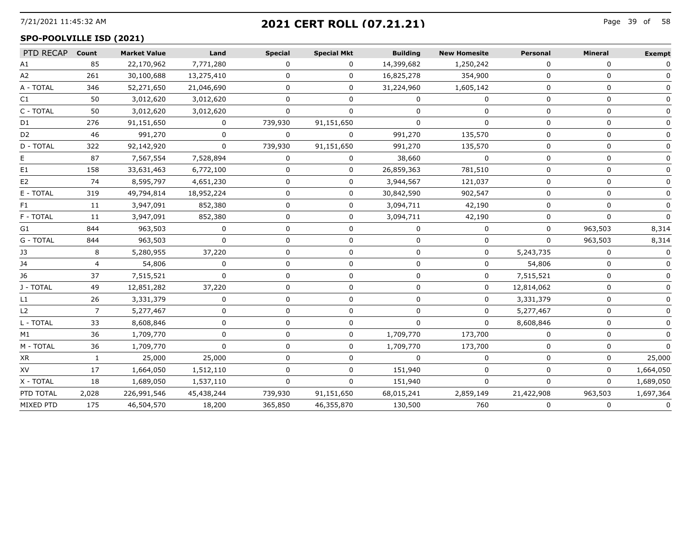## 7/21/2021 11:45:32 AM Page 39 of **2021 CERT ROLL (07.21.21)**

#### **SPO-POOLVILLE ISD (2021)**

| PTD RECAP Count |                | <b>Market Value</b> | Land       | <b>Special</b> | <b>Special Mkt</b> | <b>Building</b> | <b>New Homesite</b> | Personal     | Mineral      | <b>Exempt</b> |
|-----------------|----------------|---------------------|------------|----------------|--------------------|-----------------|---------------------|--------------|--------------|---------------|
| A1              | 85             | 22,170,962          | 7,771,280  | 0              | 0                  | 14,399,682      | 1,250,242           | 0            | 0            | 0             |
| A2              | 261            | 30,100,688          | 13,275,410 | <sup>n</sup>   | $\Omega$           | 16,825,278      | 354,900             | $\Omega$     | $\Omega$     |               |
| A - TOTAL       | 346            | 52,271,650          | 21,046,690 |                | 0                  | 31,224,960      | 1,605,142           | n            | n            |               |
| C1              | 50             | 3,012,620           | 3,012,620  |                | U                  |                 |                     |              | n            |               |
| C - TOTAL       | 50             | 3,012,620           | 3,012,620  |                |                    |                 |                     |              |              |               |
| D1              | 276            | 91,151,650          | 0          | 739,930        | 91,151,650         |                 |                     | n            | $\mathbf{I}$ |               |
| D <sub>2</sub>  | 46             | 991,270             | U          | $\Omega$       | 0                  | 991,270         | 135,570             | <sup>n</sup> | $\Omega$     |               |
| D - TOTAL       | 322            | 92,142,920          | 0          | 739,930        | 91,151,650         | 991,270         | 135,570             |              | O            |               |
|                 | 87             | 7,567,554           | 7,528,894  | <sup>n</sup>   | $\Omega$           | 38,660          | $\Omega$            | $\Omega$     | $\Omega$     |               |
| E1              | 158            | 33,631,463          | 6,772,100  |                | 0                  | 26,859,363      | 781,510             | n            | n            |               |
| E <sub>2</sub>  | 74             | 8,595,797           | 4,651,230  |                | 0                  | 3,944,567       | 121,037             | $\Omega$     | n            |               |
| E - TOTAL       | 319            | 49,794,814          | 18,952,224 |                | 0                  | 30,842,590      | 902,547             |              |              |               |
| F1.             | 11             | 3,947,091           | 852,380    |                | 0                  | 3,094,711       | 42,190              |              |              | 0             |
| F - TOTAL       | 11             | 3,947,091           | 852,380    |                | 0                  | 3,094,711       | 42,190              |              |              |               |
| G1.             | 844            | 963,503             | 0          | O              | 0                  | 0               | 0                   | 0            | 963,503      | 8,314         |
| G - TOTAL       | 844            | 963,503             | $\Omega$   | U              | 0                  |                 | $\Omega$            | $\Omega$     | 963,503      | 8,314         |
| JЗ              | 8              | 5,280,955           | 37,220     | O              | 0                  |                 | 0                   | 5,243,735    | 0            |               |
| 14              | $\overline{a}$ | 54,806              | $\Omega$   | n              | 0                  |                 | 0                   | 54,806       | $\Omega$     |               |
| J6              | 37             | 7,515,521           |            |                |                    |                 |                     | 7,515,521    |              |               |
| J - TOTAL       | 49             | 12,851,282          | 37,220     |                |                    |                 |                     | 12,814,062   | O            |               |
| L1              | 26             | 3,331,379           |            |                |                    |                 | U                   | 3,331,379    |              |               |
| L <sub>2</sub>  | 7              | 5,277,467           |            |                | U                  |                 | O                   | 5,277,467    |              |               |
| L - TOTAL       | 33             | 8,608,846           |            |                | U                  |                 | 0                   | 8,608,846    | n            |               |
| M1              | 36             | 1,709,770           | n          | O              | 0                  | 1,709,770       | 173,700             | 0            | O            |               |
| M - TOTAL       | 36             | 1,709,770           | $\Omega$   | 0              | $\Omega$           | 1,709,770       | 173,700             | $\Omega$     | $\Omega$     | $\Omega$      |
| XR              |                | 25,000              | 25,000     |                |                    |                 |                     |              | $\Omega$     | 25,000        |
| XV              | 17             | 1,664,050           | 1,512,110  | O              | 0                  | 151,940         | ŋ                   | -0           | 0            | 1,664,050     |
| X - TOTAL       | 18             | 1,689,050           | 1,537,110  | <sup>n</sup>   | O.                 | 151,940         | $\Omega$            | $\cap$       | $\Omega$     | 1,689,050     |
| PTD TOTAL       | 2,028          | 226,991,546         | 45,438,244 | 739,930        | 91,151,650         | 68,015,241      | 2,859,149           | 21,422,908   | 963,503      | 1,697,364     |
| MIXED PTD       | 175            | 46,504,570          | 18,200     | 365,850        | 46,355,870         | 130,500         | 760                 | $\Omega$     | $\Omega$     | 0             |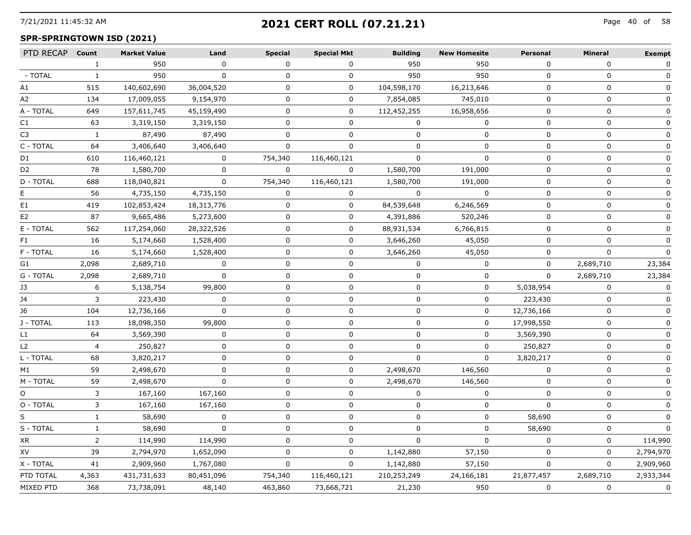## 7/21/2021 11:45:32 AM Page 40 of **2021 CERT ROLL (07.21.21)**

## **SPR-SPRINGTOWN ISD (2021)**

| PTD RECAP Count |                | <b>Market Value</b> | Land         | <b>Special</b> | <b>Special Mkt</b> | <b>Building</b> | <b>New Homesite</b> | Personal    | <b>Mineral</b> | <b>Exempt</b> |
|-----------------|----------------|---------------------|--------------|----------------|--------------------|-----------------|---------------------|-------------|----------------|---------------|
|                 | 1              | 950                 | $\mathbf 0$  | $\mathbf{0}$   | $\mathbf{0}$       | 950             | 950                 | $\mathbf 0$ | $\mathbf 0$    | 0             |
| - TOTAL         | $\mathbf{1}$   | 950                 | 0            | 0              | $\mathbf 0$        | 950             | 950                 | 0           | 0              | 0             |
| A1              | 515            | 140,602,690         | 36,004,520   | 0              | $\mathbf 0$        | 104,598,170     | 16,213,646          | 0           | $\mathbf 0$    | 0             |
| A2              | 134            | 17,009,055          | 9,154,970    | $\mathbf 0$    | $\mathbf 0$        | 7,854,085       | 745,010             | 0           | $\mathbf 0$    | 0             |
| A - TOTAL       | 649            | 157,611,745         | 45,159,490   | $\mathbf 0$    | $\mathbf 0$        | 112,452,255     | 16,958,656          | $\mathbf 0$ | $\mathbf 0$    | $\mathbf 0$   |
| C1              | 63             | 3,319,150           | 3,319,150    | 0              | 0                  | $\Omega$        | 0                   | 0           | 0              | 0             |
| C3              | $\mathbf{1}$   | 87,490              | 87,490       | 0              | 0                  | 0               | 0                   | 0           | 0              | 0             |
| C - TOTAL       | 64             | 3,406,640           | 3,406,640    | 0              | 0                  | 0               | 0                   | 0           | 0              | $\mathbf{0}$  |
| D1              | 610            | 116,460,121         | 0            | 754,340        | 116,460,121        | 0               | 0                   | 0           | 0              | 0             |
| D <sub>2</sub>  | 78             | 1,580,700           | 0            | $\mathbf 0$    | $\overline{0}$     | 1,580,700       | 191,000             | 0           | 0              | $\mathbf{0}$  |
| D - TOTAL       | 688            | 118,040,821         | $\mathbf 0$  | 754,340        | 116,460,121        | 1,580,700       | 191,000             | 0           | 0              | 0             |
| E.              | 56             | 4,735,150           | 4,735,150    | $\mathbf 0$    | 0                  | $\mathbf 0$     | 0                   | 0           | 0              | 0             |
| E1              | 419            | 102,853,424         | 18,313,776   | 0              | 0                  | 84,539,648      | 6,246,569           | 0           | 0              | 0             |
| E2              | 87             | 9,665,486           | 5,273,600    | 0              | 0                  | 4,391,886       | 520,246             | 0           | $\mathbf 0$    | 0             |
| E - TOTAL       | 562            | 117,254,060         | 28,322,526   | 0              | 0                  | 88,931,534      | 6,766,815           | $\mathbf 0$ | $\mathbf 0$    | 0             |
| F1              | 16             | 5,174,660           | 1,528,400    | 0              | 0                  | 3,646,260       | 45,050              | 0           | $\mathbf 0$    | 0             |
| F - TOTAL       | 16             | 5,174,660           | 1,528,400    | $\Omega$       | 0                  | 3,646,260       | 45,050              | $\mathbf 0$ | $\mathbf 0$    | $\Omega$      |
| G1              | 2,098          | 2,689,710           | 0            | 0              | 0                  | 0               | 0                   | 0           | 2,689,710      | 23,384        |
| G - TOTAL       | 2,098          | 2,689,710           | $\mathbf 0$  | 0              | 0                  | 0               | 0                   | $\mathbf 0$ | 2,689,710      | 23,384        |
| J3              | 6              | 5,138,754           | 99,800       | 0              | 0                  | 0               | 0                   | 5,038,954   | 0              | 0             |
| J4              | 3              | 223,430             | $\mathbf 0$  | 0              | 0                  | $\mathbf 0$     | $\mathbf 0$         | 223,430     | $\mathbf 0$    | $\Omega$      |
| J6              | 104            | 12,736,166          | $\mathbf 0$  | 0              | 0                  | $\Omega$        | $\mathbf 0$         | 12,736,166  | $\mathbf 0$    | $\mathbf{0}$  |
| J - TOTAL       | 113            | 18,098,350          | 99,800       | $\Omega$       | 0                  | 0               | 0                   | 17,998,550  | $\mathbf 0$    |               |
| L1              | 64             | 3,569,390           | 0            | 0              | 0                  | 0               | 0                   | 3,569,390   | 0              | $\mathbf{0}$  |
| L2              | $\overline{4}$ | 250,827             | 0            | 0              | 0                  | 0               | 0                   | 250,827     | 0              | $\mathbf{0}$  |
| L - TOTAL       | 68             | 3,820,217           | $\mathbf 0$  | 0              | 0                  | $\mathbf 0$     | $\mathbf 0$         | 3,820,217   | $\mathbf 0$    | $\mathbf{0}$  |
| M1              | 59             | 2,498,670           | $\mathbf{0}$ | 0              | 0                  | 2,498,670       | 146,560             | $\Omega$    | $\mathbf 0$    | $\mathbf{0}$  |
| M - TOTAL       | 59             | 2,498,670           | $\Omega$     | $\Omega$       | 0                  | 2,498,670       | 146,560             | $\Omega$    | $\Omega$       | $\Omega$      |
| O.              | 3              | 167,160             | 167,160      | $\Omega$       | $\Omega$           | $\Omega$        | 0                   | $\Omega$    | 0              | $\mathbf{0}$  |
| O - TOTAL       | 3              | 167,160             | 167,160      | 0              | 0                  | 0               | $\mathbf 0$         | $\mathbf 0$ | $\mathbf 0$    | $\mathbf 0$   |
| S               | $\mathbf{1}$   | 58,690              | 0            | 0              | 0                  | 0               | $\mathbf 0$         | 58,690      | 0              | 0             |
| S - TOTAL       | $\mathbf{1}$   | 58,690              | $\mathbf 0$  | 0              | 0                  | $\Omega$        | $\mathbf 0$         | 58,690      | $\mathbf 0$    | $\Omega$      |
| XR              | $\overline{2}$ | 114,990             | 114,990      | 0              | 0                  | 0               | $\mathbf 0$         | $\Omega$    | $\mathbf 0$    | 114,990       |
| XV              | 39             | 2,794,970           | 1,652,090    | $\mathbf 0$    | 0                  | 1,142,880       | 57,150              | $\Omega$    | $\Omega$       | 2,794,970     |
| X - TOTAL       | 41             | 2,909,960           | 1,767,080    | $\mathbf 0$    | 0                  | 1,142,880       | 57,150              | $\mathbf 0$ | $\mathbf 0$    | 2,909,960     |
| PTD TOTAL       | 4,363          | 431,731,633         | 80,451,096   | 754,340        | 116,460,121        | 210,253,249     | 24,166,181          | 21,877,457  | 2,689,710      | 2,933,344     |
| MIXED PTD       | 368            | 73,738,091          | 48,140       | 463,860        | 73,668,721         | 21,230          | 950                 | $\mathbf 0$ | $\mathbf 0$    | $\mathbf 0$   |
|                 |                |                     |              |                |                    |                 |                     |             |                |               |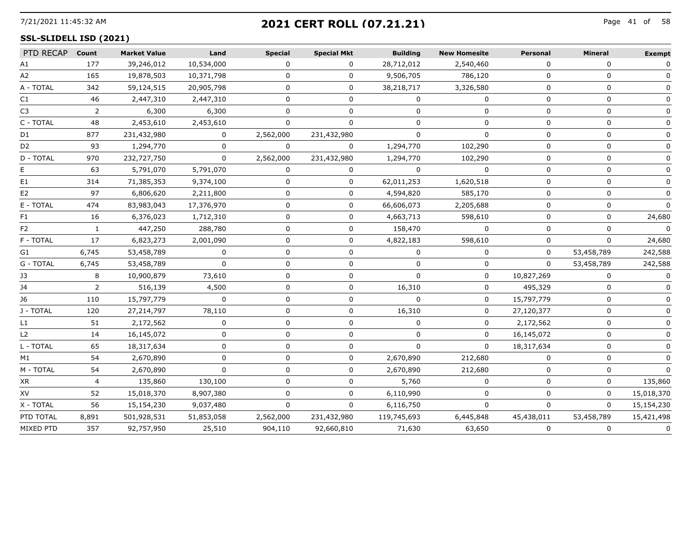## 7/21/2021 11:45:32 AM Page 41 of **2021 CERT ROLL (07.21.21)**

#### **SSL-SLIDELL ISD (2021)**

| PTD RECAP Count |                | <b>Market Value</b> | Land         | <b>Special</b> | <b>Special Mkt</b> | <b>Building</b> | <b>New Homesite</b> | <b>Personal</b> | <b>Mineral</b> | <b>Exempt</b> |
|-----------------|----------------|---------------------|--------------|----------------|--------------------|-----------------|---------------------|-----------------|----------------|---------------|
| A1              | 177            | 39,246,012          | 10,534,000   | 0              | 0                  | 28,712,012      | 2,540,460           | 0               | $\Omega$       | $\mathbf{0}$  |
| A2              | 165            | 19,878,503          | 10,371,798   | 0              | 0                  | 9,506,705       | 786,120             | $\Omega$        | 0              |               |
| A - TOTAL       | 342            | 59,124,515          | 20,905,798   | 0              | 0                  | 38,218,717      | 3,326,580           | $\Omega$        | 0              | 0             |
| C1              | 46             | 2,447,310           | 2,447,310    | U              | U                  |                 |                     | $\Omega$        | $\Omega$       |               |
| C <sub>3</sub>  | 2              | 6,300               | 6,300        |                |                    |                 |                     |                 | n              |               |
| C - TOTAL       | 48             | 2,453,610           | 2,453,610    |                | 0                  | O               | O                   | 0               | 0              |               |
| D1              | 877            | 231,432,980         | $\Omega$     | 2,562,000      | 231,432,980        | $\Omega$        | $\Omega$            | $\Omega$        | $\Omega$       |               |
| D <sub>2</sub>  | 93             | 1,294,770           |              | 0              |                    | 1,294,770       | 102,290             |                 |                |               |
| D - TOTAL       | 970            | 232,727,750         | $\mathbf 0$  | 2,562,000      | 231,432,980        | 1,294,770       | 102,290             | $\Omega$        | $\Omega$       |               |
|                 | 63             | 5,791,070           | 5,791,070    | 0              | 0                  | $\Omega$        | $\Omega$            | $\Omega$        | n              |               |
| E1              | 314            | 71,385,353          | 9,374,100    | U              | 0                  | 62,011,253      | 1,620,518           | <sup>0</sup>    | $\Omega$       | 0             |
| E2              | 97             | 6,806,620           | 2,211,800    | 0              | 0                  | 4,594,820       | 585,170             | $\Omega$        | 0              |               |
| E - TOTAL       | 474            | 83,983,043          | 17,376,970   | 0              | 0                  | 66,606,073      | 2,205,688           | $\Omega$        | 0              |               |
| F1              | 16             | 6,376,023           | 1,712,310    | n              | 0                  | 4,663,713       | 598,610             | $\Omega$        | 0              | 24,680        |
| F2              |                | 447,250             | 288,780      |                | 0                  | 158,470         |                     |                 |                |               |
| F - TOTAL       | 17             | 6,823,273           | 2,001,090    | 0              | 0                  | 4,822,183       | 598,610             | $\Omega$        | $\Omega$       | 24,680        |
| G1              | 6,745          | 53,458,789          | $\mathbf{0}$ | 0              | 0                  | $\Omega$        | 0                   | $\Omega$        | 53,458,789     | 242,588       |
| G - TOTAL       | 6,745          | 53,458,789          | $\Omega$     | <sup>n</sup>   | $\Omega$           | $\Omega$        | $\Omega$            | $\Omega$        | 53,458,789     | 242,588       |
| JЗ              | 8              | 10,900,879          | 73,610       |                | U                  |                 | 0                   | 10,827,269      |                |               |
| 14              | $\overline{2}$ | 516,139             | 4,500        | 0              | 0                  | 16,310          | 0                   | 495,329         | $\Omega$       |               |
| J6              | 110            | 15,797,779          | $\Omega$     | 0              | 0                  | $\Omega$        | $\Omega$            | 15,797,779      | $\Omega$       | $\Omega$      |
| J - TOTAL       | 120            | 27,214,797          | 78,110       |                | U                  | 16,310          | O                   | 27,120,377      | O              |               |
| L1              | 51             | 2,172,562           | o            |                |                    |                 |                     | 2,172,562       |                |               |
| L <sub>2</sub>  | 14             | 16,145,072          | 0            | 0              | 0                  | 0               | ŋ                   | 16,145,072      | O              |               |
| L - TOTAL       | 65             | 18,317,634          | 0            | 0              | 0                  |                 | $\Omega$            | 18,317,634      | $\Omega$       |               |
| M1              | 54             | 2,670,890           | n            | U              | 0                  | 2,670,890       | 212,680             | $\Omega$        | 0              |               |
| M - TOTAL       | 54             | 2,670,890           | $\Omega$     | 0              | 0                  | 2,670,890       | 212,680             | $\Omega$        | $\Omega$       |               |
| XR              | $\overline{4}$ | 135,860             | 130,100      | 0              | 0                  | 5,760           | $\Omega$            | $\Omega$        | 0              | 135,860       |
| XV              | 52             | 15,018,370          | 8,907,380    |                | 0                  | 6,110,990       | ŋ                   | <sup>n</sup>    | 0              | 15,018,370    |
| X - TOTAL       | 56             | 15,154,230          | 9,037,480    | 0              | $\Omega$           | 6,116,750       | $\Omega$            | $\Omega$        | $\Omega$       | 15,154,230    |
| PTD TOTAL       | 8,891          | 501,928,531         | 51,853,058   | 2,562,000      | 231,432,980        | 119,745,693     | 6,445,848           | 45,438,011      | 53,458,789     | 15,421,498    |
| MIXED PTD       | 357            | 92,757,950          | 25,510       | 904,110        | 92,660,810         | 71,630          | 63,650              | $\Omega$        | 0              | $\mathbf 0$   |
|                 |                |                     |              |                |                    |                 |                     |                 |                |               |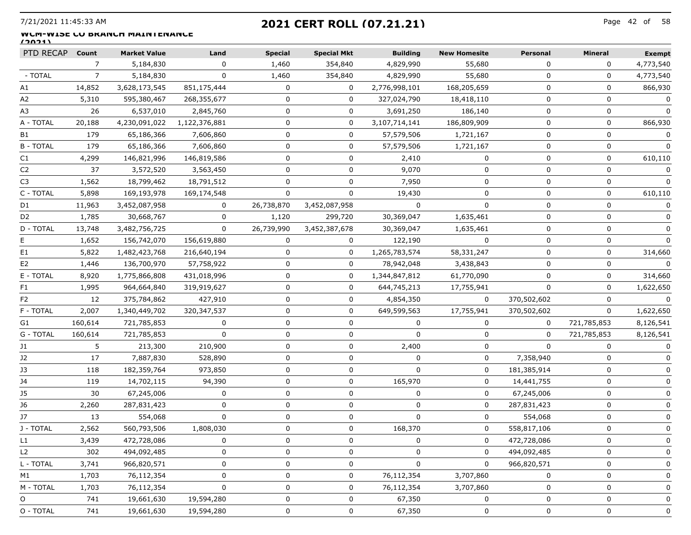## 7/21/2021 11:45:33 AM Page 42 of **2021 CERT ROLL (07.21.21)**

#### WUM-WISE **CO BRANCH MAINTENANCE (2021)**

| PTD RECAP        | Count   | <b>Market Value</b> | Land          | <b>Special</b> | <b>Special Mkt</b> | <b>Building</b> | <b>New Homesite</b> | <b>Personal</b> | <b>Mineral</b> | <b>Exempt</b> |
|------------------|---------|---------------------|---------------|----------------|--------------------|-----------------|---------------------|-----------------|----------------|---------------|
|                  | 7       | 5,184,830           | 0             | 1,460          | 354,840            | 4,829,990       | 55,680              | 0               | 0              | 4,773,540     |
| - TOTAL          | 7       | 5,184,830           | $\mathbf{0}$  | 1,460          | 354,840            | 4,829,990       | 55,680              | $\Omega$        | 0              | 4,773,540     |
| Α1               | 14,852  | 3,628,173,545       | 851,175,444   | $\Omega$       | 0                  | 2,776,998,101   | 168,205,659         | $\Omega$        | 0              | 866,930       |
| A2               | 5,310   | 595,380,467         | 268,355,677   | 0              | 0                  | 327,024,790     | 18,418,110          | $\Omega$        | $\mathbf 0$    |               |
| A3               | 26      | 6,537,010           | 2,845,760     | 0              | 0                  | 3,691,250       | 186,140             | 0               | 0              |               |
| A - TOTAL        | 20,188  | 4,230,091,022       | 1,122,376,881 | 0              | 0                  | 3,107,714,141   | 186,809,909         | 0               | 0              | 866,930       |
| B1               | 179     | 65,186,366          | 7,606,860     | 0              | 0                  | 57,579,506      | 1,721,167           | 0               | 0              |               |
| <b>B-TOTAL</b>   | 179     | 65,186,366          | 7,606,860     | 0              | 0                  | 57,579,506      | 1,721,167           | $\Omega$        | 0              |               |
| C1               | 4,299   | 146,821,996         | 146,819,586   | 0              | 0                  | 2,410           | 0                   | 0               | 0              | 610,110       |
| C <sub>2</sub>   | 37      | 3,572,520           | 3,563,450     | 0              | 0                  | 9,070           | 0                   | $\Omega$        | 0              | 0             |
| C3               | 1,562   | 18,799,462          | 18,791,512    | 0              | 0                  | 7,950           | 0                   | $\Omega$        | 0              | n             |
| C - TOTAL        | 5,898   | 169,193,978         | 169,174,548   | 0              | 0                  | 19,430          | 0                   | $\Omega$        | 0              | 610,110       |
| D1               | 11,963  | 3,452,087,958       | 0             | 26,738,870     | 3,452,087,958      | 0               | 0                   | 0               | 0              |               |
| D <sub>2</sub>   | 1,785   | 30,668,767          | 0             | 1,120          | 299,720            | 30,369,047      | 1,635,461           | 0               | 0              |               |
| <b>D - TOTAL</b> | 13,748  | 3,482,756,725       | $\Omega$      | 26,739,990     | 3,452,387,678      | 30,369,047      | 1,635,461           | $\Omega$        | 0              | $\mathbf{0}$  |
| E.               | 1,652   | 156,742,070         | 156,619,880   | 0              | 0                  | 122,190         | $\Omega$            | $\Omega$        | 0              |               |
| E1               | 5,822   | 1,482,423,768       | 216,640,194   | 0              | 0                  | 1,265,783,574   | 58,331,247          | 0               | 0              | 314,660       |
| E2               | 1,446   | 136,700,970         | 57,758,922    | 0              | 0                  | 78,942,048      | 3,438,843           | 0               | 0              | $\Omega$      |
| E - TOTAL        | 8,920   | 1,775,866,808       | 431,018,996   | 0              | 0                  | 1,344,847,812   | 61,770,090          | 0               | 0              | 314,660       |
| F1               | 1,995   | 964,664,840         | 319,919,627   | 0              | 0                  | 644,745,213     | 17,755,941          | $\cap$          | 0              | 1,622,650     |
| F2               | 12      | 375,784,862         | 427,910       | 0              | 0                  | 4,854,350       | 0                   | 370,502,602     | 0              |               |
| F - TOTAL        | 2,007   | 1,340,449,702       | 320, 347, 537 | 0              | 0                  | 649,599,563     | 17,755,941          | 370,502,602     | 0              | 1,622,650     |
| G1               | 160,614 | 721,785,853         | $\mathbf{0}$  | 0              | 0                  | 0               | 0                   | $\Omega$        | 721,785,853    | 8,126,541     |
| G - TOTAL        | 160,614 | 721,785,853         | $\Omega$      | 0              | 0                  | $\Omega$        | 0                   | $\Omega$        | 721,785,853    | 8,126,541     |
| J1               | 5       | 213,300             | 210,900       | 0              | 0                  | 2,400           | 0                   | $\Omega$        | 0              |               |
| J2               | 17      | 7,887,830           | 528,890       | 0              | 0                  | $\Omega$        | 0                   | 7,358,940       | 0              |               |
| J3               | 118     | 182,359,764         | 973,850       | 0              | 0                  | $\Omega$        | 0                   | 181,385,914     | 0              |               |
| J4               | 119     | 14,702,115          | 94,390        | $\Omega$       | 0                  | 165,970         | 0                   | 14,441,755      | 0              |               |
| J5               | 30      | 67,245,006          | 0             | 0              | 0                  | 0               | 0                   | 67,245,006      | 0              |               |
| J6               | 2,260   | 287,831,423         | 0             | 0              | 0                  | $\Omega$        | 0                   | 287,831,423     | 0              |               |
| J7               | 13      | 554,068             | 0             | 0              | 0                  | $\Omega$        | 0                   | 554,068         | 0              |               |
| J - TOTAL        | 2,562   | 560,793,506         | 1,808,030     | 0              | 0                  | 168,370         | 0                   | 558,817,106     | 0              |               |
| LI               | 3,439   | 472,728,086         |               |                |                    |                 |                     | 472,728,086     |                |               |
| L <sub>2</sub>   | 302     | 494,092,485         | 0             | 0              | 0                  | 0               | 0                   | 494,092,485     | 0              | 0             |
| L - TOTAL        | 3,741   | 966,820,571         | 0             | 0              | 0                  | 0               | 0                   | 966,820,571     | 0              | 0             |
| M1               | 1,703   | 76,112,354          | 0             | 0              | 0                  | 76,112,354      | 3,707,860           | $\Omega$        | 0              | 0             |
| M - TOTAL        | 1,703   | 76,112,354          | 0             | 0              | 0                  | 76,112,354      | 3,707,860           | 0               | 0              | 0             |
| O                | 741     | 19,661,630          | 19,594,280    | 0              | 0                  | 67,350          | 0                   | 0               | 0              | 0             |
| O - TOTAL        | 741     | 19,661,630          | 19,594,280    | 0              | 0                  | 67,350          | 0                   | 0               | 0              | 0             |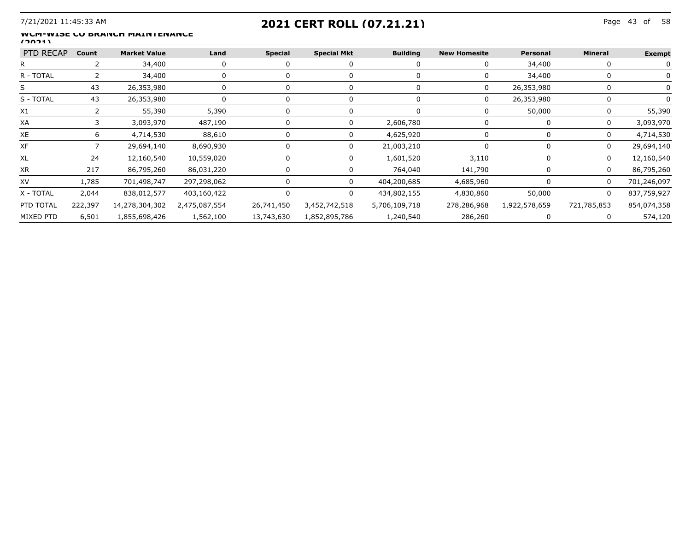## 7/21/2021 11:45:33 AM Page 43 of **2021 CERT ROLL (07.21.21)**

#### WUM-WISE **CO BRANCH MAINTENANCE (2021)**

| PTD RECAP | Count   | <b>Market Value</b> | Land          | Special    | <b>Special Mkt</b> | <b>Building</b> | <b>New Homesite</b> | Personal      | Mineral      | Exempt      |
|-----------|---------|---------------------|---------------|------------|--------------------|-----------------|---------------------|---------------|--------------|-------------|
|           |         | 34,400              |               |            |                    |                 |                     | 34,400        |              |             |
| R - TOTAI |         | 34,400              |               |            |                    |                 |                     | 34,400        |              |             |
|           |         | 26,353,980          |               |            |                    |                 |                     | 26,353,980    |              |             |
| S - TOTAL | -43     | 26,353,980          |               |            |                    |                 | O                   | 26,353,980    |              |             |
| X1        |         | 55,390              | 5,390         |            |                    |                 |                     | 50,000        |              | 55,390      |
| XA        |         | 3,093,970           | 487,190       |            |                    | 2,606,780       |                     | n             | $\mathbf{I}$ | 3,093,970   |
| XE        |         | 4,714,530           | 88,610        |            |                    | 4,625,920       |                     |               |              | 4,714,530   |
| XF        |         | 29,694,140          | 8,690,930     |            |                    | 21,003,210      |                     |               | $\Omega$     | 29,694,140  |
| XL        |         | 12,160,540          | 10,559,020    |            |                    | 1,601,520       | 3,110               |               |              | 12,160,540  |
| ХR        | 217     | 86,795,260          | 86,031,220    |            |                    | 764,040         | 141,790             |               |              | 86,795,260  |
| XV        | l.785   | 701,498,747         | 297,298,062   |            |                    | 404,200,685     | 4,685,960           |               |              | 701,246,097 |
| X - TOTAL | 2,044   | 838,012,577         | 403,160,422   |            |                    | 434,802,155     | 4,830,860           | 50,000        | $\Omega$     | 837.759.927 |
| PTD TOTAL | 222,397 | 14,278,304,302      | 2,475,087,554 | 26,741,450 | 3,452,742,518      | 5,706,109,718   | 278,286,968         | 1,922,578,659 | 721,785,853  | 854,074,358 |
| MIXED PTD | 6,501   | 1,855,698,426       | 1,562,100     | 13,743,630 | 1,852,895,786      | 1,240,540       | 286,260             |               |              | 574,120     |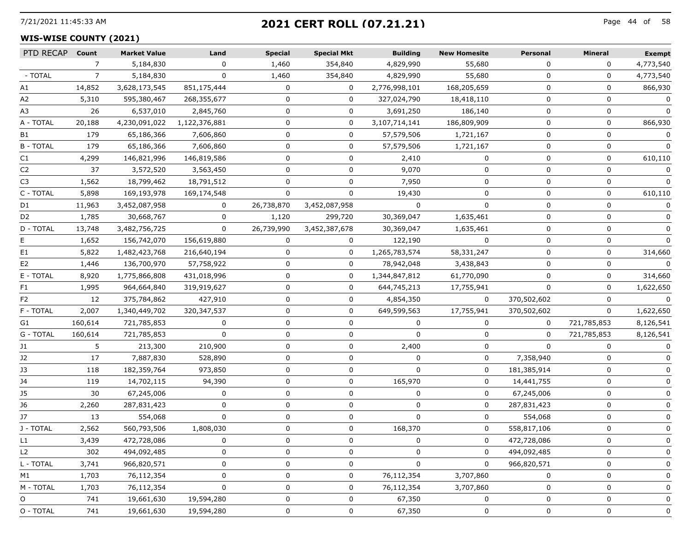## 7/21/2021 11:45:33 AM Page 44 of **2021 CERT ROLL (07.21.21)**

#### **WIS-WISE COUNTY (2021)**

| PTD RECAP      | Count          | <b>Market Value</b> | Land          | <b>Special</b> | <b>Special Mkt</b> | <b>Building</b> | <b>New Homesite</b> | <b>Personal</b> | Mineral      | <b>Exempt</b> |
|----------------|----------------|---------------------|---------------|----------------|--------------------|-----------------|---------------------|-----------------|--------------|---------------|
|                | $\overline{7}$ | 5,184,830           | $\Omega$      | 1,460          | 354,840            | 4,829,990       | 55,680              | $\Omega$        | $\Omega$     | 4,773,540     |
| - TOTAL        | 7              | 5,184,830           | $\Omega$      | 1,460          | 354,840            | 4,829,990       | 55,680              | $\Omega$        | 0            | 4,773,540     |
| Α1             | 14,852         | 3,628,173,545       | 851,175,444   | 0              | 0                  | 2,776,998,101   | 168,205,659         | 0               | 0            | 866,930       |
| A2             | 5,310          | 595,380,467         | 268,355,677   | 0              | $\mathbf{0}$       | 327,024,790     | 18,418,110          | 0               | 0            | 0             |
| A3             | 26             | 6,537,010           | 2,845,760     | 0              | 0                  | 3,691,250       | 186,140             | $\Omega$        | $\Omega$     | 0             |
| A - TOTAL      | 20,188         | 4,230,091,022       | 1,122,376,881 | 0              | 0                  | 3,107,714,141   | 186,809,909         | $\Omega$        | 0            | 866,930       |
| B1             | 179            | 65,186,366          | 7,606,860     | 0              | 0                  | 57,579,506      | 1,721,167           | 0               | 0            | 0             |
| <b>B-TOTAL</b> | 179            | 65,186,366          | 7,606,860     | 0              | 0                  | 57,579,506      | 1,721,167           | 0               | 0            | $\Omega$      |
| C1             | 4,299          | 146,821,996         | 146,819,586   | 0              | 0                  | 2,410           | $\mathbf{0}$        | $\Omega$        | $\mathbf{0}$ | 610,110       |
| C <sub>2</sub> | 37             | 3,572,520           | 3,563,450     |                | U                  | 9,070           | $\Omega$            | $\Omega$        | 0            |               |
| C3             | 1,562          | 18,799,462          | 18,791,512    | 0              | 0                  | 7,950           | 0                   | $\Omega$        | 0            |               |
| C - TOTAL      | 5,898          | 169,193,978         | 169,174,548   | 0              | 0                  | 19,430          | 0                   | 0               | 0            | 610,110       |
| D1             | 11,963         | 3,452,087,958       | $\Omega$      | 26,738,870     | 3,452,087,958      | $\Omega$        | $\Omega$            | $\Omega$        | $\mathbf{0}$ | $\Omega$      |
| D2             | 1,785          | 30,668,767          | 0             | 1,120          | 299,720            | 30,369,047      | 1,635,461           | $\Omega$        | 0            |               |
| D - TOTAL      | 13,748         | 3,482,756,725       | $\mathbf{0}$  | 26,739,990     | 3,452,387,678      | 30,369,047      | 1,635,461           | $\Omega$        | 0            |               |
| E              | 1,652          | 156,742,070         | 156,619,880   | 0              | $\mathbf{0}$       | 122,190         | 0                   | 0               | 0            |               |
| E1             | 5,822          | 1,482,423,768       | 216,640,194   | 0              | 0                  | 1,265,783,574   | 58,331,247          | $\Omega$        | 0            | 314,660       |
| E <sub>2</sub> | 1,446          | 136,700,970         | 57,758,922    | 0              | 0                  | 78,942,048      | 3,438,843           | $\Omega$        | 0            |               |
| E - TOTAL      | 8,920          | 1,775,866,808       | 431,018,996   | 0              | 0                  | 1,344,847,812   | 61,770,090          | 0               | 0            | 314,660       |
| F1.            | 1,995          | 964,664,840         | 319,919,627   | 0              | 0                  | 644,745,213     | 17,755,941          | 0               | 0            | 1,622,650     |
| F2             | 12             | 375,784,862         | 427,910       | 0              | 0                  | 4,854,350       | 0                   | 370,502,602     | 0            | $\Omega$      |
| F - TOTAL      | 2,007          | 1,340,449,702       | 320, 347, 537 | U              | 0                  | 649,599,563     | 17,755,941          | 370,502,602     | 0            | 1,622,650     |
| G1             | 160,614        | 721,785,853         | 0             | 0              | 0                  | 0               | 0                   | 0               | 721,785,853  | 8,126,541     |
| G - TOTAL      | 160,614        | 721,785,853         | 0             | 0              | 0                  | $\Omega$        | 0                   | 0               | 721,785,853  | 8,126,541     |
| J1             | 5              | 213,300             | 210,900       | $\Omega$       | 0                  | 2,400           | 0                   | $\Omega$        | $\mathbf{0}$ | 0             |
| J2             | 17             | 7,887,830           | 528,890       | 0              | 0                  | O               | 0                   | 7,358,940       | 0            | $\Omega$      |
| J3             | 118            | 182,359,764         | 973,850       | 0              | 0                  | $\Omega$        | 0                   | 181,385,914     | 0            |               |
| J4             | 119            | 14,702,115          | 94,390        | 0              | 0                  | 165,970         | 0                   | 14,441,755      | 0            |               |
| J5             | 30             | 67,245,006          | $\Omega$      | 0              | 0                  | $\Omega$        | 0                   | 67,245,006      | 0            | $\Omega$      |
| J6             | 2,260          | 287,831,423         | $\Omega$      | 0              | 0                  | O               | 0                   | 287,831,423     | $\Omega$     | 0             |
| J7             | 13             | 554,068             | 0             | 0              | 0                  | 0               | 0                   | 554,068         | 0            |               |
| J - TOTAL      | 2,562          | 560,793,506         | 1,808,030     | 0              | 0                  | 168,370         | 0                   | 558,817,106     | 0            |               |
| L1.            | 3,439          | 472,728,086         | 0             |                | 0                  | 0               | 0                   | 472,728,086     | 0            |               |
| L2             | 302            | 494,092,485         | 0             |                | 0                  |                 | 0                   | 494,092,485     | $\Omega$     | 0             |
| L - TOTAL      | 3,741          | 966,820,571         | 0             |                | 0                  | 0               | 0                   | 966,820,571     | 0            | 0             |
| М1             | 1,703          | 76,112,354          | 0             | 0              | 0                  | 76,112,354      | 3,707,860           | 0               | 0            | 0             |
| M - TOTAL      | 1,703          | 76,112,354          | 0             | U              | 0                  | 76,112,354      | 3,707,860           | 0               | 0            | 0             |
| O              | 741            | 19,661,630          | 19,594,280    | U              | 0                  | 67,350          | 0                   | $\Omega$        | 0            | 0             |
| O - TOTAL      | 741            | 19,661,630          | 19,594,280    | 0              | 0                  | 67,350          | 0                   | 0               | 0            | 0             |
|                |                |                     |               |                |                    |                 |                     |                 |              |               |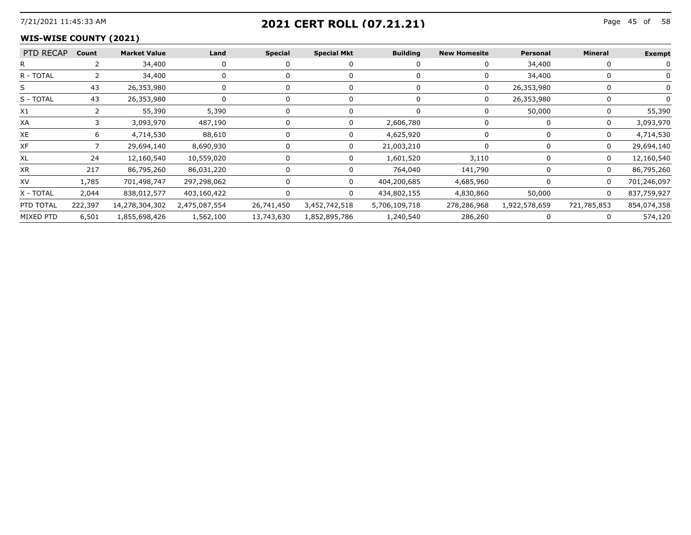## 7/21/2021 11:45:33 AM Page 45 of **2021 CERT ROLL (07.21.21)**

#### **WIS-WISE COUNTY (2021)**

| PTD RECAP Count |       | <b>Market Value</b>                    | Land        | <b>Special</b> | <b>Special Mkt</b> | <b>Building</b> | <b>New Homesite</b> | Personal   | <b>Mineral</b> | <b>Exempt</b> |
|-----------------|-------|----------------------------------------|-------------|----------------|--------------------|-----------------|---------------------|------------|----------------|---------------|
|                 |       | 34,400                                 |             |                |                    |                 |                     | 34,400     |                |               |
| R - TOTAL       |       | 34,400                                 |             |                |                    |                 |                     | 34,400     |                |               |
|                 |       | 26,353,980                             |             |                |                    |                 |                     | 26,353,980 |                |               |
| S - TOTAL       | -43   | 26,353,980                             |             |                |                    |                 | 0                   | 26,353,980 |                |               |
| X1              |       | 55,390                                 | 5,390       |                |                    |                 |                     | 50,000     |                | 55,390        |
| XA              |       | 3,093,970                              | 487,190     |                |                    | 2,606,780       |                     |            |                | 3,093,970     |
| XE              |       | 4,714,530                              | 88,610      |                |                    | 4,625,920       |                     |            |                | 4,714,530     |
| XF              |       | 29,694,140                             | 8,690,930   |                |                    | 21,003,210      |                     |            |                | 29,694,140    |
| XL              |       | 12,160,540                             | 10,559,020  |                |                    | 1,601,520       | 3.110               |            |                | 12,160,540    |
| XR              | 217   | 86,795,260                             | 86,031,220  |                |                    | 764,040         | 141,790             |            |                | 86,795,260    |
| XV              | 1.785 | 701,498,747                            | 297,298,062 |                |                    | 404,200,685     | 4,685,960           |            |                | 701,246,097   |
| X - TOTAL       | 2,044 | 838,012,577                            | 403,160,422 |                |                    | 434,802,155     | 4,830,860           | 50,000     |                | 837,759,927   |
| PTD TOTAL       |       | 222,397  14,278,304,302  2,475,087,554 |             | 26,741,450     | 3,452,742,518      | 5,706,109,718   |                     |            | 721,785,853    | 854,074,358   |
| MIXED PTD       | 6,501 | 1,855,698,426                          | 1,562,100   | 13,743,630     | 1,852,895,786      | 1,240,540       | 286,260             |            |                | 574,120       |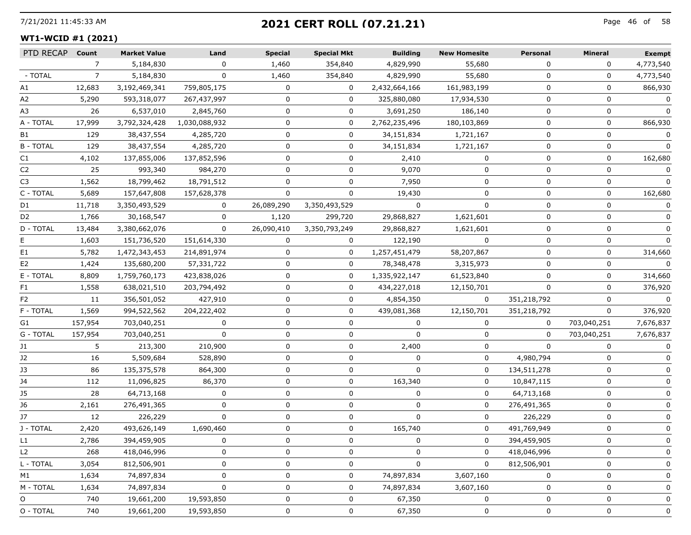## 7/21/2021 11:45:33 AM Page 46 of **2021 CERT ROLL (07.21.21)**

## **WT1-WCID #1 (2021)**

| PTD RECAP      | Count          | <b>Market Value</b> | Land          | <b>Special</b> | <b>Special Mkt</b> | <b>Building</b> | <b>New Homesite</b> | Personal    | <b>Mineral</b> | <b>Exempt</b> |
|----------------|----------------|---------------------|---------------|----------------|--------------------|-----------------|---------------------|-------------|----------------|---------------|
|                | $\overline{7}$ | 5,184,830           | $\Omega$      | 1,460          | 354,840            | 4,829,990       | 55,680              | $\Omega$    | $\Omega$       | 4,773,540     |
| - TOTAL        | $\overline{7}$ | 5,184,830           | 0             | 1,460          | 354,840            | 4,829,990       | 55,680              | 0           | 0              | 4,773,540     |
| A1             | 12,683         | 3,192,469,341       | 759,805,175   | 0              | 0                  | 2,432,664,166   | 161,983,199         | 0           | 0              | 866,930       |
| A2             | 5,290          | 593,318,077         | 267,437,997   | 0              | 0                  | 325,880,080     | 17,934,530          | $\mathbf 0$ | 0              | 0             |
| A3             | 26             | 6,537,010           | 2,845,760     | $\Omega$       | 0                  | 3,691,250       | 186,140             | $\Omega$    | $\mathbf{0}$   | 0             |
| A - TOTAL      | 17,999         | 3,792,324,428       | 1,030,088,932 | 0              | 0                  | 2,762,235,496   | 180,103,869         | $\Omega$    | $\mathbf 0$    | 866,930       |
| B1             | 129            | 38,437,554          | 4,285,720     | 0              | 0                  | 34,151,834      | 1,721,167           | 0           | 0              | 0             |
| <b>B-TOTAL</b> | 129            | 38,437,554          | 4,285,720     | 0              | $\mathbf{0}$       | 34,151,834      | 1,721,167           | 0           | 0              | $\Omega$      |
| C1             | 4,102          | 137,855,006         | 137,852,596   | 0              | 0                  | 2,410           | $\Omega$            | $\Omega$    | $\Omega$       | 162,680       |
| C <sub>2</sub> | 25             | 993,340             | 984,270       | 0              | 0                  | 9,070           | 0                   | $\Omega$    | $\mathbf 0$    |               |
| C3             | 1,562          | 18,799,462          | 18,791,512    | 0              | 0                  | 7,950           | 0                   | 0           | 0              | $\Omega$      |
| C - TOTAL      | 5,689          | 157,647,808         | 157,628,378   | 0              | 0                  | 19,430          | 0                   | 0           | 0              | 162,680       |
| D1             | 11,718         | 3,350,493,529       | 0             | 26,089,290     | 3,350,493,529      | $\mathbf{0}$    | $\Omega$            | $\Omega$    | $\mathbf{0}$   | 0             |
| D <sub>2</sub> | 1,766          | 30,168,547          | 0             | 1,120          | 299,720            | 29,868,827      | 1,621,601           | $\Omega$    | $\Omega$       | $\Omega$      |
| D - TOTAL      | 13,484         | 3,380,662,076       | 0             | 26,090,410     | 3,350,793,249      | 29,868,827      | 1,621,601           | 0           | 0              | 0             |
| E.             | 1,603          | 151,736,520         | 151,614,330   | 0              | 0                  | 122,190         | 0                   | 0           | 0              | $\Omega$      |
| E1             | 5,782          | 1,472,343,453       | 214,891,974   | 0              | 0                  | 1,257,451,479   | 58,207,867          | $\Omega$    | $\Omega$       | 314,660       |
| E <sub>2</sub> | 1,424          | 135,680,200         | 57,331,722    | 0              | 0                  | 78,348,478      | 3,315,973           | $\Omega$    | $\Omega$       |               |
| E - TOTAL      | 8,809          | 1,759,760,173       | 423,838,026   | 0              | 0                  | 1,335,922,147   | 61,523,840          | $\Omega$    | 0              | 314,660       |
| F1             | 1,558          | 638,021,510         | 203,794,492   | 0              | 0                  | 434,227,018     | 12,150,701          | 0           | 0              | 376,920       |
| F <sub>2</sub> | 11             | 356,501,052         | 427,910       | 0              | $\mathbf{0}$       | 4,854,350       | $\Omega$            | 351,218,792 | $\Omega$       | $\Omega$      |
| F - TOTAL      | 1,569          | 994,522,562         | 204,222,402   | 0              | 0                  | 439,081,368     | 12,150,701          | 351,218,792 | 0              | 376,920       |
| G1             | 157,954        | 703,040,251         | 0             | 0              | 0                  | 0               | 0                   | $\mathbf 0$ | 703,040,251    | 7,676,837     |
| G - TOTAL      | 157,954        | 703,040,251         | 0             | 0              | 0                  | 0               | 0                   | 0           | 703,040,251    | 7,676,837     |
| J1             | 5              | 213,300             | 210,900       | 0              | 0                  | 2,400           | 0                   | $\Omega$    | $\mathbf{0}$   | 0             |
| J2             | 16             | 5,509,684           | 528,890       | 0              | 0                  | 0               | 0                   | 4,980,794   | $\Omega$       | 0             |
| J3             | 86             | 135,375,578         | 864,300       | 0              | 0                  | 0               | 0                   | 134,511,278 | 0              | 0             |
| J4             | 112            | 11,096,825          | 86,370        | 0              | 0                  | 163,340         | 0                   | 10,847,115  | 0              | 0             |
| J5             | 28             | 64,713,168          | 0             | 0              | 0                  | 0               | 0                   | 64,713,168  | 0              | 0             |
| J6             | 2,161          | 276,491,365         | $\Omega$      | $\Omega$       | 0                  | 0               | 0                   | 276,491,365 | $\Omega$       | 0             |
| J7             | 12             | 226,229             | 0             | 0              | 0                  | 0               | 0                   | 226,229     | 0              |               |
| J - TOTAL      | 2,420          | 493,626,149         | 1,690,460     | 0              | 0                  | 165,740         | 0                   | 491,769,949 | 0              | 0             |
| L1             | 2,786          | 394,459,905         | 0             | 0              | 0                  | 0               | 0                   | 394,459,905 | 0              | <sup>0</sup>  |
| L <sub>2</sub> | 268            | 418,046,996         | 0             | 0              | 0                  | 0               | 0                   | 418,046,996 | 0              | 0             |
| L - TOTAL      | 3,054          | 812,506,901         | 0             | 0              | 0                  | 0               | 0                   | 812,506,901 | 0              | 0             |
| M1             | 1,634          | 74,897,834          | 0             | 0              | 0                  | 74,897,834      | 3,607,160           | 0           | 0              | 0             |
| M - TOTAL      | 1,634          | 74,897,834          | 0             | 0              | 0                  | 74,897,834      | 3,607,160           | 0           | 0              | 0             |
| O              | 740            | 19,661,200          | 19,593,850    | 0              | 0                  | 67,350          | 0                   | $\Omega$    | $\Omega$       | 0             |
| O - TOTAL      | 740            | 19,661,200          | 19,593,850    | 0              | 0                  | 67,350          | 0                   | 0           | 0              | 0             |
|                |                |                     |               |                |                    |                 |                     |             |                |               |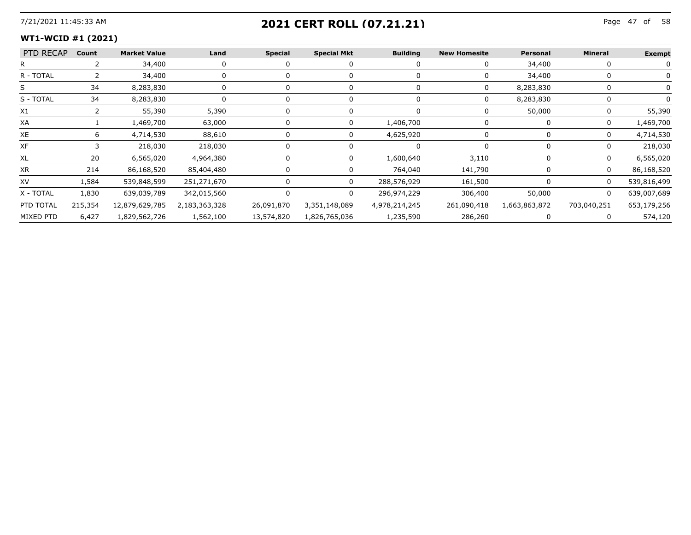## 7/21/2021 11:45:33 AM Page 47 of **2021 CERT ROLL (07.21.21)**

## **WT1-WCID #1 (2021)**

| PTD RECAP Count |       | <b>Market Value</b> | Land        | <b>Special</b> | <b>Special Mkt</b>       | <b>Building</b> | <b>New Homesite</b> | Personal  | <b>Mineral</b> | <b>Exempt</b> |
|-----------------|-------|---------------------|-------------|----------------|--------------------------|-----------------|---------------------|-----------|----------------|---------------|
|                 |       | 34,400              |             |                |                          |                 |                     | 34,400    |                |               |
| R - TOTAI       |       | 34,400              |             |                |                          |                 |                     | 34,400    |                |               |
|                 |       | 8.283.830           |             |                |                          |                 |                     | 8,283,830 |                |               |
| S - TOTAL       | 34    | 8,283,830           |             |                |                          |                 | 0                   | 8,283,830 |                |               |
| X1              |       | 55,390              | 5,390       |                |                          |                 |                     | 50,000    |                | 55,390        |
| XA              |       | 1,469,700           | 63,000      |                |                          | 1,406,700       |                     |           |                | 1,469,700     |
| XE              |       | 4,714,530           | 88,610      |                |                          | 4,625,920       |                     |           |                | 4,714,530     |
| XF              |       | 218,030             | 218,030     |                |                          |                 |                     |           |                | 218,030       |
| XL              |       | 6,565,020           | 4,964,380   |                |                          | 1,600,640       | 3.110               |           |                | 6,565,020     |
| XR              | 214   | 86,168,520          | 85,404,480  |                |                          | 764,040         | 141,790             |           | O              | 86,168,520    |
| XV              | 1.584 | 539,848,599         | 251,271,670 |                |                          | 288,576,929     | 161,500             |           |                | 539,816,499   |
| X - TOTAL       | 1,830 | 639,039,789         | 342,015,560 |                |                          | 296,974,229     | 306,400             | 50,000    | 0              | 639,007,689   |
| PTD TOTAL       |       |                     |             |                | 26,091,870 3,351,148,089 | 4,978,214,245   |                     |           |                | 653,179,256   |
| MIXED PTD       | 6,427 | 1,829,562,726       | 1,562,100   | 13,574,820     | 1,826,765,036            | 1,235,590       | 286,260             |           |                | 574,120       |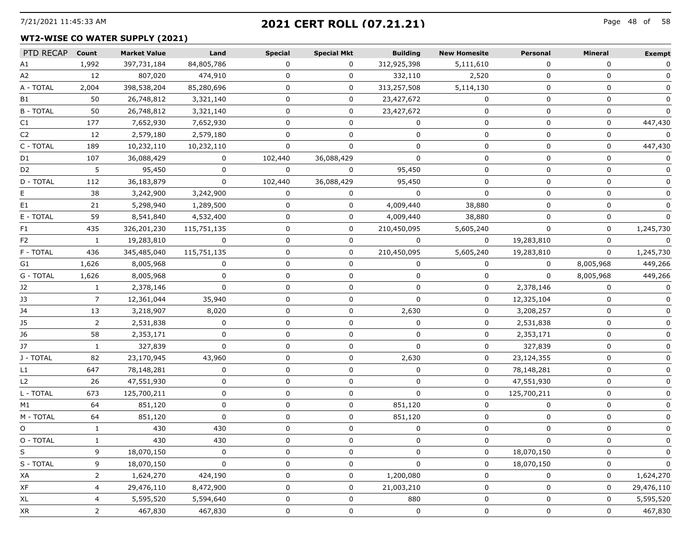# 7/21/2021 11:45:33 AM Page 48 of **2021 CERT ROLL (07.21.21)**

#### **WT2-WISE CO WATER SUPPLY (2021)**

| PTD RECAP      | Count        | <b>Market Value</b> | Land        | <b>Special</b> | <b>Special Mkt</b> | <b>Building</b> | <b>New Homesite</b> | Personal     | <b>Mineral</b> | <b>Exempt</b> |
|----------------|--------------|---------------------|-------------|----------------|--------------------|-----------------|---------------------|--------------|----------------|---------------|
| A1             | 1,992        | 397,731,184         | 84,805,786  | 0              | 0                  | 312,925,398     | 5,111,610           | 0            | 0              | 0             |
| A2             | 12           | 807,020             | 474,910     | 0              | 0                  | 332,110         | 2,520               | 0            | 0              |               |
| A - TOTAL      | 2,004        | 398,538,204         | 85,280,696  | 0              | 0                  | 313,257,508     | 5,114,130           | 0            | 0              | 0             |
| B1             | 50           | 26,748,812          | 3,321,140   | $\Omega$       | $\mathbf{0}$       | 23,427,672      | $\Omega$            | $\Omega$     | $\mathbf{0}$   | $\Omega$      |
| <b>B-TOTAL</b> | 50           | 26,748,812          | 3,321,140   | O              | 0                  | 23,427,672      | 0                   | 0            | 0              |               |
| C1             | 177          | 7,652,930           | 7,652,930   | 0              | 0                  | 0               | 0                   | 0            | 0              | 447,430       |
| C2             | 12           | 2,579,180           | 2,579,180   | 0              | 0                  | 0               | 0                   | 0            | 0              | 0             |
| C - TOTAL      | 189          | 10,232,110          | 10,232,110  | $\Omega$       | $\Omega$           | $\mathbf{0}$    | 0                   | $\Omega$     | $\Omega$       | 447,430       |
| D1             | 107          | 36,088,429          | 0           | 102,440        | 36,088,429         |                 | U                   |              | 0              |               |
| D <sub>2</sub> | 5            | 95,450              | $\Omega$    | $\Omega$       | $\mathbf 0$        | 95,450          | 0                   | 0            | 0              |               |
| D - TOTAL      | 112          | 36,183,879          | $\Omega$    | 102,440        | 36,088,429         | 95,450          | 0                   | 0            | 0              |               |
| E.             | 38           | 3,242,900           | 3,242,900   | $\Omega$       | $\Omega$           | $\Omega$        | $\Omega$            | $\Omega$     | $\Omega$       | 0             |
| E1             | 21           | 5,298,940           | 1,289,500   | 0              | 0                  | 4,009,440       | 38,880              |              | 0              |               |
| E - TOTAL      | 59           | 8,541,840           | 4,532,400   |                | 0                  | 4,009,440       | 38,880              |              | n              |               |
| F1             | 435          | 326,201,230         | 115,751,135 | 0              | 0                  | 210,450,095     | 5,605,240           |              | 0              | 1,245,730     |
| F <sub>2</sub> | $\mathbf{1}$ | 19,283,810          | $\Omega$    | 0              | 0                  | $\Omega$        | $\Omega$            | 19,283,810   | $\mathbf 0$    | $\Omega$      |
| F - TOTAL      | 436          | 345,485,040         | 115,751,135 |                | 0                  | 210,450,095     | 5,605,240           | 19,283,810   | $\Omega$       | 1,245,730     |
| G1             | 1,626        | 8,005,968           | $\Omega$    | 0              | 0                  | $\Omega$        | 0                   | 0            | 8,005,968      | 449,266       |
| G - TOTAL      | 1,626        | 8,005,968           | 0           | 0              | 0                  | $\Omega$        | 0                   | $\Omega$     | 8,005,968      | 449,266       |
| J2             | $\mathbf{1}$ | 2,378,146           | $\Omega$    | $\Omega$       | 0                  | $\Omega$        | 0                   | 2,378,146    | $\Omega$       | $\Omega$      |
| J3             | 7            | 12,361,044          | 35,940      | 0              | 0                  | $\Omega$        | 0                   | 12,325,104   | 0              |               |
| J4             | 13           | 3,218,907           | 8,020       | 0              | 0                  | 2,630           | 0                   | 3,208,257    | 0              |               |
| J5             | 2            | 2,531,838           | 0           | 0              | 0                  | $\Omega$        | 0                   | 2,531,838    | 0              |               |
| J6             | 58           | 2,353,171           | 0           | $\Omega$       | 0                  | $\mathbf{0}$    | $\mathbf 0$         | 2,353,171    | 0              | 0             |
| J7             | $\mathbf{1}$ | 327,839             | $\Omega$    | 0              | 0                  | $\Omega$        | 0                   | 327,839      | 0              |               |
| J - TOTAL      | 82           | 23,170,945          | 43,960      | 0              | 0                  | 2,630           | 0                   | 23,124,355   | 0              |               |
| L1             | 647          | 78,148,281          | 0           | 0              | 0                  | $\Omega$        | 0                   | 78,148,281   | 0              |               |
| L <sub>2</sub> | 26           | 47,551,930          | 0           | 0              | 0                  | $\Omega$        | 0                   | 47,551,930   | 0              |               |
| L - TOTAL      | 673          | 125,700,211         | $\Omega$    | $\Omega$       | 0                  | $\Omega$        | 0                   | 125,700,211  | $\Omega$       |               |
| M1             | 64           | 851,120             | 0           | 0              | 0                  | 851,120         | 0                   | 0            | 0              |               |
| M - TOTAL      | 64           | 851,120             | 0           | 0              | 0                  | 851,120         | 0                   | $\Omega$     | 0              |               |
| O              | $\mathbf{1}$ | 430                 | 430         | 0              | 0                  | 0               | 0                   | 0            | 0              |               |
| O - TOTAL      |              | 430                 | 430         | $\Omega$       | $\Omega$           | $\Omega$        | $\Omega$            | $\Omega$     | $\Omega$       |               |
| S              | 9.           | 18,070,150          | 0           |                |                    |                 | 0                   | 18,070,150   | 0              |               |
| S - TOTAL      | 9            | 18,070,150          | 0           | O              | 0                  | 0               | 0                   | 18,070,150   | 0              | 0             |
| ХA             | 2            | 1,624,270           | 424,190     | 0              | 0                  | 1,200,080       | 0                   | 0            | 0              | 1,624,270     |
| XF             | 4            | 29,476,110          | 8,472,900   | U              | 0                  | 21,003,210      | 0                   | <sup>0</sup> | 0              | 29,476,110    |
| XL             | 4            | 5,595,520           | 5,594,640   |                | 0                  | 880             | 0                   |              | 0              | 5,595,520     |
| XR             | 2            | 467,830             | 467,830     | 0              | 0                  | 0               | 0                   | 0            | 0              | 467,830       |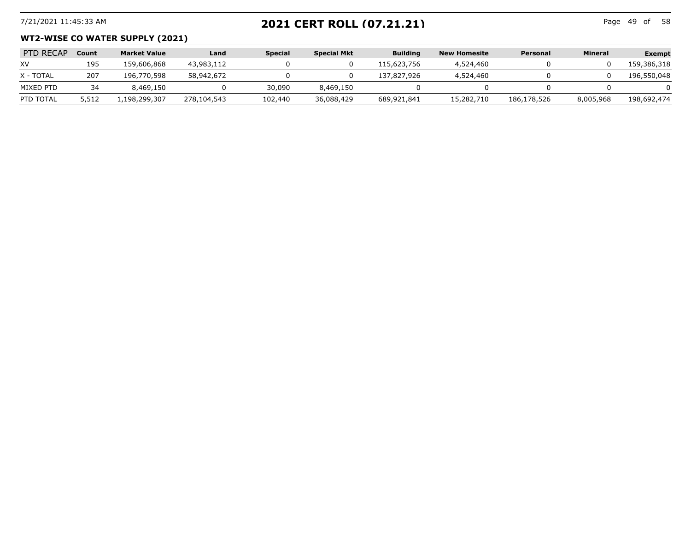# 7/21/2021 11:45:33 AM Page 49 of **2021 CERT ROLL (07.21.21)**

Page 49 of 58

#### **WT2-WISE CO WATER SUPPLY (2021)**

| PTD RECAP | Count | <b>Market Value</b> | Land        | <b>Special</b> | <b>Special Mkt</b> | <b>Building</b> | New Homesite | Personal    | <b>Mineral</b> | <b>Exempt</b> |
|-----------|-------|---------------------|-------------|----------------|--------------------|-----------------|--------------|-------------|----------------|---------------|
| XV        | 195   | 159,606,868         | 43,983,112  |                |                    | 115,623,756     | 4,524,460    |             |                | 159,386,318   |
| X - TOTAL | 207   | 196,770,598         | 58,942,672  |                |                    | 137,827,926     | 4,524,460    |             |                | 196,550,048   |
| MIXED PTD | 34    | 8,469,150           |             | 30,090         | 8,469,150          |                 |              |             |                |               |
| PTD TOTAL | 5,512 | .198.299.307        | 278,104,543 | 102,440        | 36,088,429         | 689,921,841     | 15,282,710   | 186,178,526 | 8,005,968      | 198,692,474   |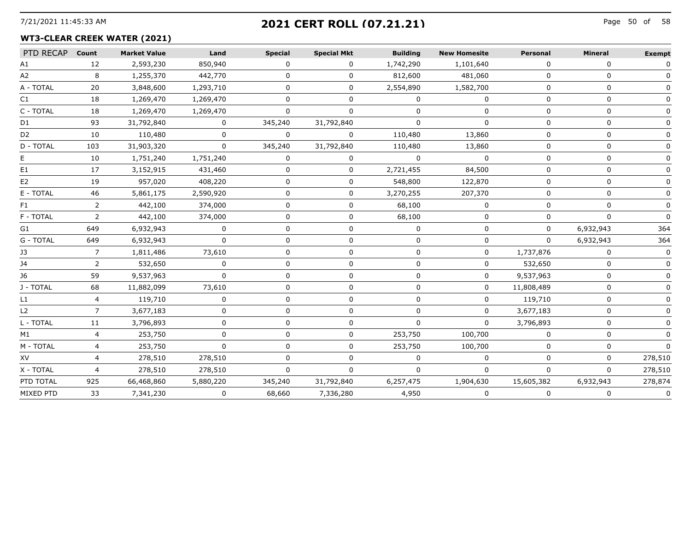# 7/21/2021 11:45:33 AM Page 50 of **2021 CERT ROLL (07.21.21)**

## **WT3-CLEAR CREEK WATER (2021)**

| PTD RECAP      | Count          | <b>Market Value</b> | Land         | <b>Special</b> | <b>Special Mkt</b> | <b>Building</b> | <b>New Homesite</b> | Personal   | <b>Mineral</b> | <b>Exempt</b> |
|----------------|----------------|---------------------|--------------|----------------|--------------------|-----------------|---------------------|------------|----------------|---------------|
| A1             | 12             | 2,593,230           | 850,940      | $\Omega$       | 0                  | 1,742,290       | 1,101,640           | 0          | 0              |               |
| A2             | 8              | 1,255,370           | 442,770      | 0              | 0                  | 812,600         | 481,060             | $\Omega$   | 0              |               |
| A - TOTAL      | 20             | 3,848,600           | 1,293,710    | <sup>n</sup>   | 0                  | 2,554,890       | 1,582,700           | $\Omega$   | <sup>n</sup>   |               |
| C1             | 18             | 1,269,470           | 1,269,470    | 0              | 0                  | $\Omega$        | 0                   | $\Omega$   | 0              |               |
| C - TOTAL      | 18             | 1,269,470           | 1,269,470    | $\Omega$       | 0                  | $\Omega$        | <sup>0</sup>        | n          | 0              |               |
| D1             | 93             | 31,792,840          | 0            | 345,240        | 31,792,840         | $\Omega$        | 0                   | $\Omega$   | 0              |               |
| D <sub>2</sub> | 10             | 110,480             |              | $\Omega$       | O.                 | 110,480         | 13,860              |            | U              |               |
| D - TOTAL      | 103            | 31,903,320          | 0            | 345,240        | 31,792,840         | 110,480         | 13,860              |            |                |               |
| E.             | 10             | 1,751,240           | 1,751,240    | $\Omega$       | O.                 | $\Omega$        | $\Omega$            |            | n              |               |
| E1             | 17             | 3,152,915           | 431,460      | 0              | 0                  | 2,721,455       | 84,500              |            |                |               |
| E <sub>2</sub> | 19             | 957,020             | 408,220      | ∩              | 0                  | 548,800         | 122,870             |            | n              |               |
| E - TOTAL      | 46             | 5,861,175           | 2,590,920    | O              | 0                  | 3,270,255       | 207,370             |            | ŋ              |               |
| F1             | $\overline{2}$ | 442,100             | 374,000      | $\Omega$       | 0                  | 68,100          | <sup>0</sup>        | ∩          | U              |               |
| F - TOTAL      | 2              | 442,100             | 374,000      | 0              | 0                  | 68,100          | 0                   | 0          | 0              |               |
| G1             | 649            | 6,932,943           | $\Omega$     | $\Omega$       | 0                  | $\Omega$        | 0                   | 0          | 6,932,943      | 364           |
| G - TOTAL      | 649            | 6,932,943           | 0            | 0              | 0                  | 0               | 0                   | 0          | 6,932,943      | 364           |
| J3             | $\overline{7}$ | 1,811,486           | 73,610       | $\Omega$       | $\Omega$           | $\Omega$        | $\Omega$            | 1,737,876  | $\mathbf{0}$   | $\Omega$      |
| J4             | $\mathbf{2}$   | 532,650             | 0            | 0              | 0                  | 0               | 0                   | 532,650    | 0              |               |
| J6             | 59             | 9,537,963           | $\Omega$     | $\Omega$       | $\Omega$           | $\Omega$        | $\Omega$            | 9,537,963  | 0              |               |
| J - TOTAL      | 68             | 11,882,099          | 73,610       | 0              | 0                  | $\Omega$        | 0                   | 11,808,489 | 0              |               |
| L1             | $\overline{4}$ | 119,710             | $\mathbf{0}$ | $\Omega$       | $\Omega$           | $\Omega$        | 0                   | 119,710    | 0              |               |
| L2             | $\overline{7}$ | 3,677,183           | $\Omega$     | $\Omega$       | 0                  | $\Omega$        | $\Omega$            | 3,677,183  | 0              |               |
| L - TOTAL      | 11             | 3,796,893           | 0            | $\Omega$       | 0                  | $\Omega$        | $\Omega$            | 3,796,893  | 0              |               |
| M1             | 4              | 253,750             | $\Omega$     | $\Omega$       | 0                  | 253,750         | 100,700             | 0          | 0              |               |
| M - TOTAL      | 4              | 253,750             | $\Omega$     | 0              | 0                  | 253,750         | 100,700             | 0          | 0              | $\Omega$      |
| XV             | $\overline{4}$ | 278,510             | 278,510      | $\Omega$       | 0                  | $\Omega$        | 0                   | $\Omega$   | 0              | 278,510       |
| X - TOTAL      | $\overline{a}$ | 278,510             | 278,510      | $\Omega$       | 0                  | $\Omega$        | 0                   | n          | $\Omega$       | 278,510       |
| PTD TOTAL      | 925            | 66,468,860          | 5,880,220    | 345,240        | 31,792,840         | 6,257,475       | 1,904,630           | 15,605,382 | 6,932,943      | 278,874       |
| MIXED PTD      | 33             | 7,341,230           | 0            | 68,660         | 7,336,280          | 4,950           | 0                   | $\Omega$   | 0              | 0             |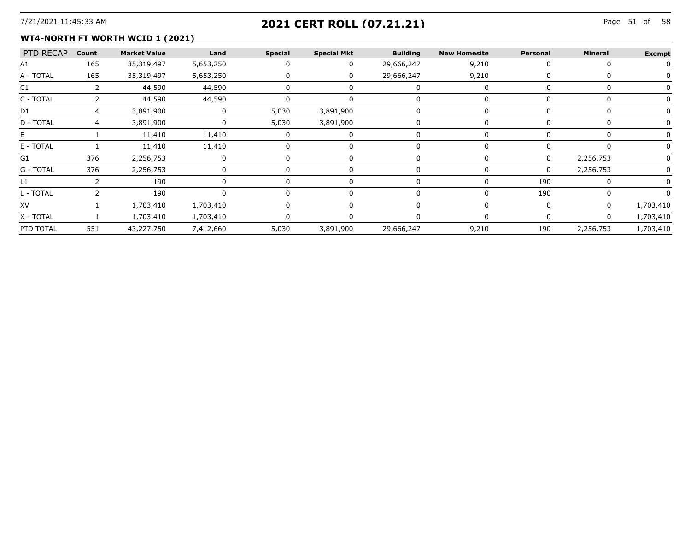## 7/21/2021 11:45:33 AM Page 51 of **2021 CERT ROLL (07.21.21)**

#### **WT4-NORTH FT WORTH WCID 1 (2021)**

| PTD RECAP Count                 |     | <b>Market Value</b> | Land      | <b>Special</b> | <b>Special Mkt</b> | <b>Building</b>      | <b>New Homesite</b> | Personal | Mineral   | <b>Exempt</b>            |
|---------------------------------|-----|---------------------|-----------|----------------|--------------------|----------------------|---------------------|----------|-----------|--------------------------|
| A1<br>------------------------- | 165 | 35,319,497          | 5,653,250 |                |                    | 29,666,247           | 9,210               |          |           |                          |
| A - TOTAL                       | 165 | 35,319,497          | 5,653,250 |                |                    | 29,666,247           | 9,210               |          |           |                          |
|                                 |     | 44,590              | 44,590    |                |                    |                      |                     |          |           |                          |
| C - TOTAI                       |     | 44,590              | 44,590    |                |                    |                      |                     |          |           | ________________________ |
| D1                              |     | 3,891,900           |           | 5,030          | 3,891,900          |                      |                     |          |           |                          |
| D - TOTAI                       |     | 3,891,900           |           | 5,030          | 3,891,900          |                      |                     |          |           |                          |
|                                 |     | 11,410              | 11,410    |                |                    |                      |                     |          |           |                          |
| E - TOTAL                       |     | 11,410              | 11,410    |                |                    |                      |                     |          |           |                          |
| G1                              | 376 | 2,256,753           |           |                |                    |                      |                     |          | 2,256,753 |                          |
| G - TOTAL                       | 376 | 2,256,753           |           |                |                    |                      |                     | O        | 2,256,753 |                          |
|                                 |     | 190                 |           |                |                    |                      |                     | 190      |           |                          |
| - TOTAI                         |     | 190                 |           |                |                    |                      |                     | 190      |           |                          |
| XV                              |     | 1,703,410           | 1,703,410 |                |                    |                      |                     |          |           | .703.410                 |
| X - TOTAL                       |     | 1,703,410           | 1,703,410 |                |                    |                      |                     |          |           | 1,703,410                |
| PTD TOTAL                       | 551 | 43,227,750          | 7,412,660 | 5.030          |                    | 3,891,900 29,666,247 | 9,210               | 190      | 2,256,753 | 1,703,410                |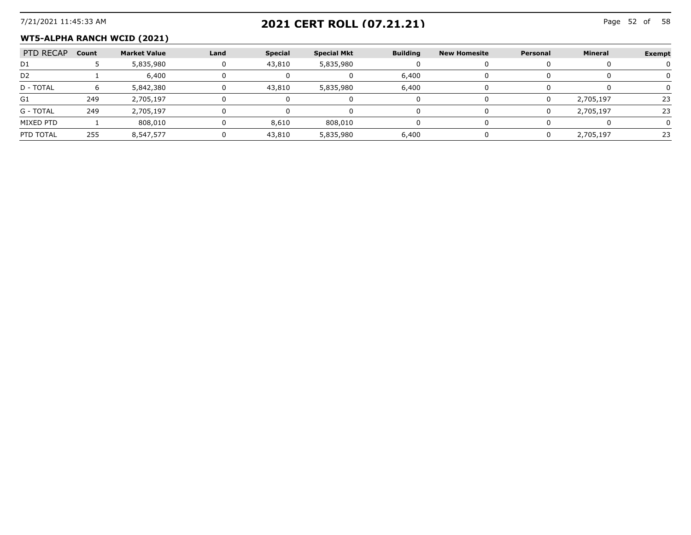## 7/21/2021 11:45:33 AM Page 52 of **2021 CERT ROLL (07.21.21)**

#### **WT5-ALPHA RANCH WCID (2021)**

| PTD RECAP      | Count | <b>Market Value</b> | Land | <b>Special</b> | <b>Special Mkt</b> | <b>Building</b> | New Homesite | Personal | <b>Mineral</b> | <b>Exempt</b> |
|----------------|-------|---------------------|------|----------------|--------------------|-----------------|--------------|----------|----------------|---------------|
| D1             |       | 5,835,980           |      | 43,810         | 5,835,980          |                 |              |          |                |               |
| D <sub>2</sub> |       | 6,400               |      |                |                    | 6.400           |              |          |                |               |
| D - TOTAL      |       | 5,842,380           |      | 43,810         | 5,835,980          | 6.400           |              |          |                |               |
| G1             | 249   | 2,705,197           |      |                |                    |                 |              |          | 2,705,197      |               |
| G - TOTAL      | 249   | 2.705.197           |      |                |                    |                 |              |          | 2,705,197      |               |
| MIXED PTD      |       | 808.010             |      | 8,610          | 808.010            |                 |              |          |                |               |
| PTD TOTAL      | 255   | 8,547,577           |      | 43,810         | 5,835,980          | 6.400           |              |          | 2.705.197      |               |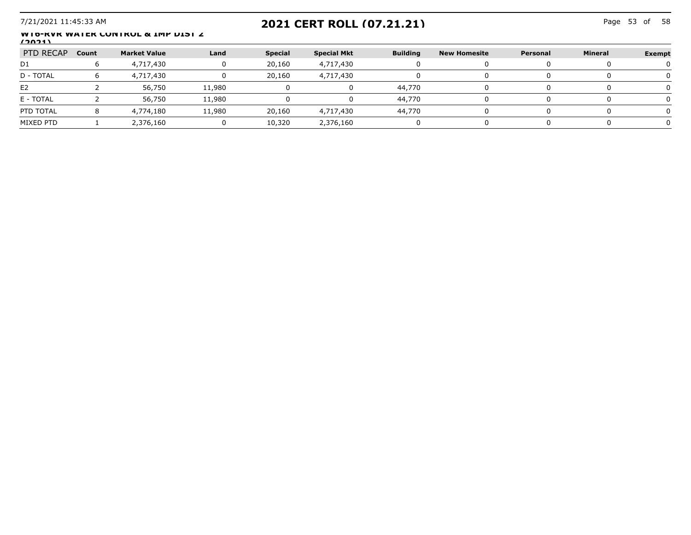## 7/21/2021 11:45:33 AM Page 53 of **2021 CERT ROLL (07.21.21)**

Page 53 of 58

#### **WT6-RVR WATER CONTROL & IMP DIST 2 (2021)**

| PTD RECAP                            | Count | <b>Market Value</b> | Land   | <b>Special</b> | <b>Special Mkt</b> | <b>Building</b> | New Homesite | Personal | Mineral | Exempt |
|--------------------------------------|-------|---------------------|--------|----------------|--------------------|-----------------|--------------|----------|---------|--------|
| D1                                   |       | 4,717,430           |        | 20,160         | 4,717,430          |                 |              |          |         |        |
| D - TOTAL                            |       | 4,717,430           |        | 20,160         | 4,717,430          |                 |              |          |         |        |
| E <sub>2</sub>                       |       | 56,750              | 11,980 |                |                    | 44.770          |              |          |         |        |
| E - TOTAL                            |       | 56,750              | 11,980 |                |                    | 44,770          |              |          |         |        |
| PTD TOTAL                            |       | 4,774,180           | 11.980 | 20,160         | 4,717,430          | 44.770          |              |          |         |        |
| MIXED PTD<br>----------------------- |       | 2,376,160           |        | 10,320         | 2,376,160          |                 |              |          |         |        |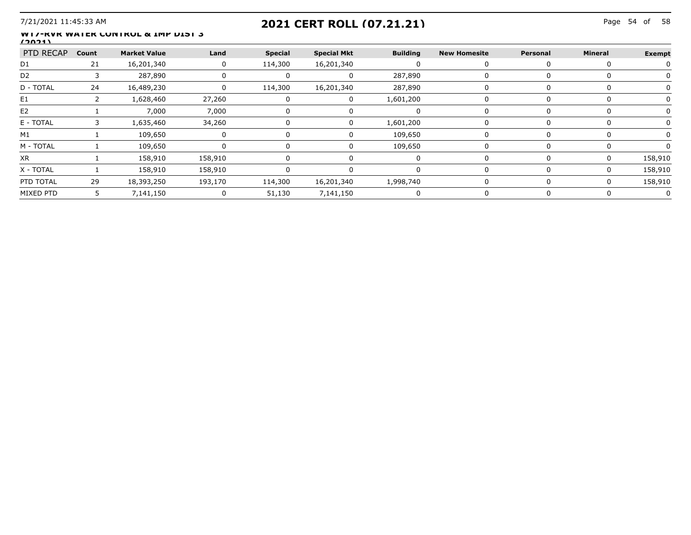## 7/21/2021 11:45:33 AM Page 54 of **2021 CERT ROLL (07.21.21)**

#### **WT7-RVR WATER CONTROL & IMP DIST 3 (2021)**

| PTD RECAP Count |     | Market Value | Land    | <b>Special</b> | <b>Special Mkt</b> | <b>Building</b> | <b>New Homesite</b> | Personal | Mineral | Exempt  |
|-----------------|-----|--------------|---------|----------------|--------------------|-----------------|---------------------|----------|---------|---------|
| D <sub>1</sub>  | 21  | 16,201,340   |         | 114,300        | 16,201,340         |                 |                     |          |         |         |
| D <sub>2</sub>  |     | 287,890      |         |                |                    | 287,890         |                     |          |         |         |
| D - TOTAL       | -24 | 16,489,230   | 0       | 114,300        | 16,201,340         | 287,890         |                     |          |         |         |
| E1              |     | 1,628,460    | 27,260  |                |                    | 1,601,200       |                     |          |         |         |
| E2              |     | 7.000        | 7,000   |                |                    |                 |                     |          |         |         |
| E - TOTAL       |     | .635.460     | 34,260  |                |                    | 1,601,200       |                     |          |         |         |
| M1              |     | 109,650      |         |                |                    | 109,650         |                     |          |         |         |
| M - TOTAI       |     | 109.650      |         |                |                    | 109.650         |                     |          |         |         |
| <b>XR</b>       |     | 158.910      | 158.910 |                |                    |                 |                     |          |         |         |
| X - TOTAI       |     | 158,910      | 158,910 |                |                    |                 |                     |          |         | 58.910  |
| PTD TOTAL       | 29  | 18,393,250   | 193,170 | 114,300        | 16,201,340         | 1,998,740       |                     |          |         | 158.910 |
|                 | 5.  | 7,141,150    |         | 51,130         | 7,141,150          |                 |                     |          |         |         |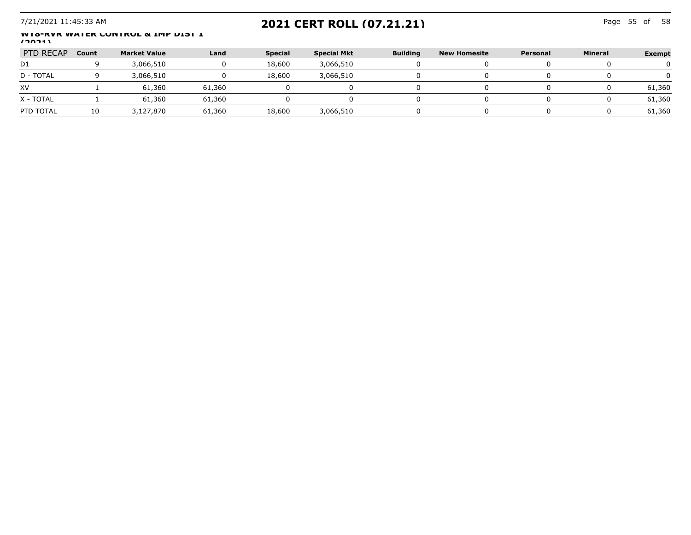## 7/21/2021 11:45:33 AM Page 55 of **2021 CERT ROLL (07.21.21)**

Page 55 of 58

#### WIS-KVK WATER CONTROL & IMP DIST 1 **(2021)**

| PTD RECAP | Count | <b>Market Value</b> | Land   | <b>Special</b> | <b>Special Mkt</b> | <b>Building</b> | <b>New Homesite</b> | Personal | <b>Mineral</b> | <b>Exempt</b> |
|-----------|-------|---------------------|--------|----------------|--------------------|-----------------|---------------------|----------|----------------|---------------|
| D1        |       | 3,066,510           |        | 18,600         | 3,066,510          |                 |                     |          |                |               |
| D - TOTAL |       | 3,066,510           |        | 18,600         | 3,066,510          |                 |                     |          |                |               |
| XV        |       | 61,360              | 61,360 |                |                    |                 |                     |          |                | 61,360        |
| X - TOTAL |       | 61,360              | 61,360 |                |                    |                 |                     |          |                | 61,360        |
| PTD TOTAL | 10    | 3,127,870           | 61,360 | 18,600         | 3,066,510          |                 |                     |          |                | 61,360        |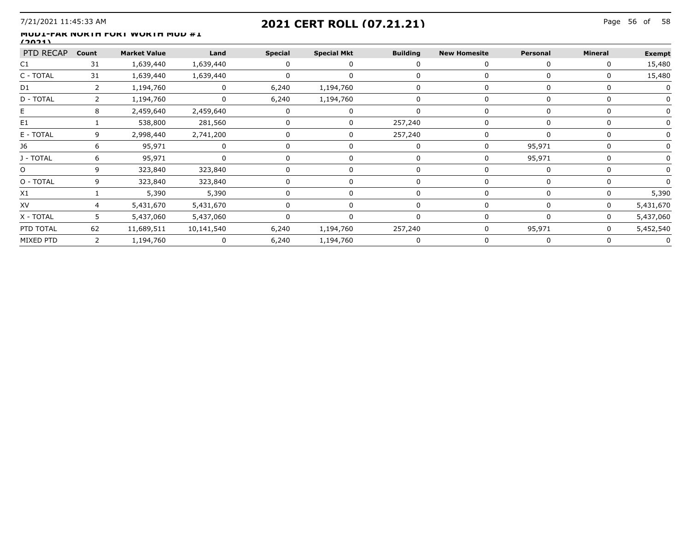## 7/21/2021 11:45:33 AM Page 56 of **2021 CERT ROLL (07.21.21)**

#### **MUD1-FAR NORTH FORT WORTH MUD #1 (2021)**

| PTD RECAP Count |                | <b>Market Value</b> | <b>Example 1</b>              | <b>Special</b>  | <b>Special Mkt</b> | <b>Building</b> | <b>New Homesite</b> | Personal | Mineral | <b>Exempt</b> |
|-----------------|----------------|---------------------|-------------------------------|-----------------|--------------------|-----------------|---------------------|----------|---------|---------------|
| C1              | 31             | 1,639,440           | 1,639,440                     |                 |                    |                 |                     | n        |         | 15,480        |
| C - TOTAI       | 31             | 1,639,440           | 1,639,440                     |                 |                    |                 |                     |          |         | 15,480        |
|                 |                | 1,194,760           |                               | 6,240           | 1,194,760          |                 |                     |          |         |               |
| D - TOTAL       |                | 1,194,760           |                               | 6,240           | 1,194,760          |                 |                     |          |         |               |
| Е.              |                | 2,459,640           | 2,459,640                     |                 |                    |                 |                     |          |         |               |
| E1              |                | 538,800             | 281,560                       |                 |                    | 257,240         |                     |          |         |               |
| E - TOTAI       |                | 2,998,440           | 2,741,200<br>---------------- |                 |                    | 257,240         |                     |          |         |               |
|                 |                | 95,971              |                               |                 |                    |                 |                     | 95,971   |         |               |
| J - TOTAL       |                | 95,971              |                               |                 |                    |                 |                     | 95,971   |         |               |
| O               |                | 323,840             | 323,840                       |                 |                    |                 |                     |          |         |               |
| O - TOTAL       |                | 323,840             | 323,840                       |                 |                    |                 |                     |          |         |               |
| Χ1              |                | 5,390               | 5,390                         |                 |                    |                 |                     |          |         | 5,390         |
| XV              |                | 5,431,670           | 5,431,670                     |                 |                    |                 |                     |          |         | 5,431,670     |
| X - TOTAL       | 5 <sup>1</sup> | 5,437,060           | 5,437,060                     |                 |                    |                 |                     |          | 0       | 5,437,060     |
| PTD TOTAL       | 62             | 11,689,511          | 10,141,540                    | 6,240 1,194,760 |                    | 257,240         |                     | 95,971   |         | 5,452,540     |
| MIXED PTD       | 2              | 1,194,760           |                               | 6,240           | 1,194,760          |                 |                     |          |         |               |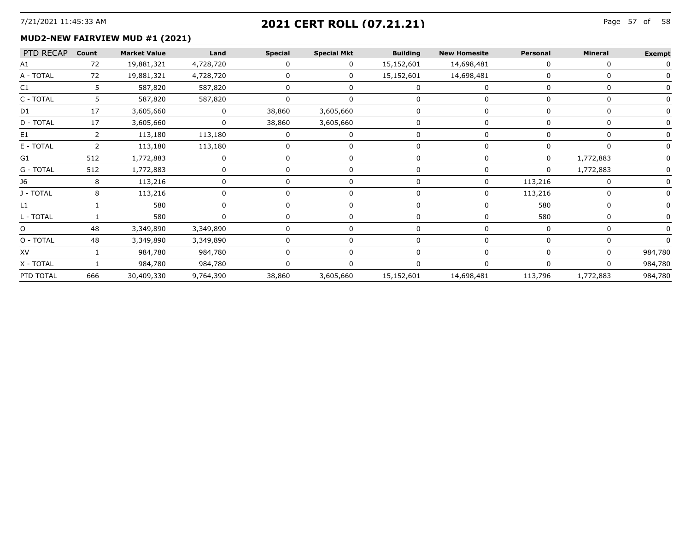# 7/21/2021 11:45:33 AM Page 57 of **2021 CERT ROLL (07.21.21)**

#### **MUD2-NEW FAIRVIEW MUD #1 (2021)**

| PTD RECAP Count |     | <b>Market Value</b> | Land                       | <b>Special</b> | <b>Special Mkt</b> | <b>Building</b> | <b>New Homesite</b> | Personal | Mineral   | <b>Exempt</b> |
|-----------------|-----|---------------------|----------------------------|----------------|--------------------|-----------------|---------------------|----------|-----------|---------------|
| A1              | 72  | 19,881,321          | 4,728,720                  |                | O.                 | 15,152,601      | 14,698,481          |          |           |               |
| A - TOTAL       | 72  | 19,881,321          | 4,728,720                  |                |                    | 15,152,601      | 14,698,481          |          |           |               |
|                 |     | 587,820             | 587,820                    |                |                    |                 |                     |          |           |               |
| C - TOTAL       |     | 587,820             | 587,820                    |                |                    |                 |                     |          |           |               |
| D1              | 17  | 3,605,660           | $\overline{\phantom{a}}$ 0 | 38,860         | 3,605,660          |                 |                     |          |           |               |
| D - TOTAL       | 17  | 3,605,660           | $\Omega$                   | 38,860         | 3,605,660          |                 |                     |          |           |               |
| E1              |     | 113,180             | 113,180                    |                |                    |                 |                     |          |           |               |
| E - TOTAL       |     | 113,180             | 113,180                    |                |                    |                 |                     |          |           |               |
| G1              | 512 | 1,772,883           |                            |                |                    |                 |                     |          | 1,772,883 |               |
| G - TOTAL       | 512 | 1,772,883           |                            |                |                    |                 |                     |          | 1,772,883 |               |
|                 |     | 113,216             |                            |                |                    |                 |                     | 113,216  |           |               |
| J - TOTAL       |     | 113,216             |                            |                |                    |                 |                     | 113,216  |           |               |
|                 |     | 580                 |                            |                |                    |                 |                     | 580      |           |               |
| L - TOTAL       |     | 580                 |                            |                |                    |                 |                     | 580      |           |               |
| O               | 48  | 3,349,890           | 3,349,890                  |                |                    |                 |                     |          |           |               |
| O - TOTAL       | 48  | 3,349,890           | 3,349,890                  |                |                    |                 |                     |          |           |               |
| XV              |     | 984,780             | 984,780                    |                |                    |                 |                     |          |           | 984,780       |
| X - TOTAL       |     | 984,780             | 984,780                    |                |                    |                 |                     |          |           | 984,780       |
| PTD TOTAL       | 666 | 30,409,330          | 9,764,390                  | 38,860         | <br>3,605,660      | 15,152,601      | 14,698,481          | 113,796  | 1,772,883 | 984,780       |